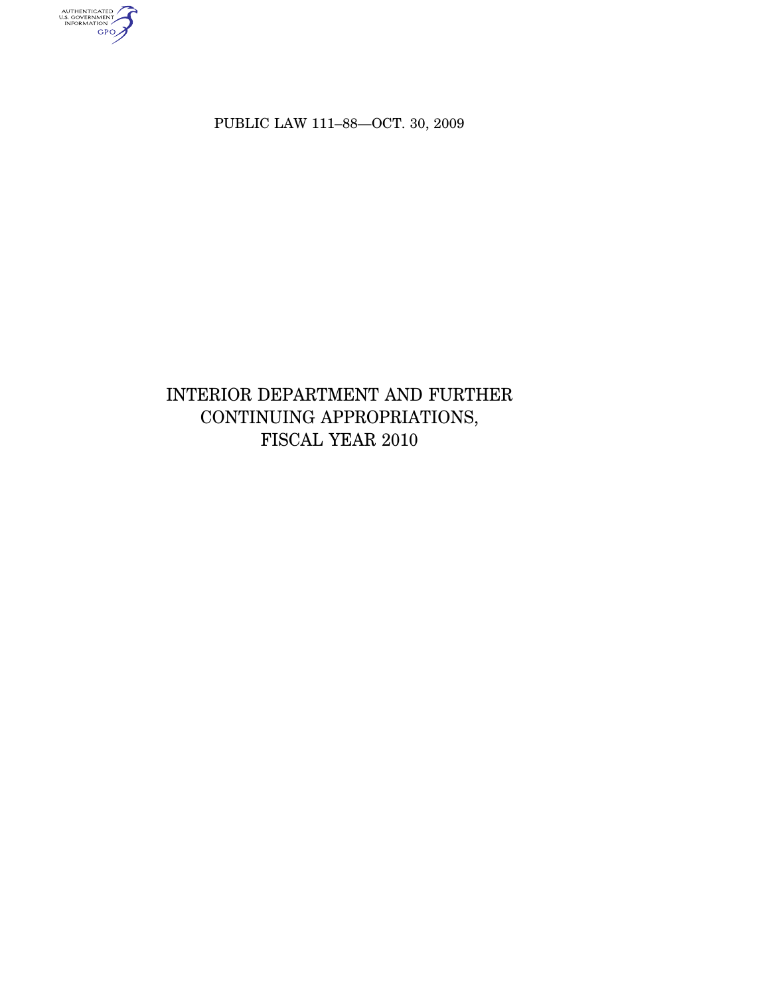authenticated<br>u.s. government<br>information<br>GPO

PUBLIC LAW 111–88—OCT. 30, 2009

# INTERIOR DEPARTMENT AND FURTHER CONTINUING APPROPRIATIONS, FISCAL YEAR 2010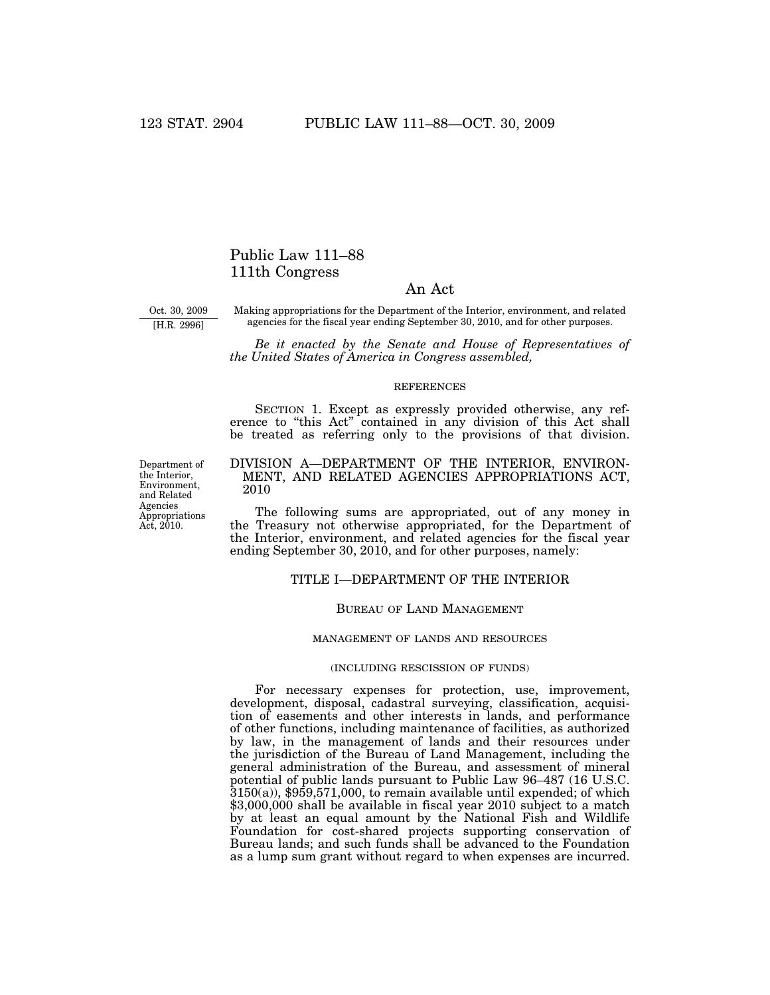# Public Law 111–88 111th Congress

# An Act

Oct. 30, 2009 [H.R. 2996]

Making appropriations for the Department of the Interior, environment, and related agencies for the fiscal year ending September 30, 2010, and for other purposes.

*Be it enacted by the Senate and House of Representatives of the United States of America in Congress assembled,* 

#### **REFERENCES**

SECTION 1. Except as expressly provided otherwise, any reference to "this Act" contained in any division of this Act shall be treated as referring only to the provisions of that division.

# DIVISION A—DEPARTMENT OF THE INTERIOR, ENVIRON-MENT, AND RELATED AGENCIES APPROPRIATIONS ACT, 2010

The following sums are appropriated, out of any money in the Treasury not otherwise appropriated, for the Department of the Interior, environment, and related agencies for the fiscal year ending September 30, 2010, and for other purposes, namely:

# TITLE I—DEPARTMENT OF THE INTERIOR

# BUREAU OF LAND MANAGEMENT

#### MANAGEMENT OF LANDS AND RESOURCES

# (INCLUDING RESCISSION OF FUNDS)

For necessary expenses for protection, use, improvement, development, disposal, cadastral surveying, classification, acquisition of easements and other interests in lands, and performance of other functions, including maintenance of facilities, as authorized by law, in the management of lands and their resources under the jurisdiction of the Bureau of Land Management, including the general administration of the Bureau, and assessment of mineral potential of public lands pursuant to Public Law 96–487 (16 U.S.C.  $3150(a)$ , \$959,571,000, to remain available until expended; of which \$3,000,000 shall be available in fiscal year 2010 subject to a match by at least an equal amount by the National Fish and Wildlife Foundation for cost-shared projects supporting conservation of Bureau lands; and such funds shall be advanced to the Foundation as a lump sum grant without regard to when expenses are incurred.

Department of the Interior, Environment, and Related Agencies Appropriations Act, 2010.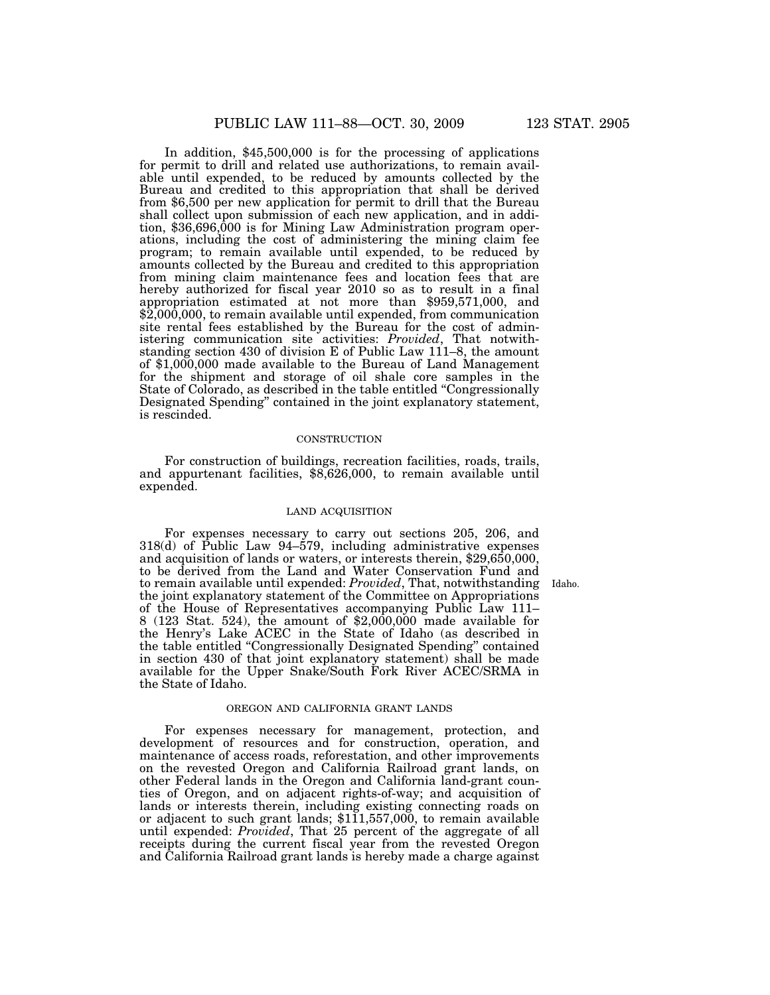In addition, \$45,500,000 is for the processing of applications for permit to drill and related use authorizations, to remain available until expended, to be reduced by amounts collected by the Bureau and credited to this appropriation that shall be derived from \$6,500 per new application for permit to drill that the Bureau shall collect upon submission of each new application, and in addition, \$36,696,000 is for Mining Law Administration program operations, including the cost of administering the mining claim fee program; to remain available until expended, to be reduced by amounts collected by the Bureau and credited to this appropriation from mining claim maintenance fees and location fees that are hereby authorized for fiscal year 2010 so as to result in a final appropriation estimated at not more than \$959,571,000, and \$2,000,000, to remain available until expended, from communication site rental fees established by the Bureau for the cost of administering communication site activities: *Provided*, That notwithstanding section 430 of division E of Public Law 111–8, the amount of \$1,000,000 made available to the Bureau of Land Management for the shipment and storage of oil shale core samples in the State of Colorado, as described in the table entitled ''Congressionally Designated Spending'' contained in the joint explanatory statement, is rescinded.

# **CONSTRUCTION**

For construction of buildings, recreation facilities, roads, trails, and appurtenant facilities, \$8,626,000, to remain available until expended.

# LAND ACQUISITION

For expenses necessary to carry out sections 205, 206, and 318(d) of Public Law 94–579, including administrative expenses and acquisition of lands or waters, or interests therein, \$29,650,000, to be derived from the Land and Water Conservation Fund and to remain available until expended: *Provided*, That, notwithstanding the joint explanatory statement of the Committee on Appropriations of the House of Representatives accompanying Public Law 111– 8 (123 Stat. 524), the amount of \$2,000,000 made available for the Henry's Lake ACEC in the State of Idaho (as described in the table entitled ''Congressionally Designated Spending'' contained in section 430 of that joint explanatory statement) shall be made available for the Upper Snake/South Fork River ACEC/SRMA in the State of Idaho.

#### OREGON AND CALIFORNIA GRANT LANDS

For expenses necessary for management, protection, and development of resources and for construction, operation, and maintenance of access roads, reforestation, and other improvements on the revested Oregon and California Railroad grant lands, on other Federal lands in the Oregon and California land-grant counties of Oregon, and on adjacent rights-of-way; and acquisition of lands or interests therein, including existing connecting roads on or adjacent to such grant lands;  $$1\overline{1}1,557,000$ , to remain available until expended: *Provided*, That 25 percent of the aggregate of all receipts during the current fiscal year from the revested Oregon and California Railroad grant lands is hereby made a charge against

Idaho.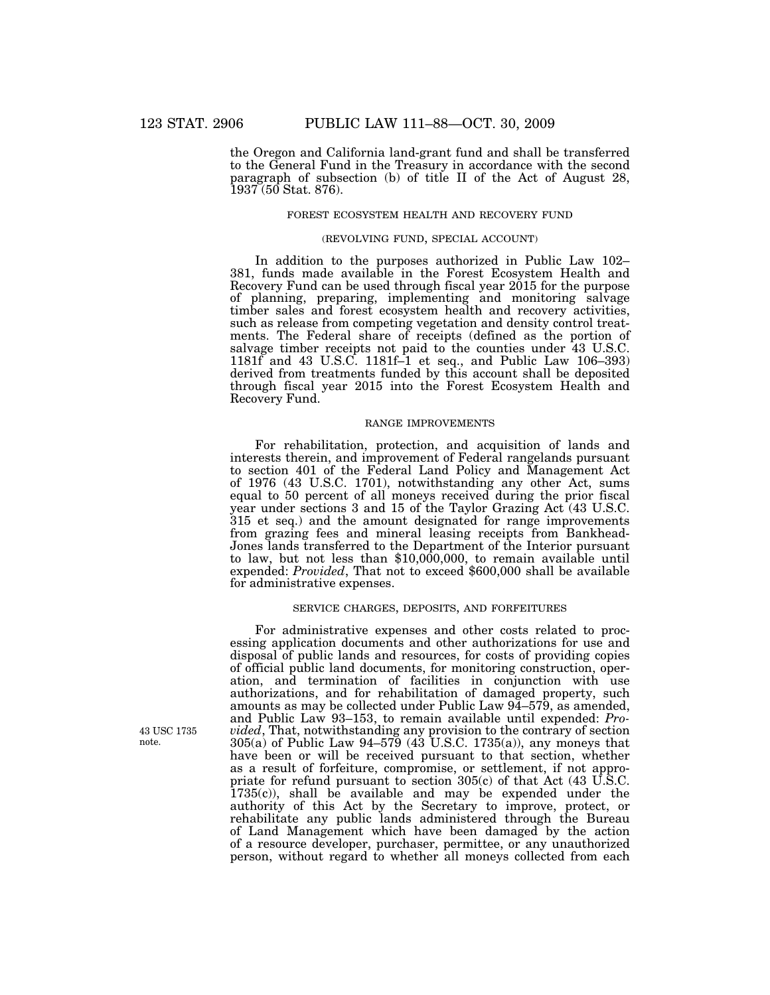the Oregon and California land-grant fund and shall be transferred to the General Fund in the Treasury in accordance with the second paragraph of subsection (b) of title II of the Act of August 28, 1937 (50 Stat. 876).

#### FOREST ECOSYSTEM HEALTH AND RECOVERY FUND

#### (REVOLVING FUND, SPECIAL ACCOUNT)

In addition to the purposes authorized in Public Law 102– 381, funds made available in the Forest Ecosystem Health and Recovery Fund can be used through fiscal year 2015 for the purpose of planning, preparing, implementing and monitoring salvage timber sales and forest ecosystem health and recovery activities, such as release from competing vegetation and density control treatments. The Federal share of receipts (defined as the portion of salvage timber receipts not paid to the counties under 43 U.S.C. 1181f and 43 U.S.C. 1181f–1 et seq., and Public Law 106–393) derived from treatments funded by this account shall be deposited through fiscal year 2015 into the Forest Ecosystem Health and Recovery Fund.

# RANGE IMPROVEMENTS

For rehabilitation, protection, and acquisition of lands and interests therein, and improvement of Federal rangelands pursuant to section 401 of the Federal Land Policy and Management Act of 1976 (43 U.S.C. 1701), notwithstanding any other Act, sums equal to 50 percent of all moneys received during the prior fiscal year under sections 3 and 15 of the Taylor Grazing Act (43 U.S.C. 315 et seq.) and the amount designated for range improvements from grazing fees and mineral leasing receipts from Bankhead-Jones lands transferred to the Department of the Interior pursuant to law, but not less than \$10,000,000, to remain available until expended: *Provided*, That not to exceed \$600,000 shall be available for administrative expenses.

# SERVICE CHARGES, DEPOSITS, AND FORFEITURES

For administrative expenses and other costs related to processing application documents and other authorizations for use and disposal of public lands and resources, for costs of providing copies of official public land documents, for monitoring construction, operation, and termination of facilities in conjunction with use authorizations, and for rehabilitation of damaged property, such amounts as may be collected under Public Law 94–579, as amended, and Public Law 93–153, to remain available until expended: *Provided*, That, notwithstanding any provision to the contrary of section 305(a) of Public Law 94–579 (43 U.S.C. 1735(a)), any moneys that have been or will be received pursuant to that section, whether as a result of forfeiture, compromise, or settlement, if not appropriate for refund pursuant to section 305(c) of that Act (43 U.S.C. 1735(c)), shall be available and may be expended under the authority of this Act by the Secretary to improve, protect, or rehabilitate any public lands administered through the Bureau of Land Management which have been damaged by the action of a resource developer, purchaser, permittee, or any unauthorized person, without regard to whether all moneys collected from each

43 USC 1735 note.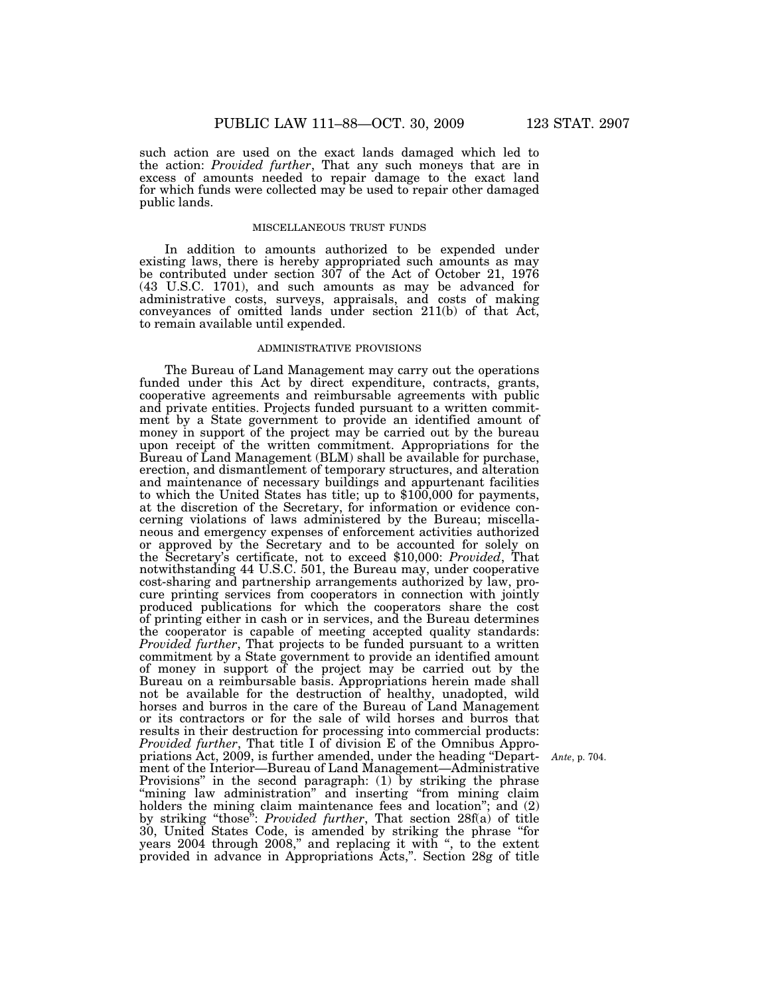such action are used on the exact lands damaged which led to the action: *Provided further*, That any such moneys that are in excess of amounts needed to repair damage to the exact land for which funds were collected may be used to repair other damaged public lands.

# MISCELLANEOUS TRUST FUNDS

In addition to amounts authorized to be expended under existing laws, there is hereby appropriated such amounts as may be contributed under section 307 of the Act of October 21, 1976 (43 U.S.C. 1701), and such amounts as may be advanced for administrative costs, surveys, appraisals, and costs of making conveyances of omitted lands under section 211(b) of that Act, to remain available until expended.

# ADMINISTRATIVE PROVISIONS

The Bureau of Land Management may carry out the operations funded under this Act by direct expenditure, contracts, grants, cooperative agreements and reimbursable agreements with public and private entities. Projects funded pursuant to a written commitment by a State government to provide an identified amount of money in support of the project may be carried out by the bureau upon receipt of the written commitment. Appropriations for the Bureau of Land Management (BLM) shall be available for purchase, erection, and dismantlement of temporary structures, and alteration and maintenance of necessary buildings and appurtenant facilities to which the United States has title; up to \$100,000 for payments, at the discretion of the Secretary, for information or evidence concerning violations of laws administered by the Bureau; miscellaneous and emergency expenses of enforcement activities authorized or approved by the Secretary and to be accounted for solely on the Secretary's certificate, not to exceed \$10,000: *Provided*, That notwithstanding 44 U.S.C. 501, the Bureau may, under cooperative cost-sharing and partnership arrangements authorized by law, procure printing services from cooperators in connection with jointly produced publications for which the cooperators share the cost of printing either in cash or in services, and the Bureau determines the cooperator is capable of meeting accepted quality standards: *Provided further*, That projects to be funded pursuant to a written commitment by a State government to provide an identified amount of money in support of the project may be carried out by the Bureau on a reimbursable basis. Appropriations herein made shall not be available for the destruction of healthy, unadopted, wild horses and burros in the care of the Bureau of Land Management or its contractors or for the sale of wild horses and burros that results in their destruction for processing into commercial products: *Provided further*, That title I of division E of the Omnibus Appropriations Act, 2009, is further amended, under the heading ''Department of the Interior—Bureau of Land Management—Administrative Provisions'' in the second paragraph: (1) by striking the phrase "mining law administration" and inserting "from mining claim holders the mining claim maintenance fees and location"; and  $(2)$ by striking ''those'': *Provided further*, That section 28f(a) of title 30, United States Code, is amended by striking the phrase ''for years 2004 through 2008,'' and replacing it with '', to the extent provided in advance in Appropriations Acts,''. Section 28g of title

*Ante*, p. 704.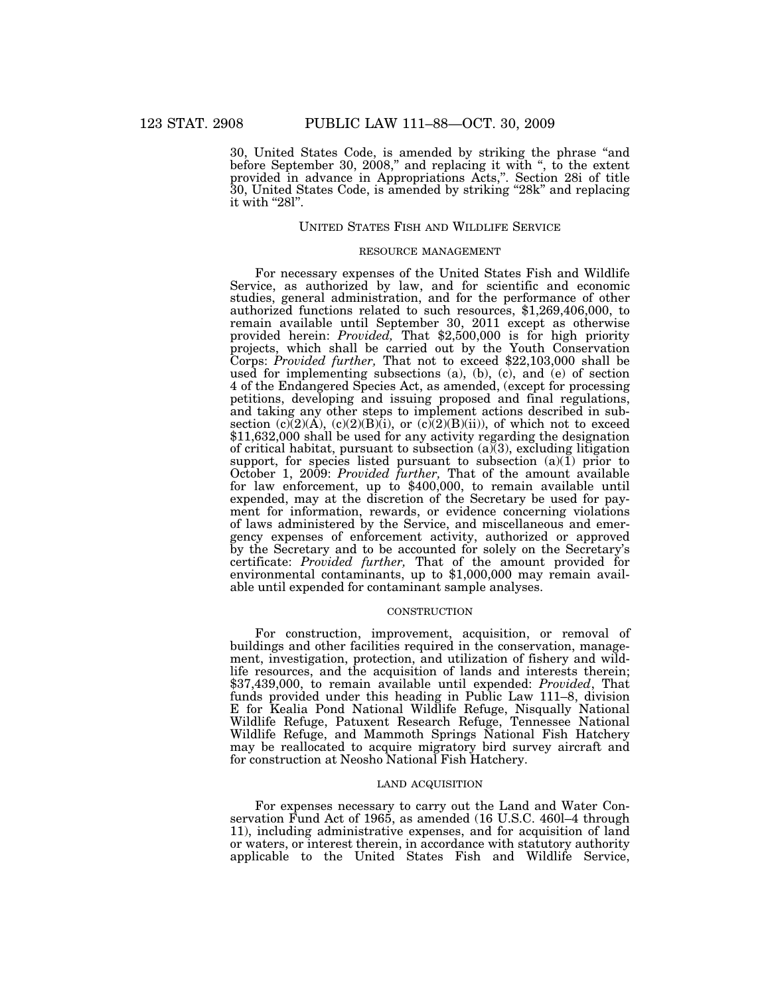30, United States Code, is amended by striking the phrase ''and before September 30, 2008," and replacing it with ", to the extent provided in advance in Appropriations Acts,''. Section 28i of title 30, United States Code, is amended by striking ''28k'' and replacing it with "28l".

# UNITED STATES FISH AND WILDLIFE SERVICE

#### RESOURCE MANAGEMENT

For necessary expenses of the United States Fish and Wildlife Service, as authorized by law, and for scientific and economic studies, general administration, and for the performance of other authorized functions related to such resources, \$1,269,406,000, to remain available until September 30, 2011 except as otherwise provided herein: *Provided*, That \$2,500,000 is for high priority projects, which shall be carried out by the Youth Conservation Corps: *Provided further,* That not to exceed \$22,103,000 shall be used for implementing subsections (a), (b), (c), and (e) of section 4 of the Endangered Species Act, as amended, (except for processing petitions, developing and issuing proposed and final regulations, and taking any other steps to implement actions described in subsection  $(c)(2)(A)$ ,  $(c)(2)(B)(i)$ , or  $(c)(2)(B)(ii)$ , of which not to exceed \$11,632,000 shall be used for any activity regarding the designation of critical habitat, pursuant to subsection  $(a)(3)$ , excluding litigation support, for species listed pursuant to subsection (a)(1) prior to October 1, 2009: *Provided further,* That of the amount available for law enforcement, up to \$400,000, to remain available until expended, may at the discretion of the Secretary be used for payment for information, rewards, or evidence concerning violations of laws administered by the Service, and miscellaneous and emergency expenses of enforcement activity, authorized or approved by the Secretary and to be accounted for solely on the Secretary's certificate: *Provided further,* That of the amount provided for environmental contaminants, up to \$1,000,000 may remain available until expended for contaminant sample analyses.

# **CONSTRUCTION**

For construction, improvement, acquisition, or removal of buildings and other facilities required in the conservation, management, investigation, protection, and utilization of fishery and wildlife resources, and the acquisition of lands and interests therein; \$37,439,000, to remain available until expended: *Provided*, That funds provided under this heading in Public Law 111–8, division E for Kealia Pond National Wildlife Refuge, Nisqually National Wildlife Refuge, Patuxent Research Refuge, Tennessee National Wildlife Refuge, and Mammoth Springs National Fish Hatchery may be reallocated to acquire migratory bird survey aircraft and for construction at Neosho National Fish Hatchery.

#### LAND ACQUISITION

For expenses necessary to carry out the Land and Water Conservation Fund Act of 1965, as amended (16 U.S.C. 460l–4 through 11), including administrative expenses, and for acquisition of land or waters, or interest therein, in accordance with statutory authority applicable to the United States Fish and Wildlife Service,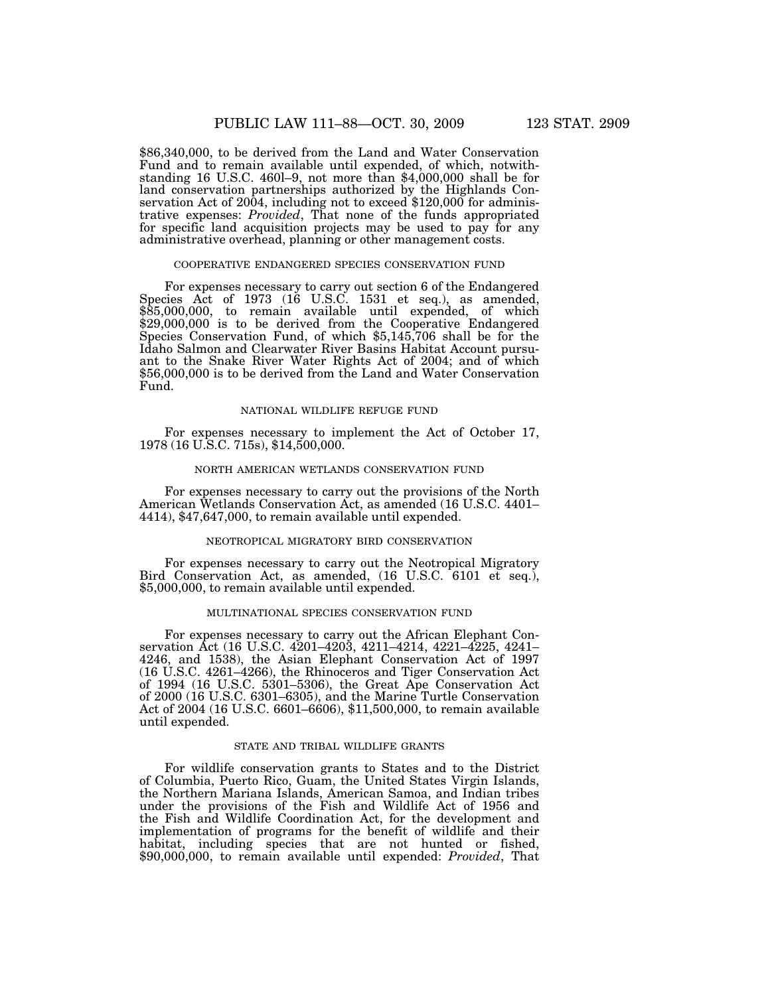\$86,340,000, to be derived from the Land and Water Conservation Fund and to remain available until expended, of which, notwithstanding 16 U.S.C. 460l–9, not more than \$4,000,000 shall be for land conservation partnerships authorized by the Highlands Conservation Act of 2004, including not to exceed \$120,000 for administrative expenses: *Provided*, That none of the funds appropriated for specific land acquisition projects may be used to pay for any administrative overhead, planning or other management costs.

#### COOPERATIVE ENDANGERED SPECIES CONSERVATION FUND

For expenses necessary to carry out section 6 of the Endangered Species Act of 1973 (16 U.S.C. 1531 et seq.), as amended, \$85,000,000, to remain available until expended, of which \$29,000,000 is to be derived from the Cooperative Endangered Species Conservation Fund, of which \$5,145,706 shall be for the Idaho Salmon and Clearwater River Basins Habitat Account pursuant to the Snake River Water Rights Act of 2004; and of which \$56,000,000 is to be derived from the Land and Water Conservation Fund.

#### NATIONAL WILDLIFE REFUGE FUND

For expenses necessary to implement the Act of October 17, 1978 (16 U.S.C. 715s), \$14,500,000.

# NORTH AMERICAN WETLANDS CONSERVATION FUND

For expenses necessary to carry out the provisions of the North American Wetlands Conservation Act, as amended (16 U.S.C. 4401– 4414), \$47,647,000, to remain available until expended.

# NEOTROPICAL MIGRATORY BIRD CONSERVATION

For expenses necessary to carry out the Neotropical Migratory Bird Conservation Act, as amended, (16 U.S.C. 6101 et seq.), \$5,000,000, to remain available until expended.

#### MULTINATIONAL SPECIES CONSERVATION FUND

For expenses necessary to carry out the African Elephant Conservation Act (16 U.S.C. 4201–4203, 4211–4214, 4221–4225, 4241– 4246, and 1538), the Asian Elephant Conservation Act of 1997 (16 U.S.C. 4261–4266), the Rhinoceros and Tiger Conservation Act of 1994 (16 U.S.C. 5301–5306), the Great Ape Conservation Act of 2000 (16 U.S.C. 6301–6305), and the Marine Turtle Conservation Act of 2004 (16 U.S.C. 6601–6606), \$11,500,000, to remain available until expended.

# STATE AND TRIBAL WILDLIFE GRANTS

For wildlife conservation grants to States and to the District of Columbia, Puerto Rico, Guam, the United States Virgin Islands, the Northern Mariana Islands, American Samoa, and Indian tribes under the provisions of the Fish and Wildlife Act of 1956 and the Fish and Wildlife Coordination Act, for the development and implementation of programs for the benefit of wildlife and their habitat, including species that are not hunted or fished, \$90,000,000, to remain available until expended: *Provided*, That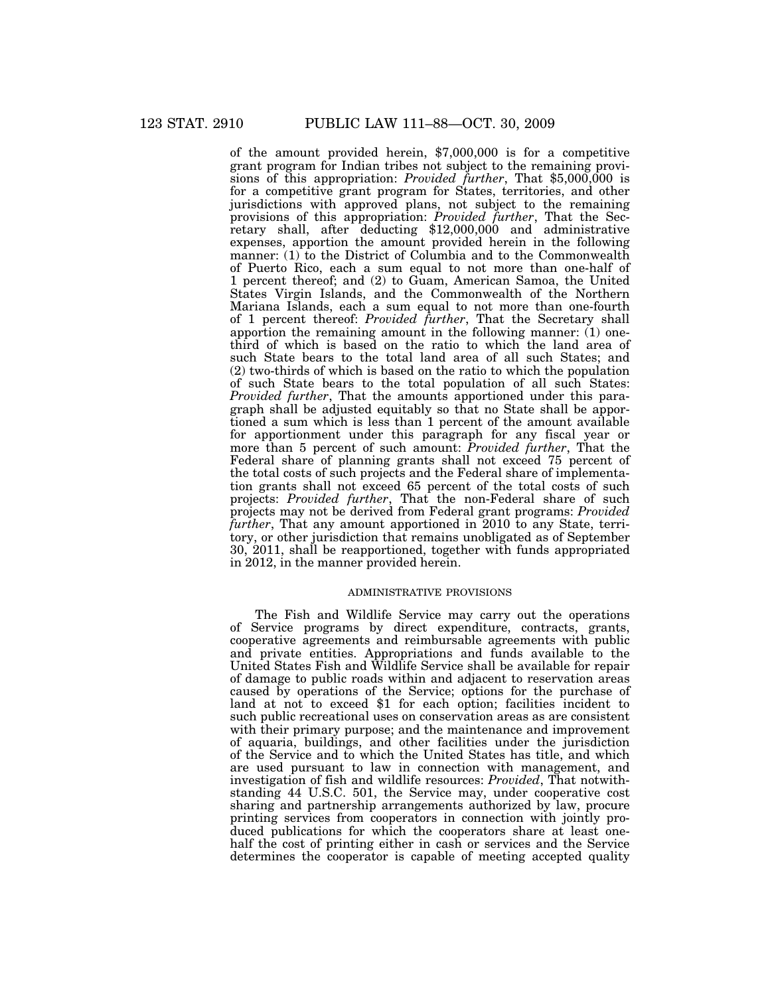of the amount provided herein, \$7,000,000 is for a competitive grant program for Indian tribes not subject to the remaining provisions of this appropriation: *Provided further*, That \$5,000,000 is for a competitive grant program for States, territories, and other jurisdictions with approved plans, not subject to the remaining provisions of this appropriation: *Provided further*, That the Secretary shall, after deducting \$12,000,000 and administrative expenses, apportion the amount provided herein in the following manner: (1) to the District of Columbia and to the Commonwealth of Puerto Rico, each a sum equal to not more than one-half of 1 percent thereof; and (2) to Guam, American Samoa, the United States Virgin Islands, and the Commonwealth of the Northern Mariana Islands, each a sum equal to not more than one-fourth of 1 percent thereof: *Provided further*, That the Secretary shall apportion the remaining amount in the following manner:  $(1)$  onethird of which is based on the ratio to which the land area of such State bears to the total land area of all such States; and (2) two-thirds of which is based on the ratio to which the population of such State bears to the total population of all such States: *Provided further*, That the amounts apportioned under this paragraph shall be adjusted equitably so that no State shall be apportioned a sum which is less than 1 percent of the amount available for apportionment under this paragraph for any fiscal year or more than 5 percent of such amount: *Provided further*, That the Federal share of planning grants shall not exceed 75 percent of the total costs of such projects and the Federal share of implementation grants shall not exceed 65 percent of the total costs of such projects: *Provided further*, That the non-Federal share of such projects may not be derived from Federal grant programs: *Provided further*, That any amount apportioned in 2010 to any State, territory, or other jurisdiction that remains unobligated as of September 30, 2011, shall be reapportioned, together with funds appropriated in 2012, in the manner provided herein.

# ADMINISTRATIVE PROVISIONS

The Fish and Wildlife Service may carry out the operations of Service programs by direct expenditure, contracts, grants, cooperative agreements and reimbursable agreements with public and private entities. Appropriations and funds available to the United States Fish and Wildlife Service shall be available for repair of damage to public roads within and adjacent to reservation areas caused by operations of the Service; options for the purchase of land at not to exceed \$1 for each option; facilities incident to such public recreational uses on conservation areas as are consistent with their primary purpose; and the maintenance and improvement of aquaria, buildings, and other facilities under the jurisdiction of the Service and to which the United States has title, and which are used pursuant to law in connection with management, and investigation of fish and wildlife resources: *Provided*, That notwithstanding 44 U.S.C. 501, the Service may, under cooperative cost sharing and partnership arrangements authorized by law, procure printing services from cooperators in connection with jointly produced publications for which the cooperators share at least onehalf the cost of printing either in cash or services and the Service determines the cooperator is capable of meeting accepted quality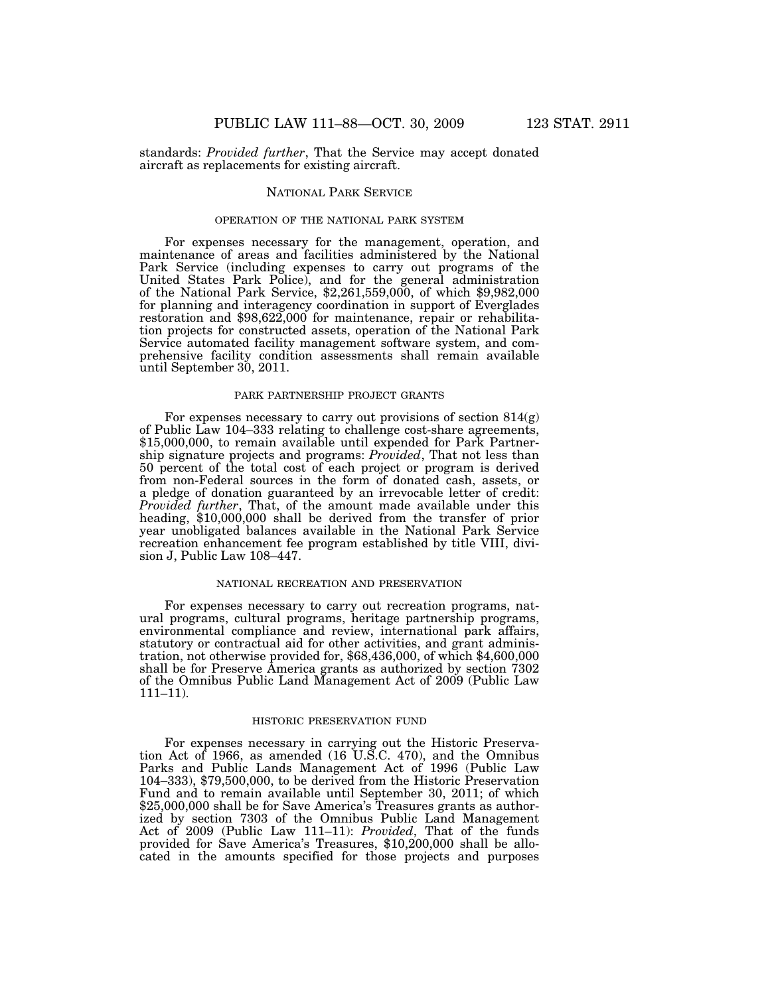standards: *Provided further*, That the Service may accept donated aircraft as replacements for existing aircraft.

# NATIONAL PARK SERVICE

# OPERATION OF THE NATIONAL PARK SYSTEM

For expenses necessary for the management, operation, and maintenance of areas and facilities administered by the National Park Service (including expenses to carry out programs of the United States Park Police), and for the general administration of the National Park Service, \$2,261,559,000, of which \$9,982,000 for planning and interagency coordination in support of Everglades restoration and \$98,622,000 for maintenance, repair or rehabilitation projects for constructed assets, operation of the National Park Service automated facility management software system, and comprehensive facility condition assessments shall remain available until September 30, 2011.

# PARK PARTNERSHIP PROJECT GRANTS

For expenses necessary to carry out provisions of section 814(g) of Public Law 104–333 relating to challenge cost-share agreements, \$15,000,000, to remain available until expended for Park Partnership signature projects and programs: *Provided*, That not less than 50 percent of the total cost of each project or program is derived from non-Federal sources in the form of donated cash, assets, or a pledge of donation guaranteed by an irrevocable letter of credit: *Provided further*, That, of the amount made available under this heading, \$10,000,000 shall be derived from the transfer of prior year unobligated balances available in the National Park Service recreation enhancement fee program established by title VIII, division J, Public Law 108–447.

#### NATIONAL RECREATION AND PRESERVATION

For expenses necessary to carry out recreation programs, natural programs, cultural programs, heritage partnership programs, environmental compliance and review, international park affairs, statutory or contractual aid for other activities, and grant administration, not otherwise provided for, \$68,436,000, of which \$4,600,000 shall be for Preserve America grants as authorized by section 7302 of the Omnibus Public Land Management Act of 2009 (Public Law 111–11).

#### HISTORIC PRESERVATION FUND

For expenses necessary in carrying out the Historic Preservation Act of 1966, as amended (16 U.S.C. 470), and the Omnibus Parks and Public Lands Management Act of 1996 (Public Law 104–333), \$79,500,000, to be derived from the Historic Preservation Fund and to remain available until September 30, 2011; of which \$25,000,000 shall be for Save America's Treasures grants as authorized by section 7303 of the Omnibus Public Land Management Act of 2009 (Public Law 111–11): *Provided*, That of the funds provided for Save America's Treasures, \$10,200,000 shall be allocated in the amounts specified for those projects and purposes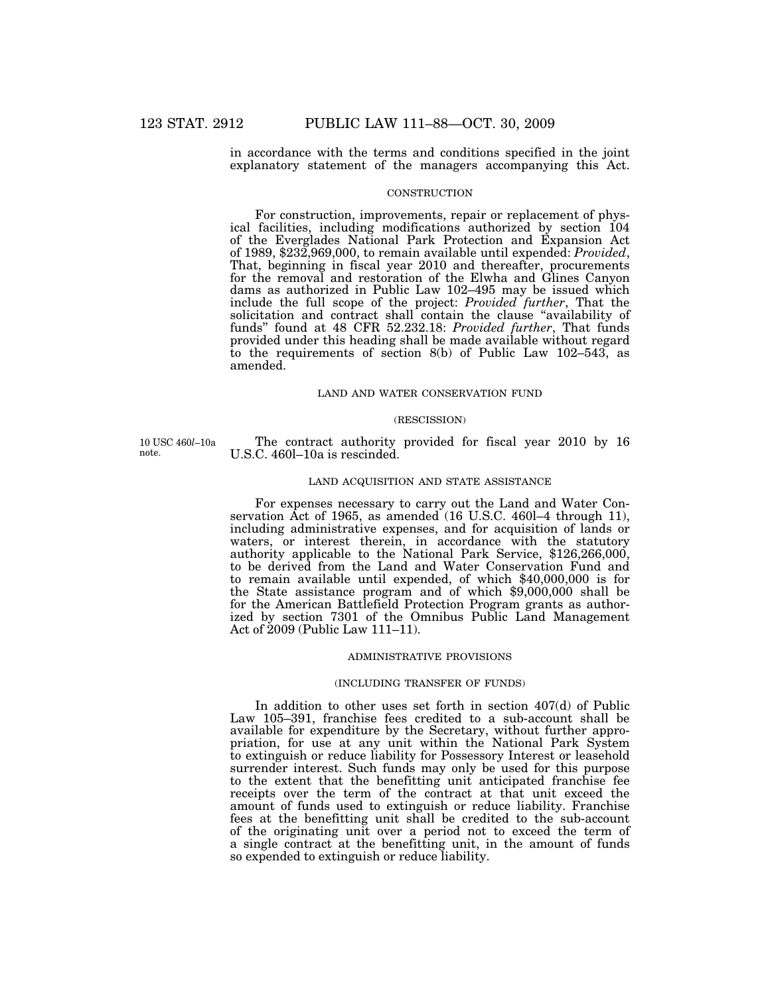in accordance with the terms and conditions specified in the joint explanatory statement of the managers accompanying this Act.

# **CONSTRUCTION**

For construction, improvements, repair or replacement of physical facilities, including modifications authorized by section 104 of the Everglades National Park Protection and Expansion Act of 1989, \$232,969,000, to remain available until expended: *Provided*, That, beginning in fiscal year 2010 and thereafter, procurements for the removal and restoration of the Elwha and Glines Canyon dams as authorized in Public Law 102–495 may be issued which include the full scope of the project: *Provided further*, That the solicitation and contract shall contain the clause "availability of funds'' found at 48 CFR 52.232.18: *Provided further*, That funds provided under this heading shall be made available without regard to the requirements of section 8(b) of Public Law 102–543, as amended.

# LAND AND WATER CONSERVATION FUND

#### (RESCISSION)

10 USC 460*l*–10a note.

The contract authority provided for fiscal year 2010 by 16 U.S.C. 460l–10a is rescinded.

#### LAND ACQUISITION AND STATE ASSISTANCE

For expenses necessary to carry out the Land and Water Conservation Act of 1965, as amended (16 U.S.C. 460l–4 through 11), including administrative expenses, and for acquisition of lands or waters, or interest therein, in accordance with the statutory authority applicable to the National Park Service, \$126,266,000, to be derived from the Land and Water Conservation Fund and to remain available until expended, of which \$40,000,000 is for the State assistance program and of which \$9,000,000 shall be for the American Battlefield Protection Program grants as authorized by section 7301 of the Omnibus Public Land Management Act of 2009 (Public Law 111–11).

# ADMINISTRATIVE PROVISIONS

# (INCLUDING TRANSFER OF FUNDS)

In addition to other uses set forth in section 407(d) of Public Law 105–391, franchise fees credited to a sub-account shall be available for expenditure by the Secretary, without further appropriation, for use at any unit within the National Park System to extinguish or reduce liability for Possessory Interest or leasehold surrender interest. Such funds may only be used for this purpose to the extent that the benefitting unit anticipated franchise fee receipts over the term of the contract at that unit exceed the amount of funds used to extinguish or reduce liability. Franchise fees at the benefitting unit shall be credited to the sub-account of the originating unit over a period not to exceed the term of a single contract at the benefitting unit, in the amount of funds so expended to extinguish or reduce liability.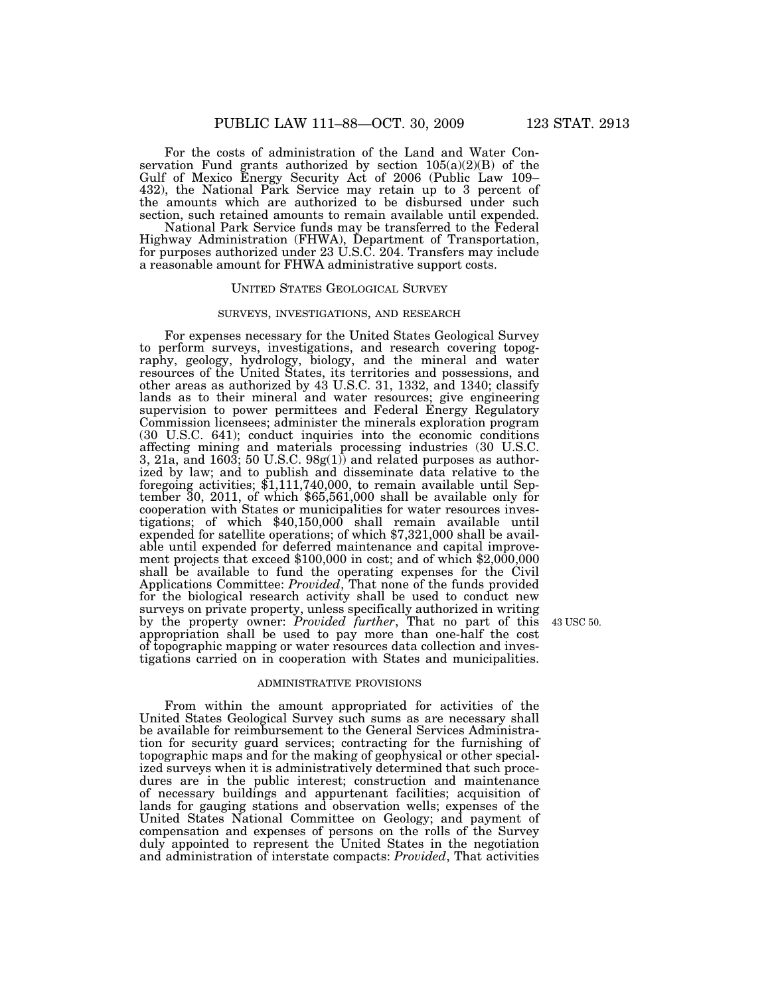For the costs of administration of the Land and Water Conservation Fund grants authorized by section  $105(a)(2)(B)$  of the Gulf of Mexico Energy Security Act of 2006 (Public Law 109– 432), the National Park Service may retain up to 3 percent of the amounts which are authorized to be disbursed under such section, such retained amounts to remain available until expended.

National Park Service funds may be transferred to the Federal Highway Administration (FHWA), Department of Transportation, for purposes authorized under 23 U.S.C. 204. Transfers may include a reasonable amount for FHWA administrative support costs.

# UNITED STATES GEOLOGICAL SURVEY

#### SURVEYS, INVESTIGATIONS, AND RESEARCH

For expenses necessary for the United States Geological Survey to perform surveys, investigations, and research covering topography, geology, hydrology, biology, and the mineral and water resources of the United States, its territories and possessions, and other areas as authorized by 43 U.S.C. 31, 1332, and 1340; classify lands as to their mineral and water resources; give engineering supervision to power permittees and Federal Energy Regulatory Commission licensees; administer the minerals exploration program (30 U.S.C. 641); conduct inquiries into the economic conditions affecting mining and materials processing industries (30 U.S.C. 3, 21a, and 1603; 50 U.S.C. 98g(1)) and related purposes as authorized by law; and to publish and disseminate data relative to the foregoing activities; \$1,111,740,000, to remain available until September 30, 2011, of which \$65,561,000 shall be available only for cooperation with States or municipalities for water resources investigations; of which \$40,150,000 shall remain available until expended for satellite operations; of which \$7,321,000 shall be available until expended for deferred maintenance and capital improvement projects that exceed \$100,000 in cost; and of which \$2,000,000 shall be available to fund the operating expenses for the Civil Applications Committee: *Provided*, That none of the funds provided for the biological research activity shall be used to conduct new surveys on private property, unless specifically authorized in writing by the property owner: *Provided further*, That no part of this appropriation shall be used to pay more than one-half the cost of topographic mapping or water resources data collection and investigations carried on in cooperation with States and municipalities.

43 USC 50.

#### ADMINISTRATIVE PROVISIONS

From within the amount appropriated for activities of the United States Geological Survey such sums as are necessary shall be available for reimbursement to the General Services Administration for security guard services; contracting for the furnishing of topographic maps and for the making of geophysical or other specialized surveys when it is administratively determined that such procedures are in the public interest; construction and maintenance of necessary buildings and appurtenant facilities; acquisition of lands for gauging stations and observation wells; expenses of the United States National Committee on Geology; and payment of compensation and expenses of persons on the rolls of the Survey duly appointed to represent the United States in the negotiation and administration of interstate compacts: *Provided*, That activities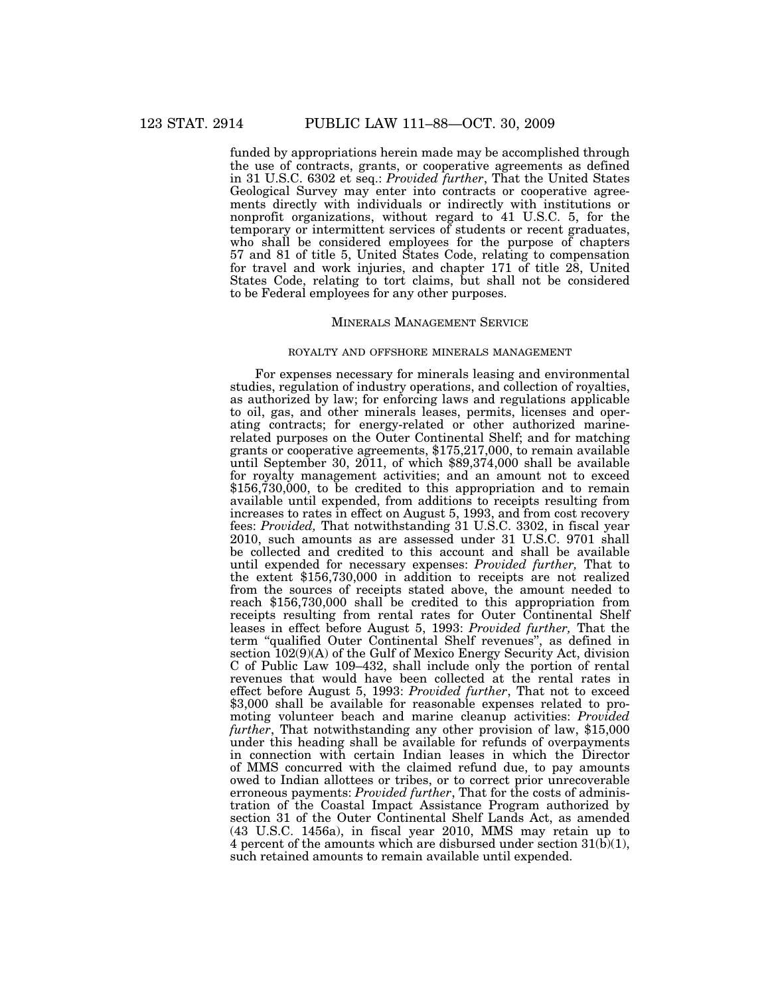funded by appropriations herein made may be accomplished through the use of contracts, grants, or cooperative agreements as defined in 31 U.S.C. 6302 et seq.: *Provided further*, That the United States Geological Survey may enter into contracts or cooperative agreements directly with individuals or indirectly with institutions or nonprofit organizations, without regard to 41 U.S.C. 5, for the temporary or intermittent services of students or recent graduates, who shall be considered employees for the purpose of chapters 57 and 81 of title 5, United States Code, relating to compensation for travel and work injuries, and chapter 171 of title 28, United States Code, relating to tort claims, but shall not be considered to be Federal employees for any other purposes.

# MINERALS MANAGEMENT SERVICE

# ROYALTY AND OFFSHORE MINERALS MANAGEMENT

For expenses necessary for minerals leasing and environmental studies, regulation of industry operations, and collection of royalties, as authorized by law; for enforcing laws and regulations applicable to oil, gas, and other minerals leases, permits, licenses and operating contracts; for energy-related or other authorized marinerelated purposes on the Outer Continental Shelf; and for matching grants or cooperative agreements, \$175,217,000, to remain available until September 30, 2011, of which \$89,374,000 shall be available for royalty management activities; and an amount not to exceed  $$156,730,000$ , to be credited to this appropriation and to remain available until expended, from additions to receipts resulting from increases to rates in effect on August 5, 1993, and from cost recovery fees: *Provided,* That notwithstanding 31 U.S.C. 3302, in fiscal year 2010, such amounts as are assessed under 31 U.S.C. 9701 shall be collected and credited to this account and shall be available until expended for necessary expenses: *Provided further,* That to the extent \$156,730,000 in addition to receipts are not realized from the sources of receipts stated above, the amount needed to reach \$156,730,000 shall be credited to this appropriation from receipts resulting from rental rates for Outer Continental Shelf leases in effect before August 5, 1993: *Provided further,* That the term ''qualified Outer Continental Shelf revenues'', as defined in section 102(9)(A) of the Gulf of Mexico Energy Security Act, division C of Public Law 109–432, shall include only the portion of rental revenues that would have been collected at the rental rates in effect before August 5, 1993: *Provided further*, That not to exceed \$3,000 shall be available for reasonable expenses related to promoting volunteer beach and marine cleanup activities: *Provided further*, That notwithstanding any other provision of law, \$15,000 under this heading shall be available for refunds of overpayments in connection with certain Indian leases in which the Director of MMS concurred with the claimed refund due, to pay amounts owed to Indian allottees or tribes, or to correct prior unrecoverable erroneous payments: *Provided further*, That for the costs of administration of the Coastal Impact Assistance Program authorized by section 31 of the Outer Continental Shelf Lands Act, as amended (43 U.S.C. 1456a), in fiscal year 2010, MMS may retain up to 4 percent of the amounts which are disbursed under section  $31(b)(1)$ , such retained amounts to remain available until expended.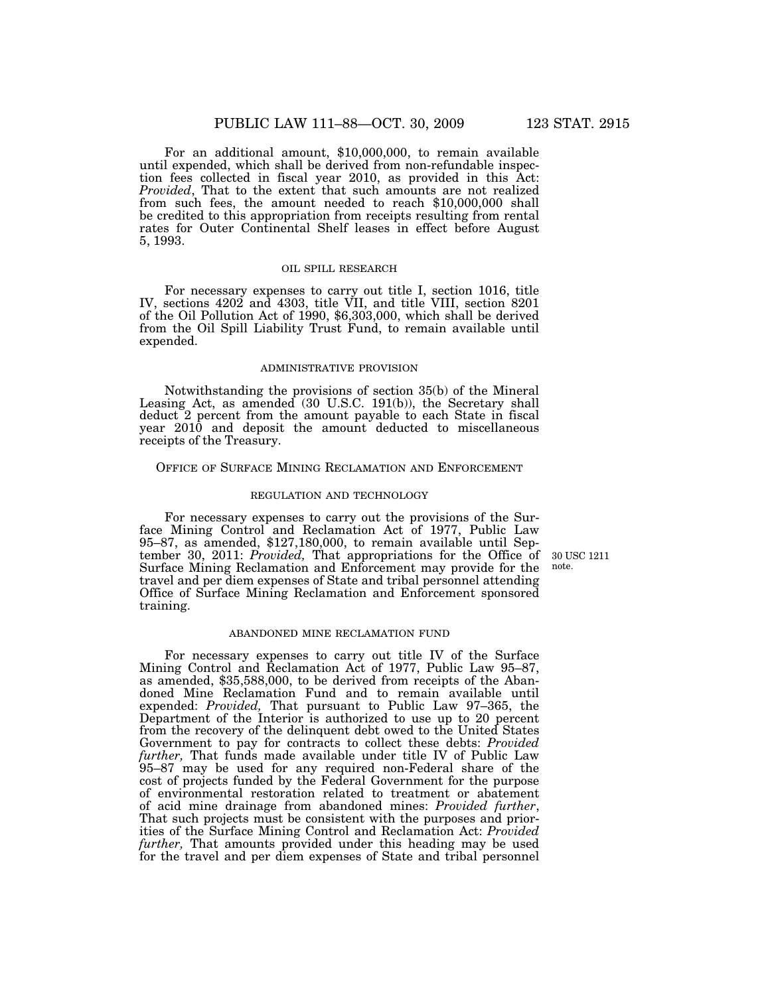For an additional amount, \$10,000,000, to remain available until expended, which shall be derived from non-refundable inspection fees collected in fiscal year 2010, as provided in this Act: *Provided*, That to the extent that such amounts are not realized from such fees, the amount needed to reach \$10,000,000 shall be credited to this appropriation from receipts resulting from rental rates for Outer Continental Shelf leases in effect before August 5, 1993.

# OIL SPILL RESEARCH

For necessary expenses to carry out title I, section 1016, title IV, sections 4202 and 4303, title VII, and title VIII, section 8201 of the Oil Pollution Act of 1990, \$6,303,000, which shall be derived from the Oil Spill Liability Trust Fund, to remain available until expended.

#### ADMINISTRATIVE PROVISION

Notwithstanding the provisions of section 35(b) of the Mineral Leasing Act, as amended (30 U.S.C. 191(b)), the Secretary shall deduct 2 percent from the amount payable to each State in fiscal year 2010 and deposit the amount deducted to miscellaneous receipts of the Treasury.

## OFFICE OF SURFACE MINING RECLAMATION AND ENFORCEMENT

# REGULATION AND TECHNOLOGY

For necessary expenses to carry out the provisions of the Surface Mining Control and Reclamation Act of 1977, Public Law 95–87, as amended, \$127,180,000, to remain available until September 30, 2011: *Provided*, That appropriations for the Office of Surface Mining Reclamation and Enforcement may provide for the travel and per diem expenses of State and tribal personnel attending Office of Surface Mining Reclamation and Enforcement sponsored training.

#### ABANDONED MINE RECLAMATION FUND

For necessary expenses to carry out title IV of the Surface Mining Control and Reclamation Act of 1977, Public Law 95–87, as amended, \$35,588,000, to be derived from receipts of the Abandoned Mine Reclamation Fund and to remain available until expended: *Provided,* That pursuant to Public Law 97–365, the Department of the Interior is authorized to use up to 20 percent from the recovery of the delinquent debt owed to the United States Government to pay for contracts to collect these debts: *Provided further,* That funds made available under title IV of Public Law 95–87 may be used for any required non-Federal share of the cost of projects funded by the Federal Government for the purpose of environmental restoration related to treatment or abatement of acid mine drainage from abandoned mines: *Provided further*, That such projects must be consistent with the purposes and priorities of the Surface Mining Control and Reclamation Act: *Provided*  further, That amounts provided under this heading may be used for the travel and per diem expenses of State and tribal personnel

30 USC 1211 note.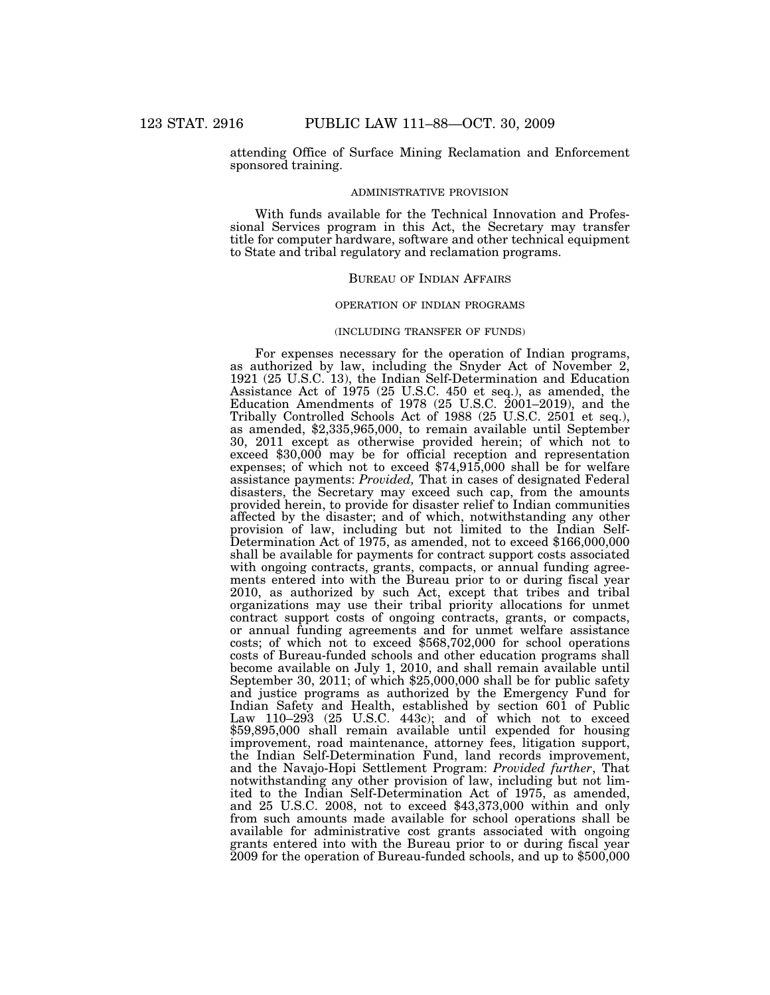attending Office of Surface Mining Reclamation and Enforcement sponsored training.

#### ADMINISTRATIVE PROVISION

With funds available for the Technical Innovation and Professional Services program in this Act, the Secretary may transfer title for computer hardware, software and other technical equipment to State and tribal regulatory and reclamation programs.

# BUREAU OF INDIAN AFFAIRS

# OPERATION OF INDIAN PROGRAMS

# (INCLUDING TRANSFER OF FUNDS)

For expenses necessary for the operation of Indian programs, as authorized by law, including the Snyder Act of November 2, 1921 (25 U.S.C. 13), the Indian Self-Determination and Education Assistance Act of 1975 (25 U.S.C. 450 et seq.), as amended, the Education Amendments of 1978 (25 U.S.C. 2001–2019), and the Tribally Controlled Schools Act of 1988 (25 U.S.C. 2501 et seq.), as amended, \$2,335,965,000, to remain available until September 30, 2011 except as otherwise provided herein; of which not to exceed \$30,000 may be for official reception and representation expenses; of which not to exceed \$74,915,000 shall be for welfare assistance payments: *Provided,* That in cases of designated Federal disasters, the Secretary may exceed such cap, from the amounts provided herein, to provide for disaster relief to Indian communities affected by the disaster; and of which, notwithstanding any other provision of law, including but not limited to the Indian Self-Determination Act of 1975, as amended, not to exceed \$166,000,000 shall be available for payments for contract support costs associated with ongoing contracts, grants, compacts, or annual funding agreements entered into with the Bureau prior to or during fiscal year 2010, as authorized by such Act, except that tribes and tribal organizations may use their tribal priority allocations for unmet contract support costs of ongoing contracts, grants, or compacts, or annual funding agreements and for unmet welfare assistance costs; of which not to exceed \$568,702,000 for school operations costs of Bureau-funded schools and other education programs shall become available on July 1, 2010, and shall remain available until September 30, 2011; of which \$25,000,000 shall be for public safety and justice programs as authorized by the Emergency Fund for Indian Safety and Health, established by section 601 of Public Law 110–293 (25 U.S.C. 443c); and of which not to exceed \$59,895,000 shall remain available until expended for housing improvement, road maintenance, attorney fees, litigation support, the Indian Self-Determination Fund, land records improvement, and the Navajo-Hopi Settlement Program: *Provided further*, That notwithstanding any other provision of law, including but not limited to the Indian Self-Determination Act of 1975, as amended, and 25 U.S.C. 2008, not to exceed \$43,373,000 within and only from such amounts made available for school operations shall be available for administrative cost grants associated with ongoing grants entered into with the Bureau prior to or during fiscal year 2009 for the operation of Bureau-funded schools, and up to \$500,000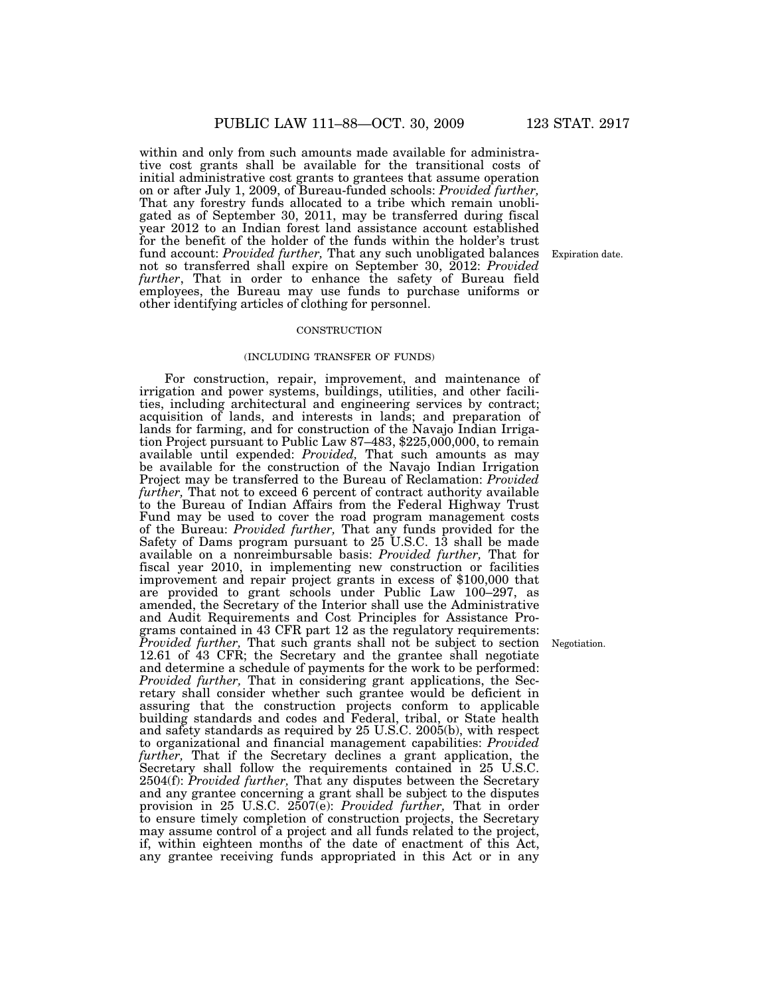within and only from such amounts made available for administrative cost grants shall be available for the transitional costs of initial administrative cost grants to grantees that assume operation on or after July 1, 2009, of Bureau-funded schools: *Provided further,*  That any forestry funds allocated to a tribe which remain unobligated as of September 30, 2011, may be transferred during fiscal year 2012 to an Indian forest land assistance account established for the benefit of the holder of the funds within the holder's trust fund account: *Provided further,* That any such unobligated balances not so transferred shall expire on September 30, 2012: *Provided further*, That in order to enhance the safety of Bureau field employees, the Bureau may use funds to purchase uniforms or other identifying articles of clothing for personnel.

#### **CONSTRUCTION**

#### (INCLUDING TRANSFER OF FUNDS)

For construction, repair, improvement, and maintenance of irrigation and power systems, buildings, utilities, and other facilities, including architectural and engineering services by contract; acquisition of lands, and interests in lands; and preparation of lands for farming, and for construction of the Navajo Indian Irrigation Project pursuant to Public Law 87–483, \$225,000,000, to remain available until expended: *Provided,* That such amounts as may be available for the construction of the Navajo Indian Irrigation Project may be transferred to the Bureau of Reclamation: *Provided further,* That not to exceed 6 percent of contract authority available to the Bureau of Indian Affairs from the Federal Highway Trust Fund may be used to cover the road program management costs of the Bureau: *Provided further,* That any funds provided for the Safety of Dams program pursuant to  $25$  U.S.C. 13 shall be made available on a nonreimbursable basis: *Provided further,* That for fiscal year 2010, in implementing new construction or facilities improvement and repair project grants in excess of \$100,000 that are provided to grant schools under Public Law 100–297, as amended, the Secretary of the Interior shall use the Administrative and Audit Requirements and Cost Principles for Assistance Programs contained in 43 CFR part 12 as the regulatory requirements: *Provided further,* That such grants shall not be subject to section 12.61 of 43 CFR; the Secretary and the grantee shall negotiate and determine a schedule of payments for the work to be performed: *Provided further,* That in considering grant applications, the Secretary shall consider whether such grantee would be deficient in assuring that the construction projects conform to applicable building standards and codes and Federal, tribal, or State health and safety standards as required by 25 U.S.C. 2005(b), with respect to organizational and financial management capabilities: *Provided further,* That if the Secretary declines a grant application, the Secretary shall follow the requirements contained in 25 U.S.C. 2504(f): *Provided further,* That any disputes between the Secretary and any grantee concerning a grant shall be subject to the disputes provision in 25 U.S.C. 2507(e): *Provided further,* That in order to ensure timely completion of construction projects, the Secretary may assume control of a project and all funds related to the project, if, within eighteen months of the date of enactment of this Act, any grantee receiving funds appropriated in this Act or in any

Expiration date.

Negotiation.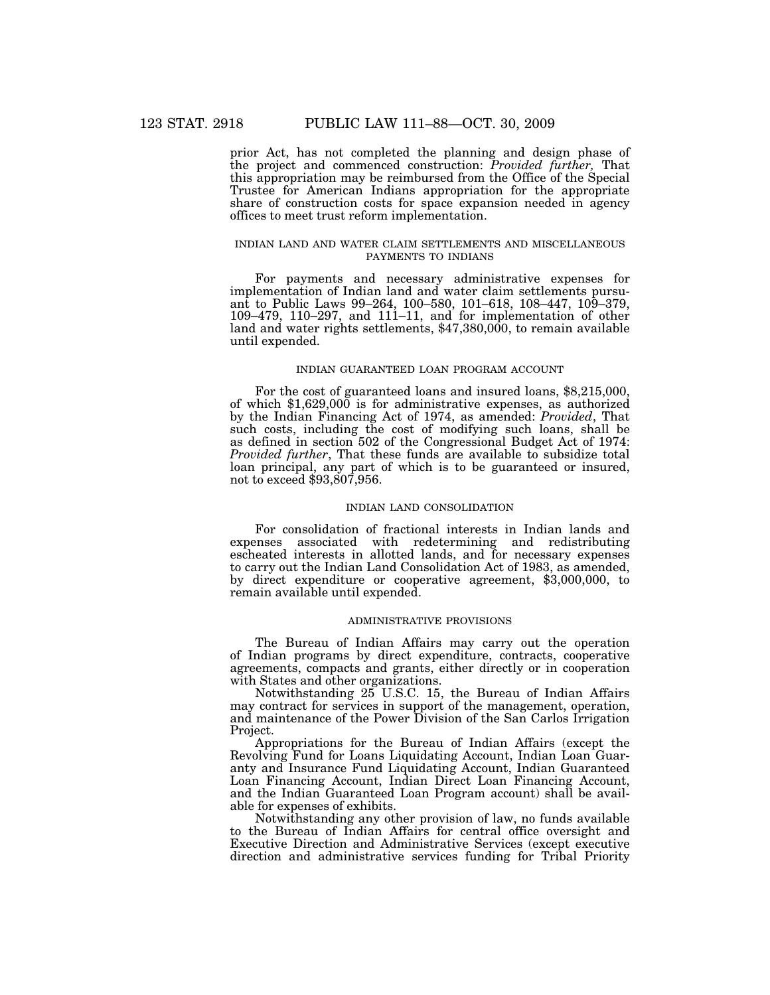prior Act, has not completed the planning and design phase of the project and commenced construction: *Provided further,* That this appropriation may be reimbursed from the Office of the Special Trustee for American Indians appropriation for the appropriate share of construction costs for space expansion needed in agency offices to meet trust reform implementation.

# INDIAN LAND AND WATER CLAIM SETTLEMENTS AND MISCELLANEOUS PAYMENTS TO INDIANS

For payments and necessary administrative expenses for implementation of Indian land and water claim settlements pursuant to Public Laws 99–264, 100–580, 101–618, 108–447, 109–379, 109–479, 110–297, and 111–11, and for implementation of other land and water rights settlements, \$47,380,000, to remain available until expended.

# INDIAN GUARANTEED LOAN PROGRAM ACCOUNT

For the cost of guaranteed loans and insured loans, \$8,215,000, of which \$1,629,000 is for administrative expenses, as authorized by the Indian Financing Act of 1974, as amended: *Provided*, That such costs, including the cost of modifying such loans, shall be as defined in section 502 of the Congressional Budget Act of 1974: *Provided further*, That these funds are available to subsidize total loan principal, any part of which is to be guaranteed or insured, not to exceed \$93,807,956.

#### INDIAN LAND CONSOLIDATION

For consolidation of fractional interests in Indian lands and expenses associated with redetermining and redistributing escheated interests in allotted lands, and for necessary expenses to carry out the Indian Land Consolidation Act of 1983, as amended, by direct expenditure or cooperative agreement, \$3,000,000, to remain available until expended.

# ADMINISTRATIVE PROVISIONS

The Bureau of Indian Affairs may carry out the operation of Indian programs by direct expenditure, contracts, cooperative agreements, compacts and grants, either directly or in cooperation with States and other organizations.

Notwithstanding 25 U.S.C. 15, the Bureau of Indian Affairs may contract for services in support of the management, operation, and maintenance of the Power Division of the San Carlos Irrigation Project.

Appropriations for the Bureau of Indian Affairs (except the Revolving Fund for Loans Liquidating Account, Indian Loan Guaranty and Insurance Fund Liquidating Account, Indian Guaranteed Loan Financing Account, Indian Direct Loan Financing Account, and the Indian Guaranteed Loan Program account) shall be available for expenses of exhibits.

Notwithstanding any other provision of law, no funds available to the Bureau of Indian Affairs for central office oversight and Executive Direction and Administrative Services (except executive direction and administrative services funding for Tribal Priority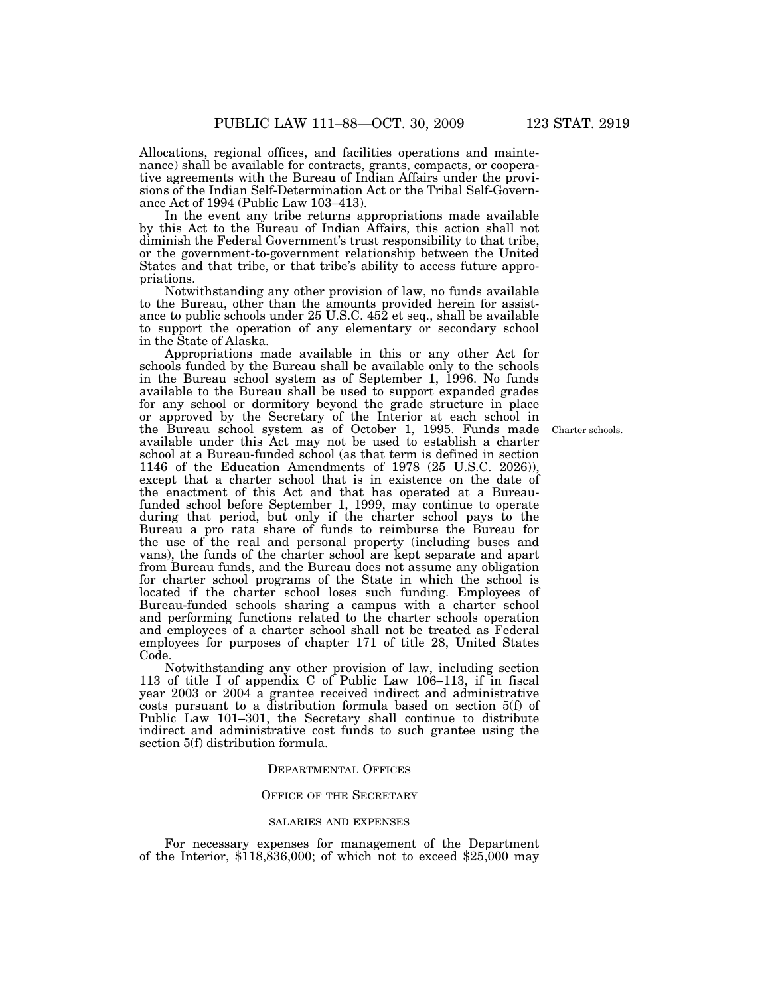Allocations, regional offices, and facilities operations and maintenance) shall be available for contracts, grants, compacts, or cooperative agreements with the Bureau of Indian Affairs under the provisions of the Indian Self-Determination Act or the Tribal Self-Governance Act of 1994 (Public Law 103–413).

In the event any tribe returns appropriations made available by this Act to the Bureau of Indian Affairs, this action shall not diminish the Federal Government's trust responsibility to that tribe, or the government-to-government relationship between the United States and that tribe, or that tribe's ability to access future appropriations.

Notwithstanding any other provision of law, no funds available to the Bureau, other than the amounts provided herein for assistance to public schools under 25 U.S.C. 452 et seq., shall be available to support the operation of any elementary or secondary school in the State of Alaska.

Appropriations made available in this or any other Act for schools funded by the Bureau shall be available only to the schools in the Bureau school system as of September 1, 1996. No funds available to the Bureau shall be used to support expanded grades for any school or dormitory beyond the grade structure in place or approved by the Secretary of the Interior at each school in the Bureau school system as of October 1, 1995. Funds made available under this Act may not be used to establish a charter school at a Bureau-funded school (as that term is defined in section 1146 of the Education Amendments of 1978 (25 U.S.C. 2026)), except that a charter school that is in existence on the date of the enactment of this Act and that has operated at a Bureaufunded school before September 1, 1999, may continue to operate during that period, but only if the charter school pays to the Bureau a pro rata share of funds to reimburse the Bureau for the use of the real and personal property (including buses and vans), the funds of the charter school are kept separate and apart from Bureau funds, and the Bureau does not assume any obligation for charter school programs of the State in which the school is located if the charter school loses such funding. Employees of Bureau-funded schools sharing a campus with a charter school and performing functions related to the charter schools operation and employees of a charter school shall not be treated as Federal employees for purposes of chapter 171 of title 28, United States Code.

Notwithstanding any other provision of law, including section 113 of title I of appendix C of Public Law 106–113, if in fiscal year 2003 or 2004 a grantee received indirect and administrative costs pursuant to a distribution formula based on section 5(f) of Public Law 101–301, the Secretary shall continue to distribute indirect and administrative cost funds to such grantee using the section 5(f) distribution formula.

# DEPARTMENTAL OFFICES

# OFFICE OF THE SECRETARY

#### SALARIES AND EXPENSES

For necessary expenses for management of the Department of the Interior,  $$118,836,000$ ; of which not to exceed  $$25,000$  may

Charter schools.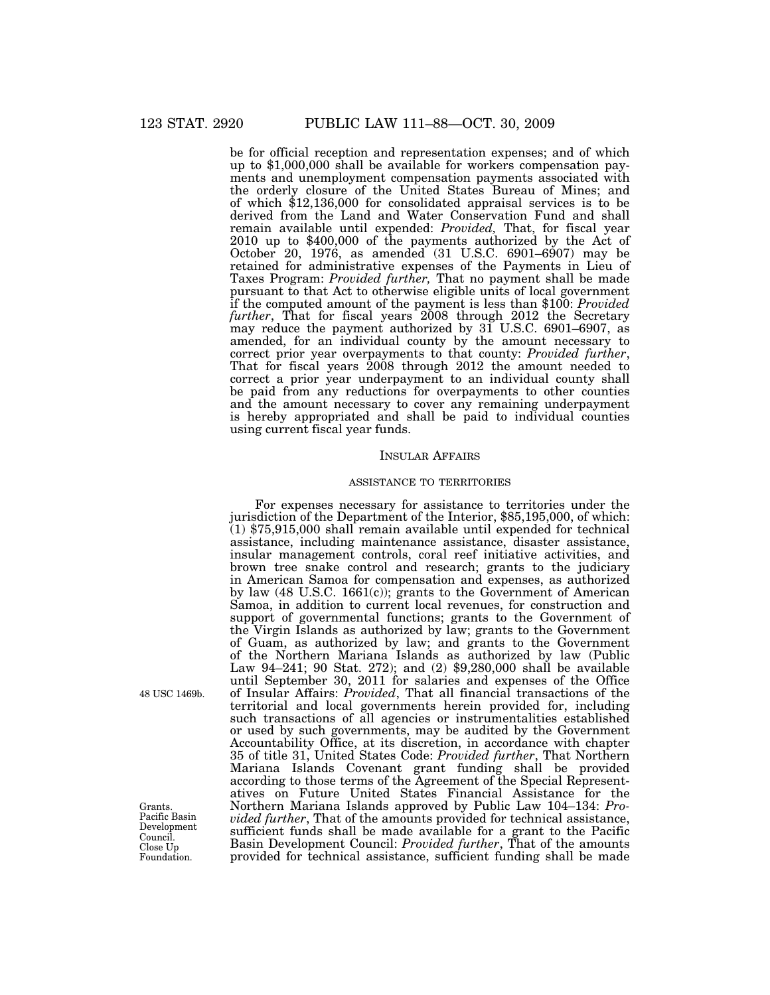be for official reception and representation expenses; and of which up to \$1,000,000 shall be available for workers compensation payments and unemployment compensation payments associated with the orderly closure of the United States Bureau of Mines; and of which \$12,136,000 for consolidated appraisal services is to be derived from the Land and Water Conservation Fund and shall remain available until expended: *Provided,* That, for fiscal year 2010 up to \$400,000 of the payments authorized by the Act of October 20, 1976, as amended  $(31 \text{ U.S.C. } 6901 - 6907)$  may be retained for administrative expenses of the Payments in Lieu of Taxes Program: *Provided further,* That no payment shall be made pursuant to that Act to otherwise eligible units of local government if the computed amount of the payment is less than \$100: *Provided further*, That for fiscal years 2008 through 2012 the Secretary may reduce the payment authorized by 31 U.S.C. 6901–6907, as amended, for an individual county by the amount necessary to correct prior year overpayments to that county: *Provided further*, That for fiscal years 2008 through 2012 the amount needed to correct a prior year underpayment to an individual county shall be paid from any reductions for overpayments to other counties and the amount necessary to cover any remaining underpayment is hereby appropriated and shall be paid to individual counties using current fiscal year funds.

# INSULAR AFFAIRS

# ASSISTANCE TO TERRITORIES

For expenses necessary for assistance to territories under the jurisdiction of the Department of the Interior, \$85,195,000, of which: (1) \$75,915,000 shall remain available until expended for technical assistance, including maintenance assistance, disaster assistance, insular management controls, coral reef initiative activities, and brown tree snake control and research; grants to the judiciary in American Samoa for compensation and expenses, as authorized by law (48 U.S.C. 1661(c)); grants to the Government of American Samoa, in addition to current local revenues, for construction and support of governmental functions; grants to the Government of the Virgin Islands as authorized by law; grants to the Government of Guam, as authorized by law; and grants to the Government of the Northern Mariana Islands as authorized by law (Public Law 94–241; 90 Stat. 272); and (2) \$9,280,000 shall be available until September 30, 2011 for salaries and expenses of the Office of Insular Affairs: *Provided*, That all financial transactions of the territorial and local governments herein provided for, including such transactions of all agencies or instrumentalities established or used by such governments, may be audited by the Government Accountability Office, at its discretion, in accordance with chapter 35 of title 31, United States Code: *Provided further*, That Northern Mariana Islands Covenant grant funding shall be provided according to those terms of the Agreement of the Special Representatives on Future United States Financial Assistance for the Northern Mariana Islands approved by Public Law 104–134: *Provided further*, That of the amounts provided for technical assistance, sufficient funds shall be made available for a grant to the Pacific Basin Development Council: *Provided further*, That of the amounts  $p_{\text{obs}}$  Easin Development Council: *Provided furtner*, I hat of the amounts Foundation. provided for technical assistance, sufficient funding shall be made

48 USC 1469b.

Foundation. Grants. Pacific Basin Development. Council.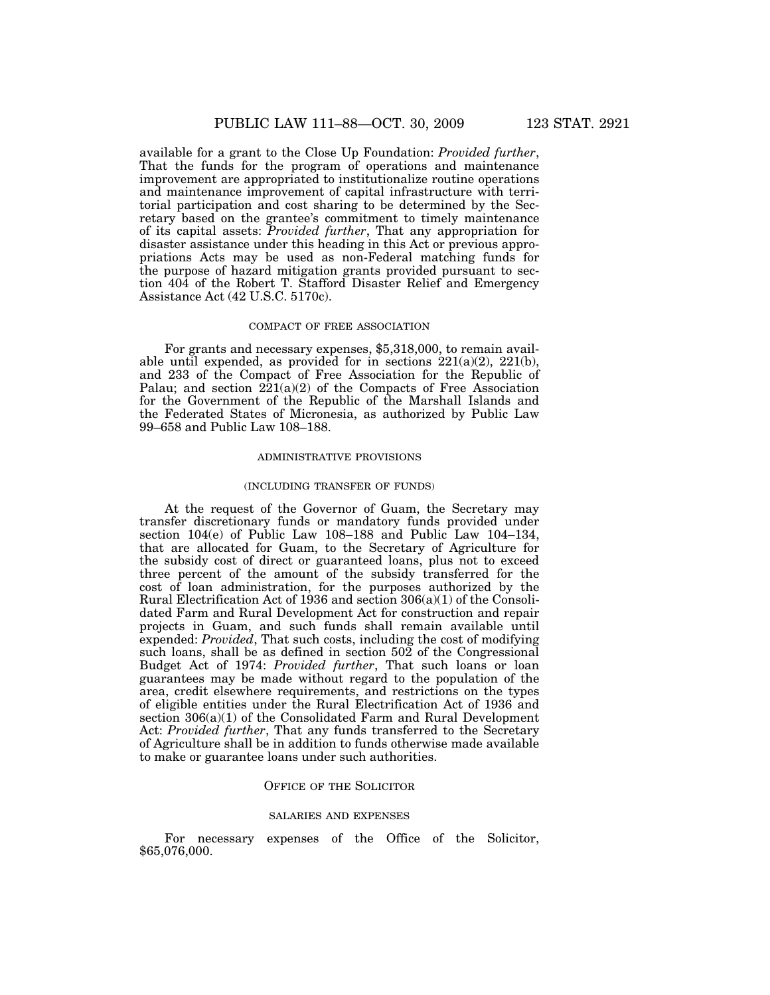available for a grant to the Close Up Foundation: *Provided further*, That the funds for the program of operations and maintenance improvement are appropriated to institutionalize routine operations and maintenance improvement of capital infrastructure with territorial participation and cost sharing to be determined by the Secretary based on the grantee's commitment to timely maintenance of its capital assets: *Provided further*, That any appropriation for disaster assistance under this heading in this Act or previous appropriations Acts may be used as non-Federal matching funds for the purpose of hazard mitigation grants provided pursuant to section 404 of the Robert T. Stafford Disaster Relief and Emergency Assistance Act (42 U.S.C. 5170c).

# COMPACT OF FREE ASSOCIATION

For grants and necessary expenses, \$5,318,000, to remain available until expended, as provided for in sections  $221(a)(2)$ ,  $221(b)$ , and 233 of the Compact of Free Association for the Republic of Palau; and section  $221(a)(2)$  of the Compacts of Free Association for the Government of the Republic of the Marshall Islands and the Federated States of Micronesia, as authorized by Public Law 99–658 and Public Law 108–188.

#### ADMINISTRATIVE PROVISIONS

#### (INCLUDING TRANSFER OF FUNDS)

At the request of the Governor of Guam, the Secretary may transfer discretionary funds or mandatory funds provided under section 104(e) of Public Law 108–188 and Public Law 104–134, that are allocated for Guam, to the Secretary of Agriculture for the subsidy cost of direct or guaranteed loans, plus not to exceed three percent of the amount of the subsidy transferred for the cost of loan administration, for the purposes authorized by the Rural Electrification Act of 1936 and section 306(a)(1) of the Consolidated Farm and Rural Development Act for construction and repair projects in Guam, and such funds shall remain available until expended: *Provided*, That such costs, including the cost of modifying such loans, shall be as defined in section 502 of the Congressional Budget Act of 1974: *Provided further*, That such loans or loan guarantees may be made without regard to the population of the area, credit elsewhere requirements, and restrictions on the types of eligible entities under the Rural Electrification Act of 1936 and section 306(a)(1) of the Consolidated Farm and Rural Development Act: *Provided further*, That any funds transferred to the Secretary of Agriculture shall be in addition to funds otherwise made available to make or guarantee loans under such authorities.

# OFFICE OF THE SOLICITOR

# SALARIES AND EXPENSES

For necessary expenses of the Office of the Solicitor, \$65,076,000.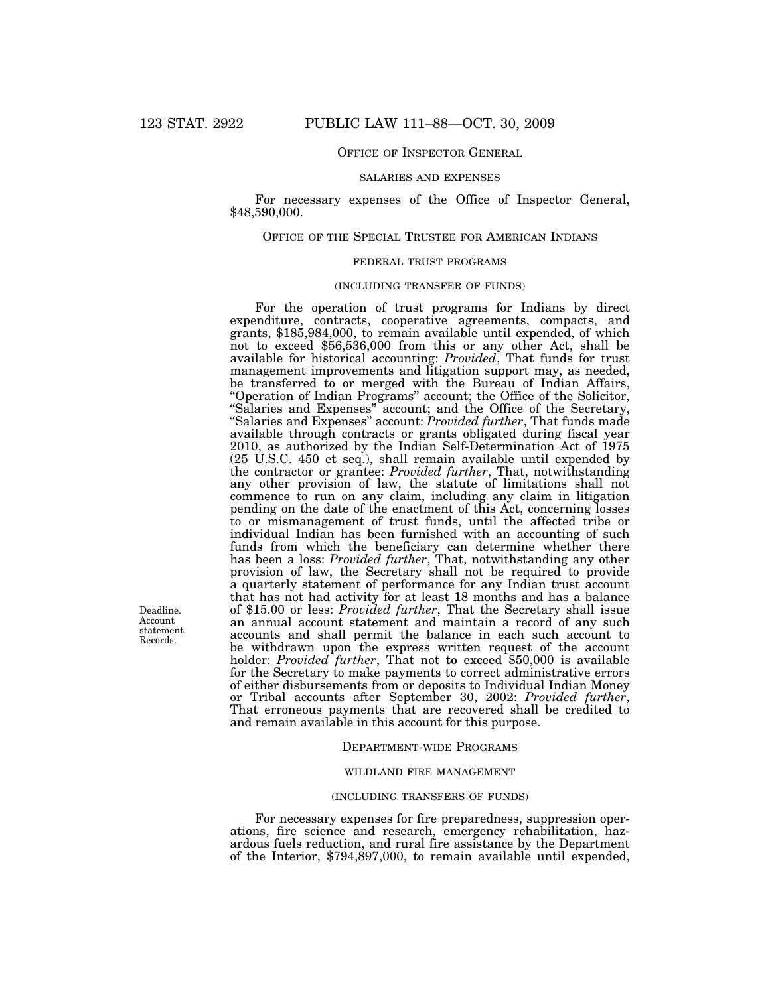# OFFICE OF INSPECTOR GENERAL

#### SALARIES AND EXPENSES

For necessary expenses of the Office of Inspector General, \$48,590,000.

# OFFICE OF THE SPECIAL TRUSTEE FOR AMERICAN INDIANS

# FEDERAL TRUST PROGRAMS

# (INCLUDING TRANSFER OF FUNDS)

For the operation of trust programs for Indians by direct expenditure, contracts, cooperative agreements, compacts, and grants, \$185,984,000, to remain available until expended, of which not to exceed \$56,536,000 from this or any other Act, shall be available for historical accounting: *Provided*, That funds for trust management improvements and litigation support may, as needed, be transferred to or merged with the Bureau of Indian Affairs, "Operation of Indian Programs" account; the Office of the Solicitor, ''Salaries and Expenses'' account; and the Office of the Secretary, ''Salaries and Expenses'' account: *Provided further*, That funds made available through contracts or grants obligated during fiscal year 2010, as authorized by the Indian Self-Determination Act of 1975 (25 U.S.C. 450 et seq.), shall remain available until expended by the contractor or grantee: *Provided further*, That, notwithstanding any other provision of law, the statute of limitations shall not commence to run on any claim, including any claim in litigation pending on the date of the enactment of this Act, concerning losses to or mismanagement of trust funds, until the affected tribe or individual Indian has been furnished with an accounting of such funds from which the beneficiary can determine whether there has been a loss: *Provided further*, That, notwithstanding any other provision of law, the Secretary shall not be required to provide a quarterly statement of performance for any Indian trust account that has not had activity for at least 18 months and has a balance of \$15.00 or less: *Provided further*, That the Secretary shall issue an annual account statement and maintain a record of any such accounts and shall permit the balance in each such account to be withdrawn upon the express written request of the account holder: *Provided further*, That not to exceed \$50,000 is available for the Secretary to make payments to correct administrative errors of either disbursements from or deposits to Individual Indian Money or Tribal accounts after September 30, 2002: *Provided further*, That erroneous payments that are recovered shall be credited to and remain available in this account for this purpose.

# DEPARTMENT-WIDE PROGRAMS

#### WILDLAND FIRE MANAGEMENT

#### (INCLUDING TRANSFERS OF FUNDS)

For necessary expenses for fire preparedness, suppression operations, fire science and research, emergency rehabilitation, hazardous fuels reduction, and rural fire assistance by the Department of the Interior, \$794,897,000, to remain available until expended,

Deadline. Account statement. Records.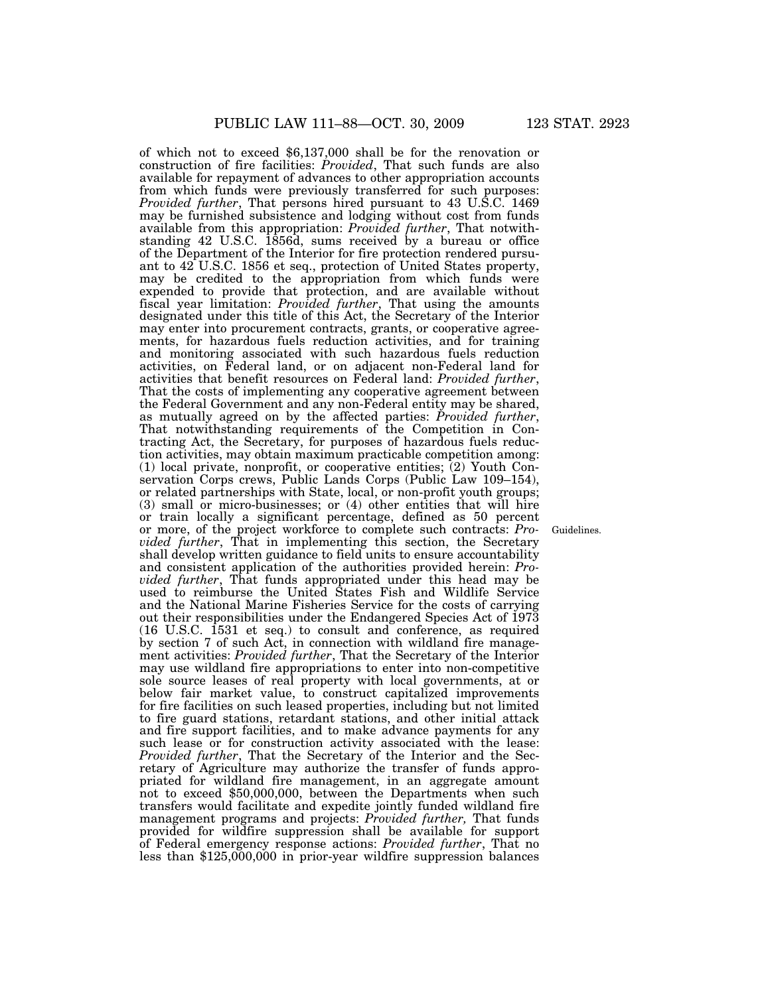of which not to exceed \$6,137,000 shall be for the renovation or construction of fire facilities: *Provided*, That such funds are also available for repayment of advances to other appropriation accounts from which funds were previously transferred for such purposes: *Provided further*, That persons hired pursuant to 43 U.S.C. 1469 may be furnished subsistence and lodging without cost from funds available from this appropriation: *Provided further*, That notwithstanding 42 U.S.C. 1856d, sums received by a bureau or office of the Department of the Interior for fire protection rendered pursuant to 42 U.S.C. 1856 et seq., protection of United States property, may be credited to the appropriation from which funds were expended to provide that protection, and are available without fiscal year limitation: *Provided further*, That using the amounts designated under this title of this Act, the Secretary of the Interior may enter into procurement contracts, grants, or cooperative agreements, for hazardous fuels reduction activities, and for training and monitoring associated with such hazardous fuels reduction activities, on Federal land, or on adjacent non-Federal land for activities that benefit resources on Federal land: *Provided further*, That the costs of implementing any cooperative agreement between the Federal Government and any non-Federal entity may be shared, as mutually agreed on by the affected parties: *Provided further*, That notwithstanding requirements of the Competition in Contracting Act, the Secretary, for purposes of hazardous fuels reduction activities, may obtain maximum practicable competition among: (1) local private, nonprofit, or cooperative entities; (2) Youth Conservation Corps crews, Public Lands Corps (Public Law 109–154), or related partnerships with State, local, or non-profit youth groups; (3) small or micro-businesses; or (4) other entities that will hire or train locally a significant percentage, defined as 50 percent or more, of the project workforce to complete such contracts: *Provided further*, That in implementing this section, the Secretary shall develop written guidance to field units to ensure accountability and consistent application of the authorities provided herein: *Provided further*, That funds appropriated under this head may be used to reimburse the United States Fish and Wildlife Service and the National Marine Fisheries Service for the costs of carrying out their responsibilities under the Endangered Species Act of 1973 (16 U.S.C. 1531 et seq.) to consult and conference, as required by section 7 of such Act, in connection with wildland fire management activities: *Provided further*, That the Secretary of the Interior may use wildland fire appropriations to enter into non-competitive sole source leases of real property with local governments, at or below fair market value, to construct capitalized improvements for fire facilities on such leased properties, including but not limited to fire guard stations, retardant stations, and other initial attack and fire support facilities, and to make advance payments for any such lease or for construction activity associated with the lease: *Provided further*, That the Secretary of the Interior and the Secretary of Agriculture may authorize the transfer of funds appropriated for wildland fire management, in an aggregate amount not to exceed \$50,000,000, between the Departments when such transfers would facilitate and expedite jointly funded wildland fire management programs and projects: *Provided further,* That funds provided for wildfire suppression shall be available for support of Federal emergency response actions: *Provided further*, That no less than \$125,000,000 in prior-year wildfire suppression balances

Guidelines.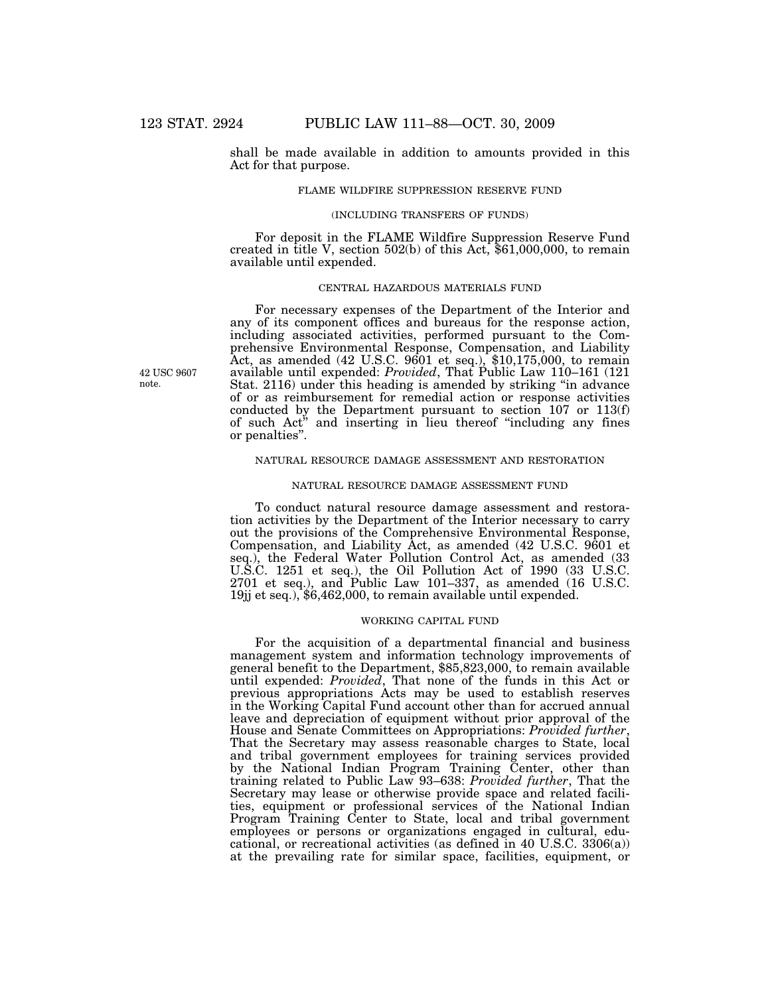shall be made available in addition to amounts provided in this Act for that purpose.

# FLAME WILDFIRE SUPPRESSION RESERVE FUND

#### (INCLUDING TRANSFERS OF FUNDS)

For deposit in the FLAME Wildfire Suppression Reserve Fund created in title V, section  $502(b)$  of this Act,  $$61,000,000$ , to remain available until expended.

# CENTRAL HAZARDOUS MATERIALS FUND

For necessary expenses of the Department of the Interior and any of its component offices and bureaus for the response action, including associated activities, performed pursuant to the Comprehensive Environmental Response, Compensation, and Liability Act, as amended (42 U.S.C. 9601 et seq.), \$10,175,000, to remain available until expended: *Provided*, That Public Law 110–161 (121 Stat. 2116) under this heading is amended by striking ''in advance of or as reimbursement for remedial action or response activities conducted by the Department pursuant to section 107 or 113(f) of such Act'' and inserting in lieu thereof ''including any fines or penalties''.

# NATURAL RESOURCE DAMAGE ASSESSMENT AND RESTORATION

# NATURAL RESOURCE DAMAGE ASSESSMENT FUND

To conduct natural resource damage assessment and restoration activities by the Department of the Interior necessary to carry out the provisions of the Comprehensive Environmental Response, Compensation, and Liability Act, as amended (42 U.S.C. 9601 et seq.), the Federal Water Pollution Control Act, as amended (33 U.S.C. 1251 et seq.), the Oil Pollution Act of 1990 (33 U.S.C. 2701 et seq.), and Public Law 101–337, as amended (16 U.S.C. 19jj et seq.), \$6,462,000, to remain available until expended.

# WORKING CAPITAL FUND

For the acquisition of a departmental financial and business management system and information technology improvements of general benefit to the Department, \$85,823,000, to remain available until expended: *Provided*, That none of the funds in this Act or previous appropriations Acts may be used to establish reserves in the Working Capital Fund account other than for accrued annual leave and depreciation of equipment without prior approval of the House and Senate Committees on Appropriations: *Provided further*, That the Secretary may assess reasonable charges to State, local and tribal government employees for training services provided by the National Indian Program Training Center, other than training related to Public Law 93–638: *Provided further*, That the Secretary may lease or otherwise provide space and related facilities, equipment or professional services of the National Indian Program Training Center to State, local and tribal government employees or persons or organizations engaged in cultural, educational, or recreational activities (as defined in 40 U.S.C. 3306(a)) at the prevailing rate for similar space, facilities, equipment, or

42 USC 9607 note.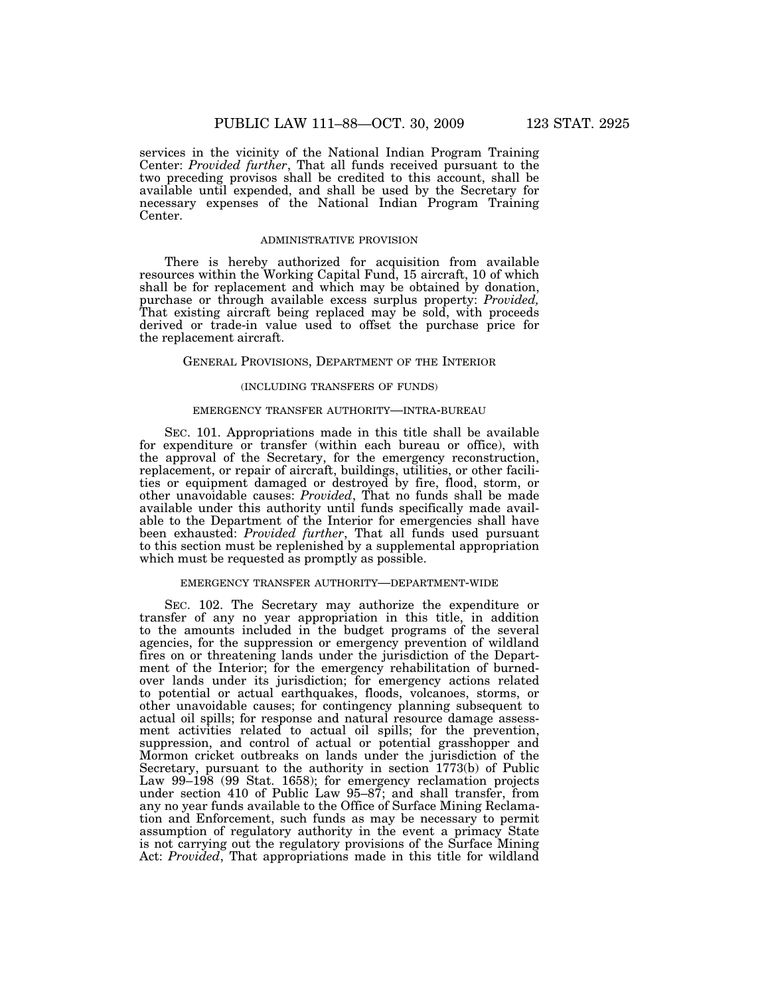services in the vicinity of the National Indian Program Training Center: *Provided further*, That all funds received pursuant to the two preceding provisos shall be credited to this account, shall be available until expended, and shall be used by the Secretary for necessary expenses of the National Indian Program Training Center.

# ADMINISTRATIVE PROVISION

There is hereby authorized for acquisition from available resources within the Working Capital Fund, 15 aircraft, 10 of which shall be for replacement and which may be obtained by donation, purchase or through available excess surplus property: *Provided,*  That existing aircraft being replaced may be sold, with proceeds derived or trade-in value used to offset the purchase price for the replacement aircraft.

# GENERAL PROVISIONS, DEPARTMENT OF THE INTERIOR

#### (INCLUDING TRANSFERS OF FUNDS)

#### EMERGENCY TRANSFER AUTHORITY—INTRA-BUREAU

SEC. 101. Appropriations made in this title shall be available for expenditure or transfer (within each bureau or office), with the approval of the Secretary, for the emergency reconstruction, replacement, or repair of aircraft, buildings, utilities, or other facilities or equipment damaged or destroyed by fire, flood, storm, or other unavoidable causes: *Provided*, That no funds shall be made available under this authority until funds specifically made available to the Department of the Interior for emergencies shall have been exhausted: *Provided further*, That all funds used pursuant to this section must be replenished by a supplemental appropriation which must be requested as promptly as possible.

#### EMERGENCY TRANSFER AUTHORITY—DEPARTMENT-WIDE

SEC. 102. The Secretary may authorize the expenditure or transfer of any no year appropriation in this title, in addition to the amounts included in the budget programs of the several agencies, for the suppression or emergency prevention of wildland fires on or threatening lands under the jurisdiction of the Department of the Interior; for the emergency rehabilitation of burnedover lands under its jurisdiction; for emergency actions related to potential or actual earthquakes, floods, volcanoes, storms, or other unavoidable causes; for contingency planning subsequent to actual oil spills; for response and natural resource damage assessment activities related to actual oil spills; for the prevention, suppression, and control of actual or potential grasshopper and Mormon cricket outbreaks on lands under the jurisdiction of the Secretary, pursuant to the authority in section 1773(b) of Public Law 99–198 (99 Stat. 1658); for emergency reclamation projects under section 410 of Public Law 95–87; and shall transfer, from any no year funds available to the Office of Surface Mining Reclamation and Enforcement, such funds as may be necessary to permit assumption of regulatory authority in the event a primacy State is not carrying out the regulatory provisions of the Surface Mining Act: *Provided*, That appropriations made in this title for wildland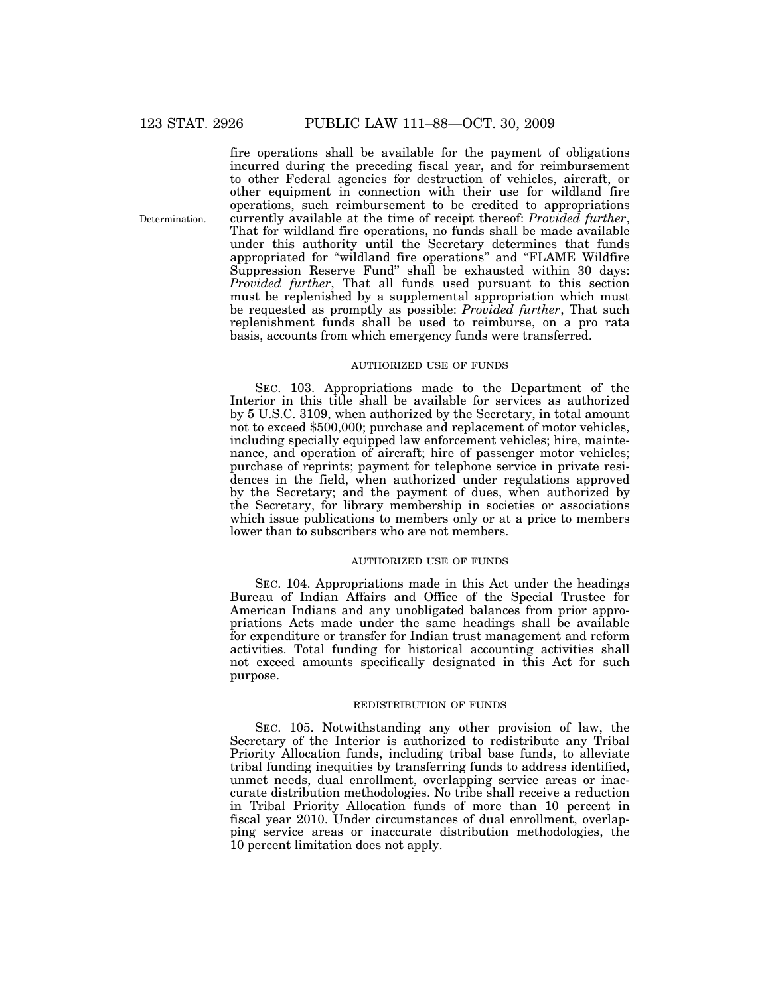Determination.

fire operations shall be available for the payment of obligations incurred during the preceding fiscal year, and for reimbursement to other Federal agencies for destruction of vehicles, aircraft, or other equipment in connection with their use for wildland fire operations, such reimbursement to be credited to appropriations currently available at the time of receipt thereof: *Provided further*, That for wildland fire operations, no funds shall be made available under this authority until the Secretary determines that funds appropriated for ''wildland fire operations'' and ''FLAME Wildfire Suppression Reserve Fund'' shall be exhausted within 30 days: *Provided further*, That all funds used pursuant to this section must be replenished by a supplemental appropriation which must be requested as promptly as possible: *Provided further*, That such replenishment funds shall be used to reimburse, on a pro rata basis, accounts from which emergency funds were transferred.

# AUTHORIZED USE OF FUNDS

SEC. 103. Appropriations made to the Department of the Interior in this title shall be available for services as authorized by 5 U.S.C. 3109, when authorized by the Secretary, in total amount not to exceed \$500,000; purchase and replacement of motor vehicles, including specially equipped law enforcement vehicles; hire, maintenance, and operation of aircraft; hire of passenger motor vehicles; purchase of reprints; payment for telephone service in private residences in the field, when authorized under regulations approved by the Secretary; and the payment of dues, when authorized by the Secretary, for library membership in societies or associations which issue publications to members only or at a price to members lower than to subscribers who are not members.

# AUTHORIZED USE OF FUNDS

SEC. 104. Appropriations made in this Act under the headings Bureau of Indian Affairs and Office of the Special Trustee for American Indians and any unobligated balances from prior appropriations Acts made under the same headings shall be available for expenditure or transfer for Indian trust management and reform activities. Total funding for historical accounting activities shall not exceed amounts specifically designated in this Act for such purpose.

# REDISTRIBUTION OF FUNDS

SEC. 105. Notwithstanding any other provision of law, the Secretary of the Interior is authorized to redistribute any Tribal Priority Allocation funds, including tribal base funds, to alleviate tribal funding inequities by transferring funds to address identified, unmet needs, dual enrollment, overlapping service areas or inaccurate distribution methodologies. No tribe shall receive a reduction in Tribal Priority Allocation funds of more than 10 percent in fiscal year 2010. Under circumstances of dual enrollment, overlapping service areas or inaccurate distribution methodologies, the 10 percent limitation does not apply.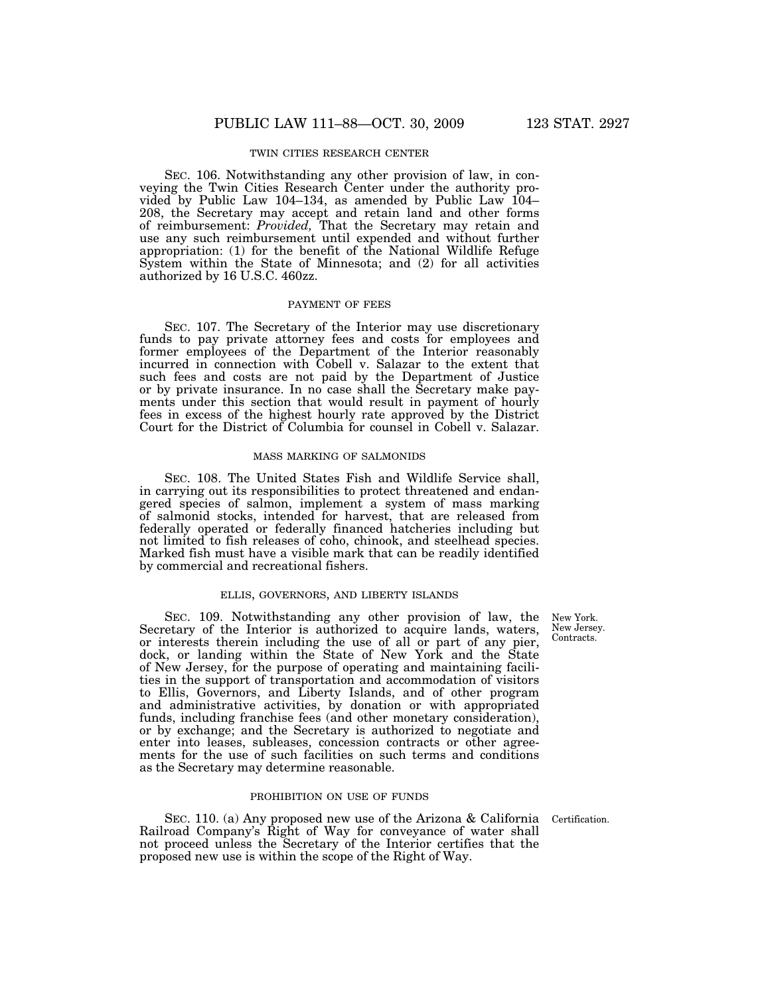# TWIN CITIES RESEARCH CENTER

SEC. 106. Notwithstanding any other provision of law, in conveying the Twin Cities Research Center under the authority provided by Public Law 104–134, as amended by Public Law 104– 208, the Secretary may accept and retain land and other forms of reimbursement: *Provided,* That the Secretary may retain and use any such reimbursement until expended and without further appropriation: (1) for the benefit of the National Wildlife Refuge System within the State of Minnesota; and (2) for all activities authorized by 16 U.S.C. 460zz.

# PAYMENT OF FEES

SEC. 107. The Secretary of the Interior may use discretionary funds to pay private attorney fees and costs for employees and former employees of the Department of the Interior reasonably incurred in connection with Cobell v. Salazar to the extent that such fees and costs are not paid by the Department of Justice or by private insurance. In no case shall the Secretary make payments under this section that would result in payment of hourly fees in excess of the highest hourly rate approved by the District Court for the District of Columbia for counsel in Cobell v. Salazar.

#### MASS MARKING OF SALMONIDS

SEC. 108. The United States Fish and Wildlife Service shall, in carrying out its responsibilities to protect threatened and endangered species of salmon, implement a system of mass marking of salmonid stocks, intended for harvest, that are released from federally operated or federally financed hatcheries including but not limited to fish releases of coho, chinook, and steelhead species. Marked fish must have a visible mark that can be readily identified by commercial and recreational fishers.

# ELLIS, GOVERNORS, AND LIBERTY ISLANDS

SEC. 109. Notwithstanding any other provision of law, the Secretary of the Interior is authorized to acquire lands, waters, or interests therein including the use of all or part of any pier, dock, or landing within the State of New York and the State of New Jersey, for the purpose of operating and maintaining facilities in the support of transportation and accommodation of visitors to Ellis, Governors, and Liberty Islands, and of other program and administrative activities, by donation or with appropriated funds, including franchise fees (and other monetary consideration), or by exchange; and the Secretary is authorized to negotiate and enter into leases, subleases, concession contracts or other agreements for the use of such facilities on such terms and conditions as the Secretary may determine reasonable.

# PROHIBITION ON USE OF FUNDS

SEC. 110. (a) Any proposed new use of the Arizona & California Certification. Railroad Company's Right of Way for conveyance of water shall not proceed unless the Secretary of the Interior certifies that the proposed new use is within the scope of the Right of Way.

New York. New Jersey. Contracts.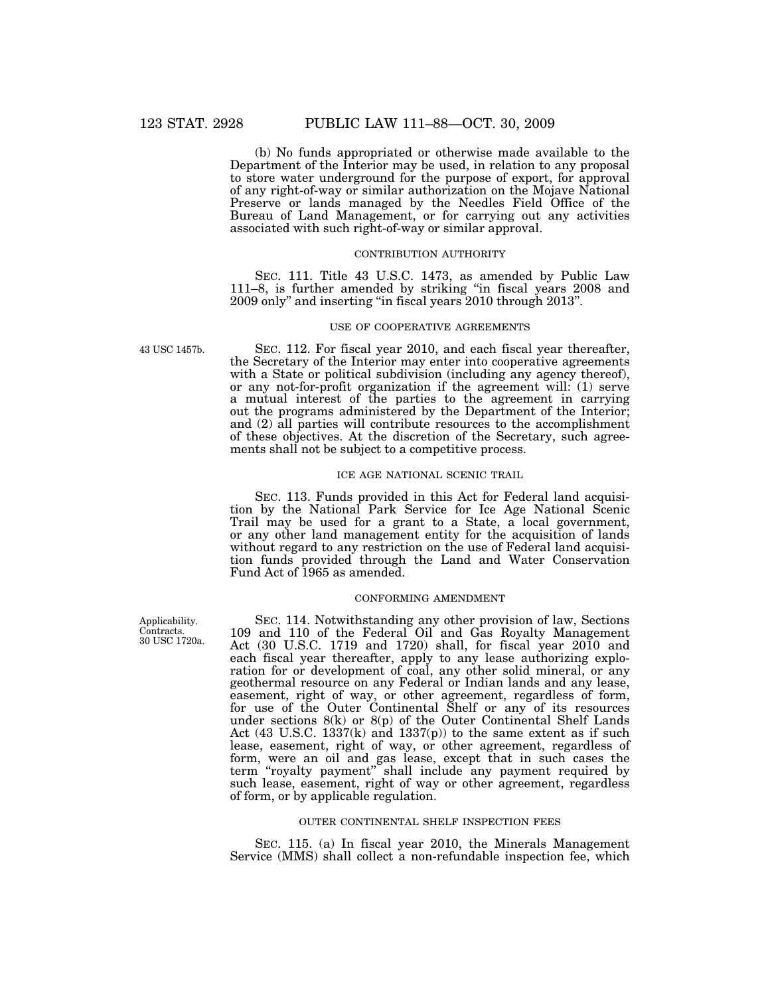(b) No funds appropriated or otherwise made available to the Department of the Interior may be used, in relation to any proposal to store water underground for the purpose of export, for approval of any right-of-way or similar authorization on the Mojave National Preserve or lands managed by the Needles Field Office of the Bureau of Land Management, or for carrying out any activities associated with such right-of-way or similar approval.

# CONTRIBUTION AUTHORITY

SEC. 111. Title 43 U.S.C. 1473, as amended by Public Law 111–8, is further amended by striking ''in fiscal years 2008 and 2009 only'' and inserting ''in fiscal years 2010 through 2013''.

# USE OF COOPERATIVE AGREEMENTS

SEC. 112. For fiscal year 2010, and each fiscal year thereafter, the Secretary of the Interior may enter into cooperative agreements with a State or political subdivision (including any agency thereof), or any not-for-profit organization if the agreement will: (1) serve a mutual interest of the parties to the agreement in carrying out the programs administered by the Department of the Interior; and (2) all parties will contribute resources to the accomplishment of these objectives. At the discretion of the Secretary, such agreements shall not be subject to a competitive process.

# ICE AGE NATIONAL SCENIC TRAIL

SEC. 113. Funds provided in this Act for Federal land acquisition by the National Park Service for Ice Age National Scenic Trail may be used for a grant to a State, a local government, or any other land management entity for the acquisition of lands without regard to any restriction on the use of Federal land acquisition funds provided through the Land and Water Conservation Fund Act of 1965 as amended.

# CONFORMING AMENDMENT

SEC. 114. Notwithstanding any other provision of law, Sections 109 and 110 of the Federal Oil and Gas Royalty Management Act (30 U.S.C. 1719 and 1720) shall, for fiscal year 2010 and each fiscal year thereafter, apply to any lease authorizing exploration for or development of coal, any other solid mineral, or any geothermal resource on any Federal or Indian lands and any lease, easement, right of way, or other agreement, regardless of form, for use of the Outer Continental Shelf or any of its resources under sections 8(k) or 8(p) of the Outer Continental Shelf Lands Act  $(43 \text{ U.S.C. } 1337 \text{ (k)}$  and  $1337 \text{ (p)})$  to the same extent as if such lease, easement, right of way, or other agreement, regardless of form, were an oil and gas lease, except that in such cases the term "royalty payment" shall include any payment required by such lease, easement, right of way or other agreement, regardless of form, or by applicable regulation.

# OUTER CONTINENTAL SHELF INSPECTION FEES

SEC. 115. (a) In fiscal year 2010, the Minerals Management Service (MMS) shall collect a non-refundable inspection fee, which

43 USC 1457b.

Applicability. Contracts. 30 USC 1720a.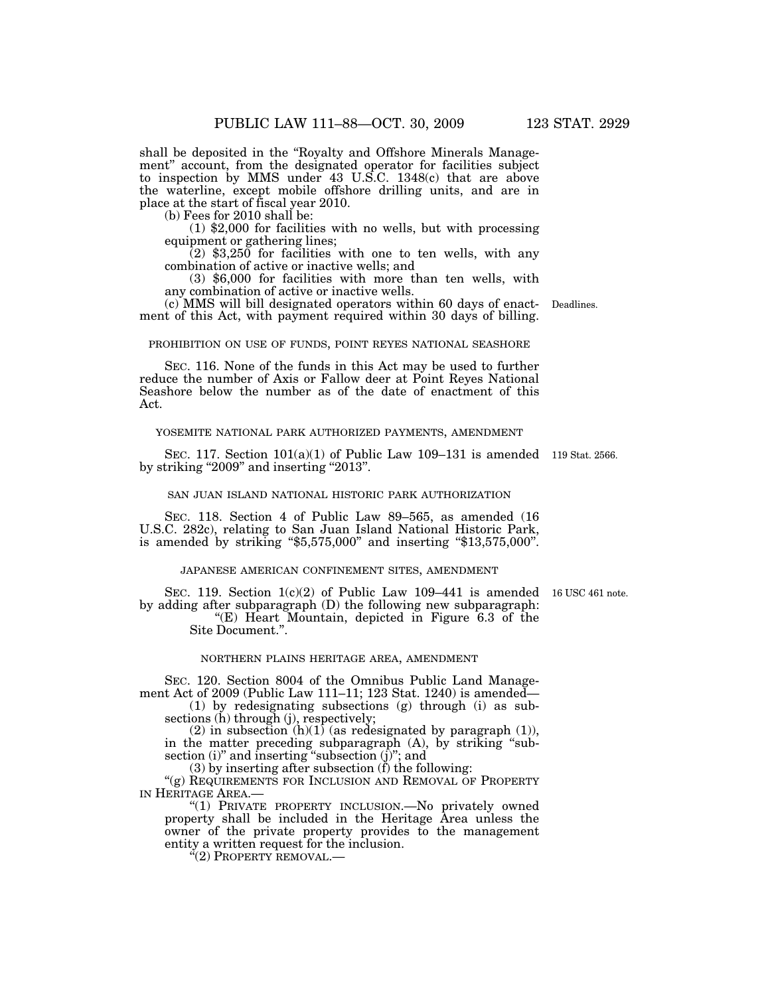shall be deposited in the ''Royalty and Offshore Minerals Management'' account, from the designated operator for facilities subject to inspection by MMS under 43 U.S.C. 1348(c) that are above the waterline, except mobile offshore drilling units, and are in place at the start of fiscal year 2010.

(b) Fees for 2010 shall be:

(1) \$2,000 for facilities with no wells, but with processing equipment or gathering lines;

 $(2)$  \$3,250 for facilities with one to ten wells, with any combination of active or inactive wells; and

(3) \$6,000 for facilities with more than ten wells, with any combination of active or inactive wells.

(c) MMS will bill designated operators within 60 days of enactment of this Act, with payment required within 30 days of billing.

#### PROHIBITION ON USE OF FUNDS, POINT REYES NATIONAL SEASHORE

SEC. 116. None of the funds in this Act may be used to further reduce the number of Axis or Fallow deer at Point Reyes National Seashore below the number as of the date of enactment of this Act.

#### YOSEMITE NATIONAL PARK AUTHORIZED PAYMENTS, AMENDMENT

SEC. 117. Section 101(a)(1) of Public Law 109–131 is amended 119 Stat. 2566. by striking ''2009'' and inserting ''2013''.

# SAN JUAN ISLAND NATIONAL HISTORIC PARK AUTHORIZATION

SEC. 118. Section 4 of Public Law 89–565, as amended (16 U.S.C. 282c), relating to San Juan Island National Historic Park, is amended by striking ''\$5,575,000'' and inserting ''\$13,575,000''.

# JAPANESE AMERICAN CONFINEMENT SITES, AMENDMENT

SEC. 119. Section  $1(c)(2)$  of Public Law 109–441 is amended 16 USC 461 note. by adding after subparagraph (D) the following new subparagraph: "(E) Heart Mountain, depicted in Figure 6.3 of the

Site Document.''.

# NORTHERN PLAINS HERITAGE AREA, AMENDMENT

SEC. 120. Section 8004 of the Omnibus Public Land Management Act of 2009 (Public Law 111–11; 123 Stat. 1240) is amended—

(1) by redesignating subsections (g) through (i) as subsections (h) through (j), respectively;

(2) in subsection  $(h)(1)$  (as redesignated by paragraph (1)), in the matter preceding subparagraph (A), by striking ''subsection (i)" and inserting "subsection (j)"; and

(3) by inserting after subsection (f) the following:

"(g) REQUIREMENTS FOR INCLUSION AND REMOVAL OF PROPERTY IN HERITAGE AREA.

"(1) PRIVATE PROPERTY INCLUSION.—No privately owned property shall be included in the Heritage Area unless the owner of the private property provides to the management entity a written request for the inclusion.

"(2) PROPERTY REMOVAL.—

Deadlines.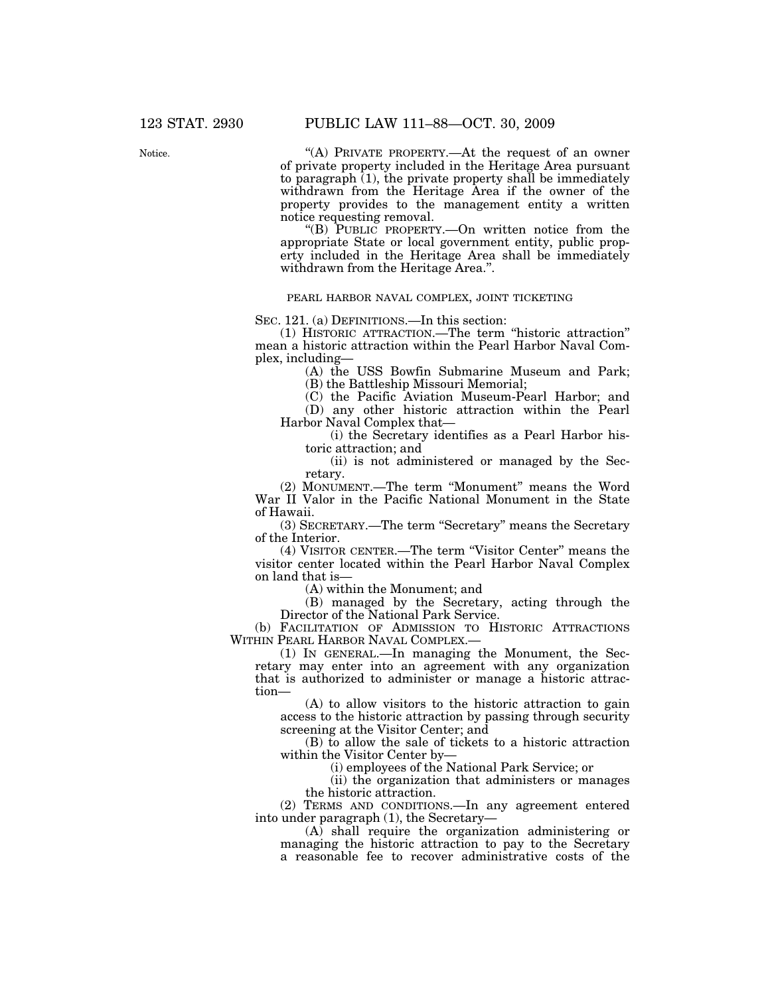Notice.

"(A) PRIVATE PROPERTY.—At the request of an owner of private property included in the Heritage Area pursuant to paragraph  $(1)$ , the private property shall be immediately withdrawn from the Heritage Area if the owner of the property provides to the management entity a written notice requesting removal.

''(B) PUBLIC PROPERTY.—On written notice from the appropriate State or local government entity, public property included in the Heritage Area shall be immediately withdrawn from the Heritage Area.''.

# PEARL HARBOR NAVAL COMPLEX, JOINT TICKETING

SEC. 121. (a) DEFINITIONS.—In this section:

(1) HISTORIC ATTRACTION.—The term ''historic attraction'' mean a historic attraction within the Pearl Harbor Naval Complex, including—

> (A) the USS Bowfin Submarine Museum and Park; (B) the Battleship Missouri Memorial;

(C) the Pacific Aviation Museum-Pearl Harbor; and

(D) any other historic attraction within the Pearl Harbor Naval Complex that—

(i) the Secretary identifies as a Pearl Harbor historic attraction; and

(ii) is not administered or managed by the Secretary.

(2) MONUMENT.—The term ''Monument'' means the Word War II Valor in the Pacific National Monument in the State of Hawaii.

(3) SECRETARY.—The term ''Secretary'' means the Secretary of the Interior.

(4) VISITOR CENTER.—The term ''Visitor Center'' means the visitor center located within the Pearl Harbor Naval Complex on land that is—

(A) within the Monument; and

(B) managed by the Secretary, acting through the Director of the National Park Service.

(b) FACILITATION OF ADMISSION TO HISTORIC ATTRACTIONS WITHIN PEARL HARBOR NAVAL COMPLEX.—

(1) IN GENERAL.—In managing the Monument, the Secretary may enter into an agreement with any organization that is authorized to administer or manage a historic attraction—

(A) to allow visitors to the historic attraction to gain access to the historic attraction by passing through security screening at the Visitor Center; and

(B) to allow the sale of tickets to a historic attraction within the Visitor Center by—

(i) employees of the National Park Service; or

(ii) the organization that administers or manages the historic attraction.

(2) TERMS AND CONDITIONS.—In any agreement entered into under paragraph (1), the Secretary—

(A) shall require the organization administering or managing the historic attraction to pay to the Secretary a reasonable fee to recover administrative costs of the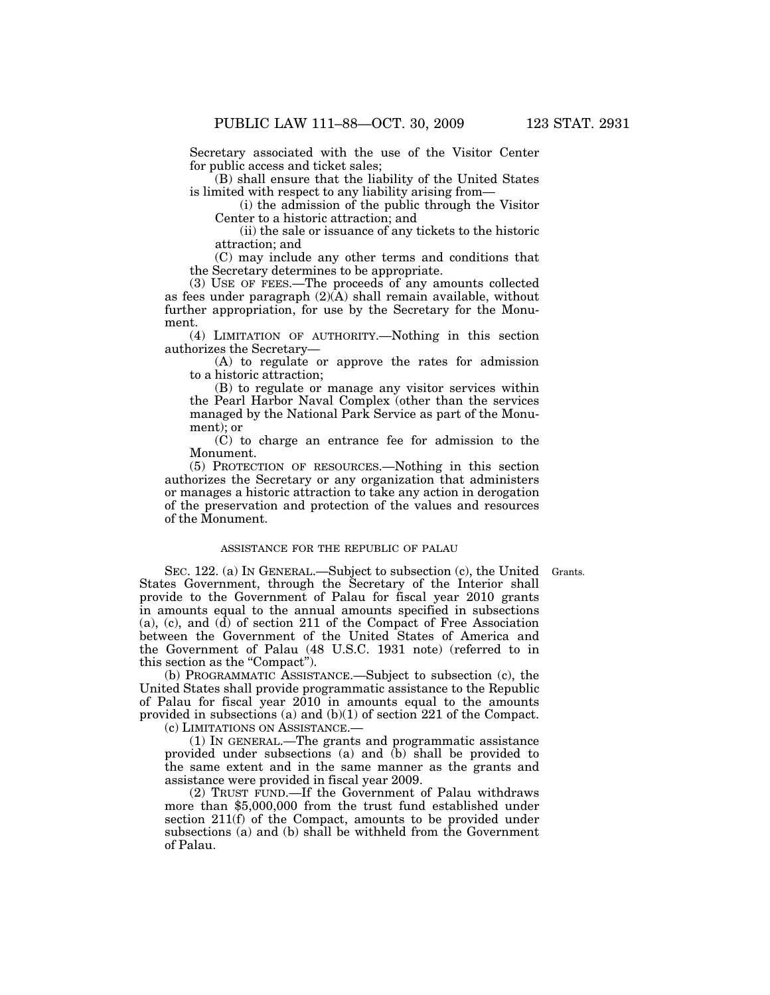Secretary associated with the use of the Visitor Center for public access and ticket sales;

(B) shall ensure that the liability of the United States is limited with respect to any liability arising from—

(i) the admission of the public through the Visitor Center to a historic attraction; and

(ii) the sale or issuance of any tickets to the historic attraction; and

(C) may include any other terms and conditions that the Secretary determines to be appropriate.

(3) USE OF FEES.—The proceeds of any amounts collected as fees under paragraph  $(2)(A)$  shall remain available, without further appropriation, for use by the Secretary for the Monument.

(4) LIMITATION OF AUTHORITY.—Nothing in this section authorizes the Secretary—

(A) to regulate or approve the rates for admission to a historic attraction;

(B) to regulate or manage any visitor services within the Pearl Harbor Naval Complex (other than the services managed by the National Park Service as part of the Monument); or

(C) to charge an entrance fee for admission to the Monument.

(5) PROTECTION OF RESOURCES.—Nothing in this section authorizes the Secretary or any organization that administers or manages a historic attraction to take any action in derogation of the preservation and protection of the values and resources of the Monument.

# ASSISTANCE FOR THE REPUBLIC OF PALAU

SEC. 122. (a) IN GENERAL.—Subject to subsection (c), the United Grants. States Government, through the Secretary of the Interior shall provide to the Government of Palau for fiscal year 2010 grants in amounts equal to the annual amounts specified in subsections (a), (c), and (d) of section 211 of the Compact of Free Association between the Government of the United States of America and the Government of Palau (48 U.S.C. 1931 note) (referred to in this section as the "Compact").

(b) PROGRAMMATIC ASSISTANCE.—Subject to subsection (c), the United States shall provide programmatic assistance to the Republic of Palau for fiscal year 2010 in amounts equal to the amounts provided in subsections (a) and (b)(1) of section 221 of the Compact. (c) LIMITATIONS ON ASSISTANCE.—

(1) IN GENERAL.—The grants and programmatic assistance provided under subsections (a) and (b) shall be provided to the same extent and in the same manner as the grants and assistance were provided in fiscal year 2009.

(2) TRUST FUND.—If the Government of Palau withdraws more than \$5,000,000 from the trust fund established under section 211(f) of the Compact, amounts to be provided under subsections (a) and (b) shall be withheld from the Government of Palau.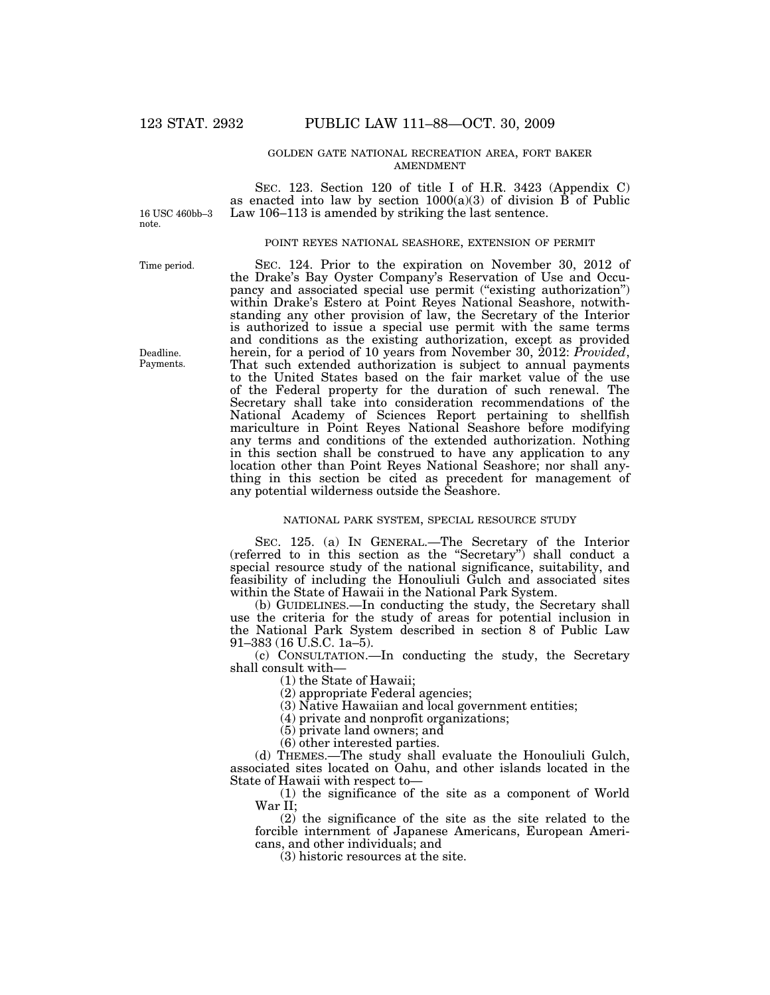# GOLDEN GATE NATIONAL RECREATION AREA, FORT BAKER AMENDMENT

16 USC 460bb–3 note.

SEC. 123. Section 120 of title I of H.R. 3423 (Appendix C) as enacted into law by section  $1000(a)(3)$  of division  $\hat{B}$  of Public Law 106–113 is amended by striking the last sentence.

# POINT REYES NATIONAL SEASHORE, EXTENSION OF PERMIT

Time period.

Deadline. Payments.

SEC. 124. Prior to the expiration on November 30, 2012 of the Drake's Bay Oyster Company's Reservation of Use and Occupancy and associated special use permit ("existing authorization") within Drake's Estero at Point Reyes National Seashore, notwithstanding any other provision of law, the Secretary of the Interior is authorized to issue a special use permit with the same terms and conditions as the existing authorization, except as provided herein, for a period of 10 years from November 30, 2012:  $Provided$ , That such extended authorization is subject to annual payments to the United States based on the fair market value of the use of the Federal property for the duration of such renewal. The Secretary shall take into consideration recommendations of the National Academy of Sciences Report pertaining to shellfish mariculture in Point Reyes National Seashore before modifying any terms and conditions of the extended authorization. Nothing in this section shall be construed to have any application to any location other than Point Reyes National Seashore; nor shall anything in this section be cited as precedent for management of any potential wilderness outside the Seashore.

#### NATIONAL PARK SYSTEM, SPECIAL RESOURCE STUDY

SEC. 125. (a) IN GENERAL.—The Secretary of the Interior (referred to in this section as the ''Secretary'') shall conduct a special resource study of the national significance, suitability, and feasibility of including the Honouliuli Gulch and associated sites within the State of Hawaii in the National Park System.

(b) GUIDELINES.—In conducting the study, the Secretary shall use the criteria for the study of areas for potential inclusion in the National Park System described in section 8 of Public Law 91–383 (16 U.S.C. 1a–5).

(c) CONSULTATION.—In conducting the study, the Secretary shall consult with—

(1) the State of Hawaii;

(2) appropriate Federal agencies;

(3) Native Hawaiian and local government entities;

(4) private and nonprofit organizations;

(5) private land owners; and

(6) other interested parties.

(d) THEMES.—The study shall evaluate the Honouliuli Gulch, associated sites located on Oahu, and other islands located in the State of Hawaii with respect to—

(1) the significance of the site as a component of World War II;

(2) the significance of the site as the site related to the forcible internment of Japanese Americans, European Americans, and other individuals; and

(3) historic resources at the site.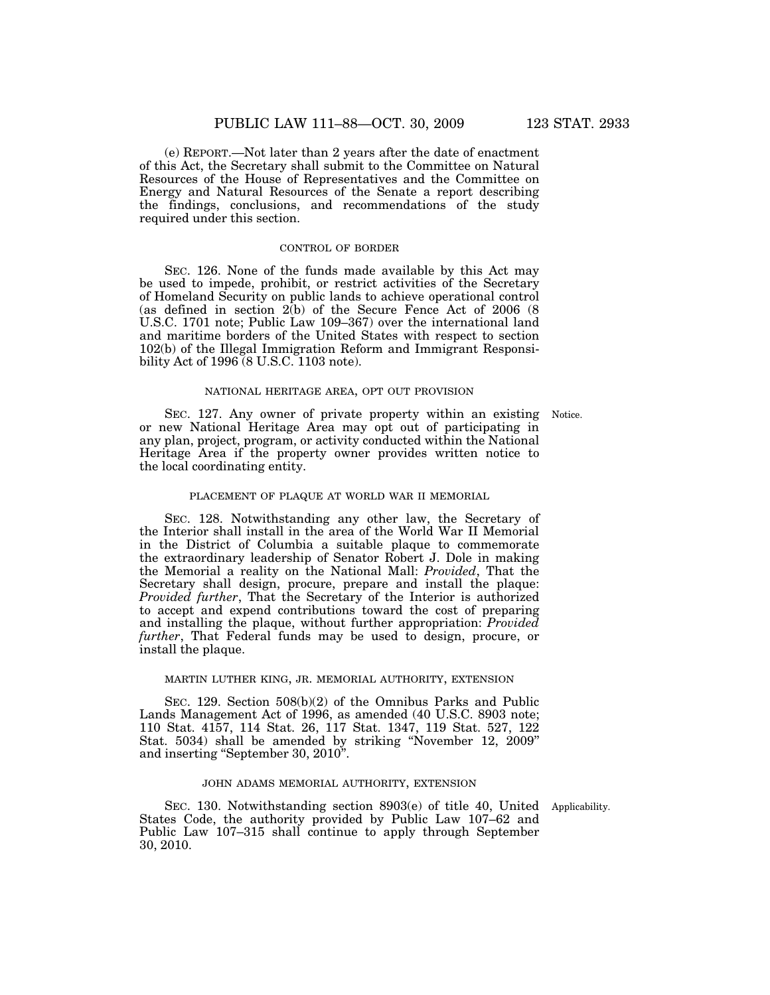(e) REPORT.—Not later than 2 years after the date of enactment of this Act, the Secretary shall submit to the Committee on Natural Resources of the House of Representatives and the Committee on Energy and Natural Resources of the Senate a report describing the findings, conclusions, and recommendations of the study required under this section.

# CONTROL OF BORDER

SEC. 126. None of the funds made available by this Act may be used to impede, prohibit, or restrict activities of the Secretary of Homeland Security on public lands to achieve operational control (as defined in section 2(b) of the Secure Fence Act of 2006 (8 U.S.C. 1701 note; Public Law 109–367) over the international land and maritime borders of the United States with respect to section 102(b) of the Illegal Immigration Reform and Immigrant Responsibility Act of 1996 (8 U.S.C. 1103 note).

#### NATIONAL HERITAGE AREA, OPT OUT PROVISION

SEC. 127. Any owner of private property within an existing Notice. or new National Heritage Area may opt out of participating in any plan, project, program, or activity conducted within the National Heritage Area if the property owner provides written notice to the local coordinating entity.

# PLACEMENT OF PLAQUE AT WORLD WAR II MEMORIAL

SEC. 128. Notwithstanding any other law, the Secretary of the Interior shall install in the area of the World War II Memorial in the District of Columbia a suitable plaque to commemorate the extraordinary leadership of Senator Robert J. Dole in making the Memorial a reality on the National Mall: *Provided*, That the Secretary shall design, procure, prepare and install the plaque: *Provided further*, That the Secretary of the Interior is authorized to accept and expend contributions toward the cost of preparing and installing the plaque, without further appropriation: *Provided further*, That Federal funds may be used to design, procure, or install the plaque.

#### MARTIN LUTHER KING, JR. MEMORIAL AUTHORITY, EXTENSION

SEC. 129. Section 508(b)(2) of the Omnibus Parks and Public Lands Management Act of 1996, as amended (40 U.S.C. 8903 note; 110 Stat. 4157, 114 Stat. 26, 117 Stat. 1347, 119 Stat. 527, 122 Stat. 5034) shall be amended by striking ''November 12, 2009'' and inserting ''September 30, 2010''.

# JOHN ADAMS MEMORIAL AUTHORITY, EXTENSION

SEC. 130. Notwithstanding section 8903(e) of title 40, United Applicability. States Code, the authority provided by Public Law 107–62 and Public Law 107–315 shall continue to apply through September 30, 2010.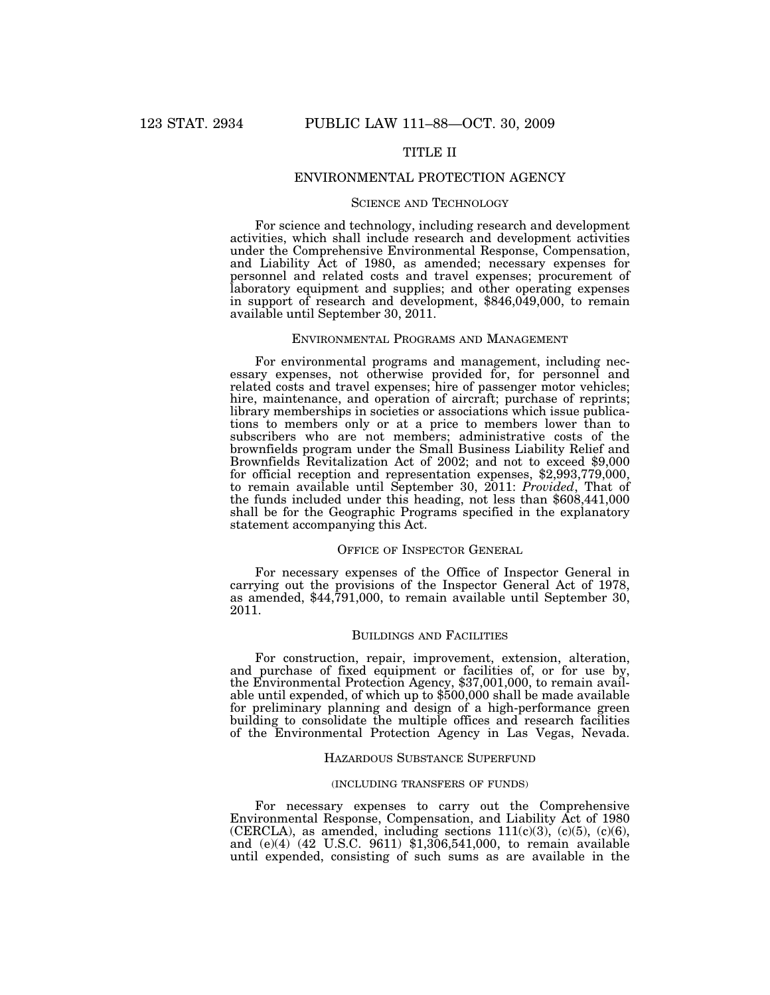# TITLE II

# ENVIRONMENTAL PROTECTION AGENCY

# SCIENCE AND TECHNOLOGY

For science and technology, including research and development activities, which shall include research and development activities under the Comprehensive Environmental Response, Compensation, and Liability Act of 1980, as amended; necessary expenses for personnel and related costs and travel expenses; procurement of laboratory equipment and supplies; and other operating expenses in support of research and development, \$846,049,000, to remain available until September 30, 2011.

# ENVIRONMENTAL PROGRAMS AND MANAGEMENT

For environmental programs and management, including necessary expenses, not otherwise provided for, for personnel and related costs and travel expenses; hire of passenger motor vehicles; hire, maintenance, and operation of aircraft; purchase of reprints; library memberships in societies or associations which issue publications to members only or at a price to members lower than to subscribers who are not members; administrative costs of the brownfields program under the Small Business Liability Relief and Brownfields Revitalization Act of 2002; and not to exceed \$9,000 for official reception and representation expenses, \$2,993,779,000, to remain available until September 30, 2011: *Provided*, That of the funds included under this heading, not less than \$608,441,000 shall be for the Geographic Programs specified in the explanatory statement accompanying this Act.

# OFFICE OF INSPECTOR GENERAL

For necessary expenses of the Office of Inspector General in carrying out the provisions of the Inspector General Act of 1978, as amended, \$44,791,000, to remain available until September 30, 2011.

# BUILDINGS AND FACILITIES

For construction, repair, improvement, extension, alteration, and purchase of fixed equipment or facilities of, or for use by, the Environmental Protection Agency, \$37,001,000, to remain available until expended, of which up to \$500,000 shall be made available for preliminary planning and design of a high-performance green building to consolidate the multiple offices and research facilities of the Environmental Protection Agency in Las Vegas, Nevada.

# HAZARDOUS SUBSTANCE SUPERFUND

#### (INCLUDING TRANSFERS OF FUNDS)

For necessary expenses to carry out the Comprehensive Environmental Response, Compensation, and Liability Act of 1980 (CERCLA), as amended, including sections  $111(c)(3)$ ,  $(c)(5)$ ,  $(c)(6)$ , and (e)(4) (42 U.S.C. 9611) \$1,306,541,000, to remain available until expended, consisting of such sums as are available in the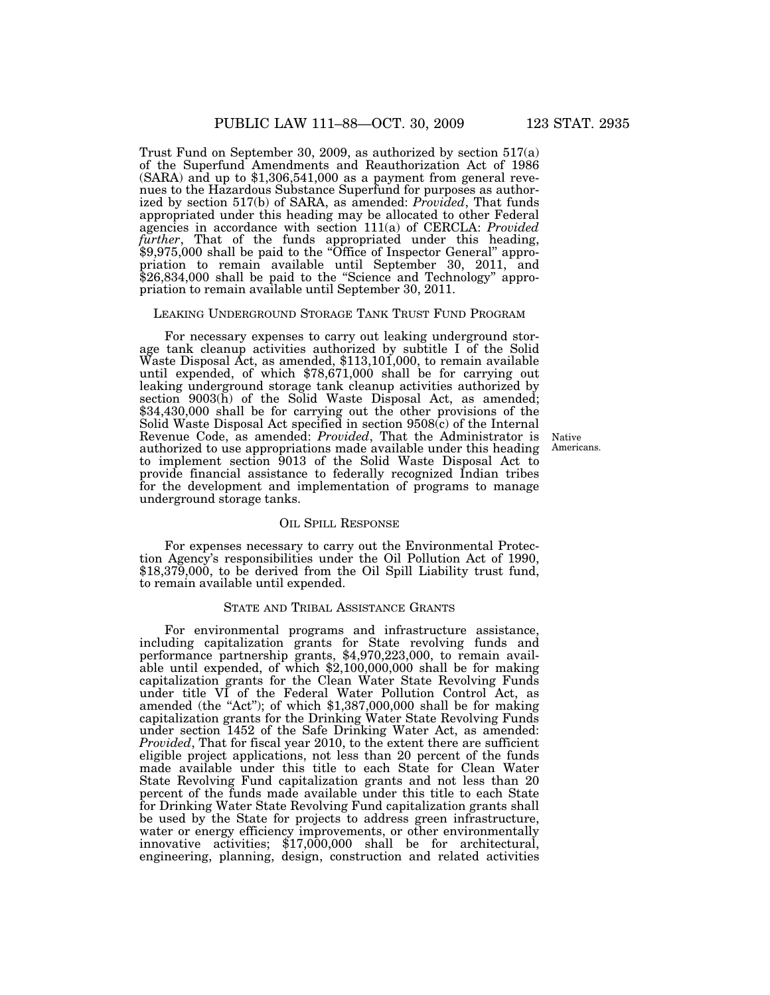Trust Fund on September 30, 2009, as authorized by section 517(a) of the Superfund Amendments and Reauthorization Act of 1986 (SARA) and up to \$1,306,541,000 as a payment from general revenues to the Hazardous Substance Superfund for purposes as authorized by section 517(b) of SARA, as amended: *Provided*, That funds appropriated under this heading may be allocated to other Federal agencies in accordance with section 111(a) of CERCLA: *Provided further*, That of the funds appropriated under this heading, \$9,975,000 shall be paid to the "Office of Inspector General" appropriation to remain available until September 30, 2011, and \$26,834,000 shall be paid to the "Science and Technology" appropriation to remain available until September 30, 2011.

#### LEAKING UNDERGROUND STORAGE TANK TRUST FUND PROGRAM

For necessary expenses to carry out leaking underground storage tank cleanup activities authorized by subtitle I of the Solid Waste Disposal Act, as amended, \$113,101,000, to remain available until expended, of which \$78,671,000 shall be for carrying out leaking underground storage tank cleanup activities authorized by section 9003(h) of the Solid Waste Disposal Act, as amended; \$34,430,000 shall be for carrying out the other provisions of the Solid Waste Disposal Act specified in section 9508(c) of the Internal Revenue Code, as amended: *Provided*, That the Administrator is authorized to use appropriations made available under this heading to implement section 9013 of the Solid Waste Disposal Act to provide financial assistance to federally recognized Indian tribes for the development and implementation of programs to manage underground storage tanks.

# OIL SPILL RESPONSE

For expenses necessary to carry out the Environmental Protection Agency's responsibilities under the Oil Pollution Act of 1990, \$18,379,000, to be derived from the Oil Spill Liability trust fund, to remain available until expended.

# STATE AND TRIBAL ASSISTANCE GRANTS

For environmental programs and infrastructure assistance, including capitalization grants for State revolving funds and performance partnership grants, \$4,970,223,000, to remain available until expended, of which \$2,100,000,000 shall be for making capitalization grants for the Clean Water State Revolving Funds under title VI of the Federal Water Pollution Control Act, as amended (the "Act"); of which  $$1,387,000,000$  shall be for making capitalization grants for the Drinking Water State Revolving Funds under section 1452 of the Safe Drinking Water Act, as amended: *Provided*, That for fiscal year 2010, to the extent there are sufficient eligible project applications, not less than 20 percent of the funds made available under this title to each State for Clean Water State Revolving Fund capitalization grants and not less than 20 percent of the funds made available under this title to each State for Drinking Water State Revolving Fund capitalization grants shall be used by the State for projects to address green infrastructure, water or energy efficiency improvements, or other environmentally innovative activities; \$17,000,000 shall be for architectural, engineering, planning, design, construction and related activities

Native Americans.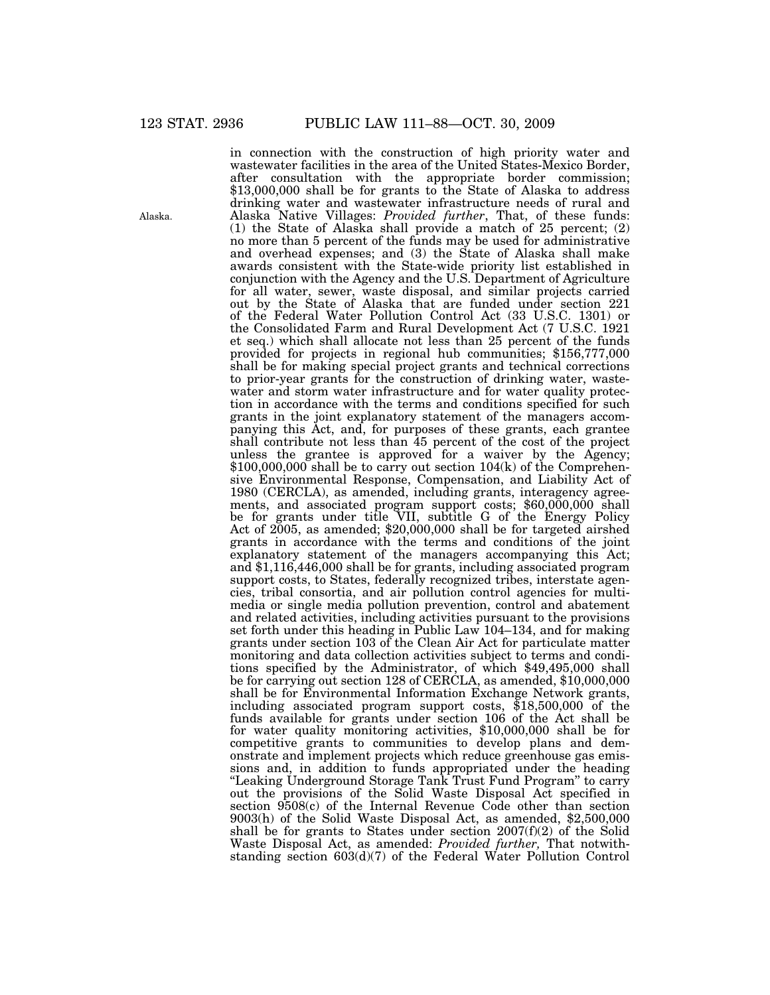in connection with the construction of high priority water and wastewater facilities in the area of the United States-Mexico Border, after consultation with the appropriate border commission; \$13,000,000 shall be for grants to the State of Alaska to address drinking water and wastewater infrastructure needs of rural and Alaska Native Villages: *Provided further*, That, of these funds: (1) the State of Alaska shall provide a match of 25 percent; (2) no more than 5 percent of the funds may be used for administrative and overhead expenses; and (3) the State of Alaska shall make awards consistent with the State-wide priority list established in conjunction with the Agency and the U.S. Department of Agriculture for all water, sewer, waste disposal, and similar projects carried out by the State of Alaska that are funded under section 221 of the Federal Water Pollution Control Act (33 U.S.C. 1301) or the Consolidated Farm and Rural Development Act (7 U.S.C. 1921 et seq.) which shall allocate not less than 25 percent of the funds provided for projects in regional hub communities; \$156,777,000 shall be for making special project grants and technical corrections to prior-year grants for the construction of drinking water, wastewater and storm water infrastructure and for water quality protection in accordance with the terms and conditions specified for such grants in the joint explanatory statement of the managers accompanying this Act, and, for purposes of these grants, each grantee shall contribute not less than 45 percent of the cost of the project unless the grantee is approved for a waiver by the Agency;  $$100,000,000$  shall be to carry out section  $104(k)$  of the Comprehensive Environmental Response, Compensation, and Liability Act of 1980 (CERCLA), as amended, including grants, interagency agreements, and associated program support costs; \$60,000,000 shall be for grants under title VII, subtitle G of the Energy Policy Act of 2005, as amended; \$20,000,000 shall be for targeted airshed grants in accordance with the terms and conditions of the joint explanatory statement of the managers accompanying this Act; and \$1,116,446,000 shall be for grants, including associated program support costs, to States, federally recognized tribes, interstate agencies, tribal consortia, and air pollution control agencies for multimedia or single media pollution prevention, control and abatement and related activities, including activities pursuant to the provisions set forth under this heading in Public Law 104–134, and for making grants under section 103 of the Clean Air Act for particulate matter monitoring and data collection activities subject to terms and conditions specified by the Administrator, of which \$49,495,000 shall be for carrying out section 128 of CERCLA, as amended, \$10,000,000 shall be for Environmental Information Exchange Network grants, including associated program support costs, \$18,500,000 of the funds available for grants under section 106 of the Act shall be for water quality monitoring activities, \$10,000,000 shall be for competitive grants to communities to develop plans and demonstrate and implement projects which reduce greenhouse gas emissions and, in addition to funds appropriated under the heading "Leaking Underground Storage Tank Trust Fund Program" to carry out the provisions of the Solid Waste Disposal Act specified in section 9508(c) of the Internal Revenue Code other than section 9003(h) of the Solid Waste Disposal Act, as amended, \$2,500,000 shall be for grants to States under section  $2007(f)(2)$  of the Solid Waste Disposal Act, as amended: *Provided further,* That notwithstanding section  $603(d)(7)$  of the Federal Water Pollution Control

Alaska.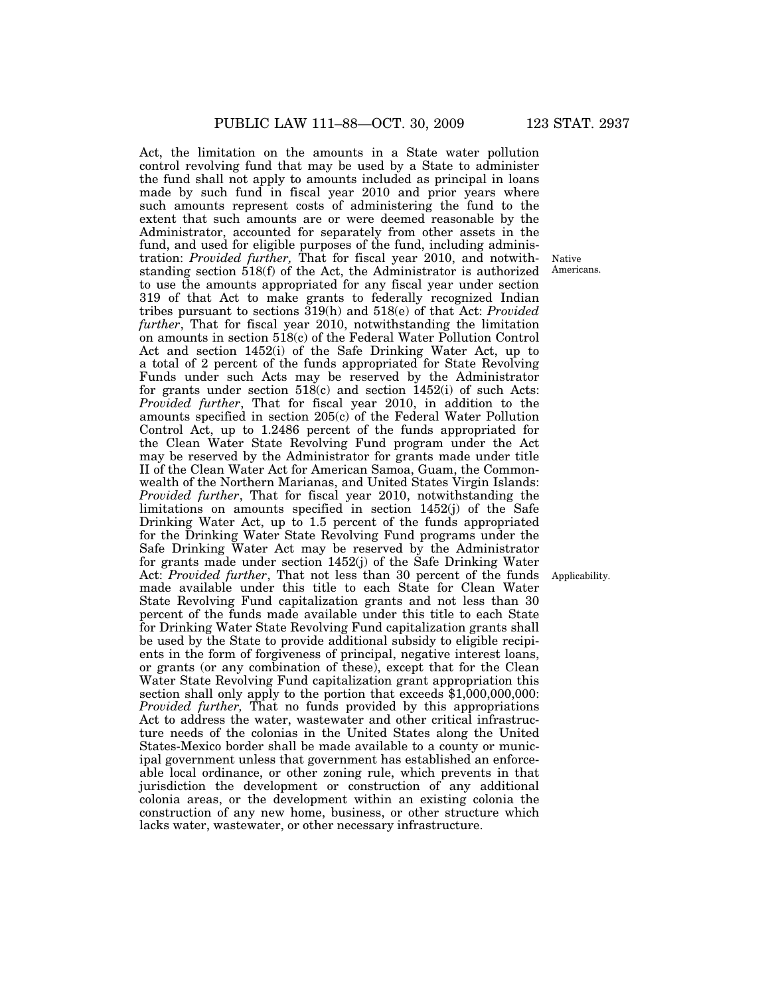Act, the limitation on the amounts in a State water pollution control revolving fund that may be used by a State to administer the fund shall not apply to amounts included as principal in loans made by such fund in fiscal year 2010 and prior years where such amounts represent costs of administering the fund to the extent that such amounts are or were deemed reasonable by the Administrator, accounted for separately from other assets in the fund, and used for eligible purposes of the fund, including administration: *Provided further,* That for fiscal year 2010, and notwithstanding section 518(f) of the Act, the Administrator is authorized to use the amounts appropriated for any fiscal year under section 319 of that Act to make grants to federally recognized Indian tribes pursuant to sections 319(h) and 518(e) of that Act: *Provided further*, That for fiscal year 2010, notwithstanding the limitation on amounts in section 518(c) of the Federal Water Pollution Control Act and section 1452(i) of the Safe Drinking Water Act, up to a total of 2 percent of the funds appropriated for State Revolving Funds under such Acts may be reserved by the Administrator for grants under section 518(c) and section 1452(i) of such Acts: *Provided further*, That for fiscal year 2010, in addition to the amounts specified in section 205(c) of the Federal Water Pollution Control Act, up to 1.2486 percent of the funds appropriated for the Clean Water State Revolving Fund program under the Act may be reserved by the Administrator for grants made under title II of the Clean Water Act for American Samoa, Guam, the Commonwealth of the Northern Marianas, and United States Virgin Islands: *Provided further*, That for fiscal year 2010, notwithstanding the limitations on amounts specified in section 1452(j) of the Safe Drinking Water Act, up to 1.5 percent of the funds appropriated for the Drinking Water State Revolving Fund programs under the Safe Drinking Water Act may be reserved by the Administrator for grants made under section 1452(j) of the Safe Drinking Water Act: *Provided further*, That not less than 30 percent of the funds made available under this title to each State for Clean Water State Revolving Fund capitalization grants and not less than 30 percent of the funds made available under this title to each State for Drinking Water State Revolving Fund capitalization grants shall be used by the State to provide additional subsidy to eligible recipients in the form of forgiveness of principal, negative interest loans, or grants (or any combination of these), except that for the Clean Water State Revolving Fund capitalization grant appropriation this section shall only apply to the portion that exceeds \$1,000,000,000: *Provided further,* That no funds provided by this appropriations Act to address the water, wastewater and other critical infrastructure needs of the colonias in the United States along the United States-Mexico border shall be made available to a county or municipal government unless that government has established an enforceable local ordinance, or other zoning rule, which prevents in that jurisdiction the development or construction of any additional colonia areas, or the development within an existing colonia the construction of any new home, business, or other structure which lacks water, wastewater, or other necessary infrastructure.

Native Americans.

Applicability.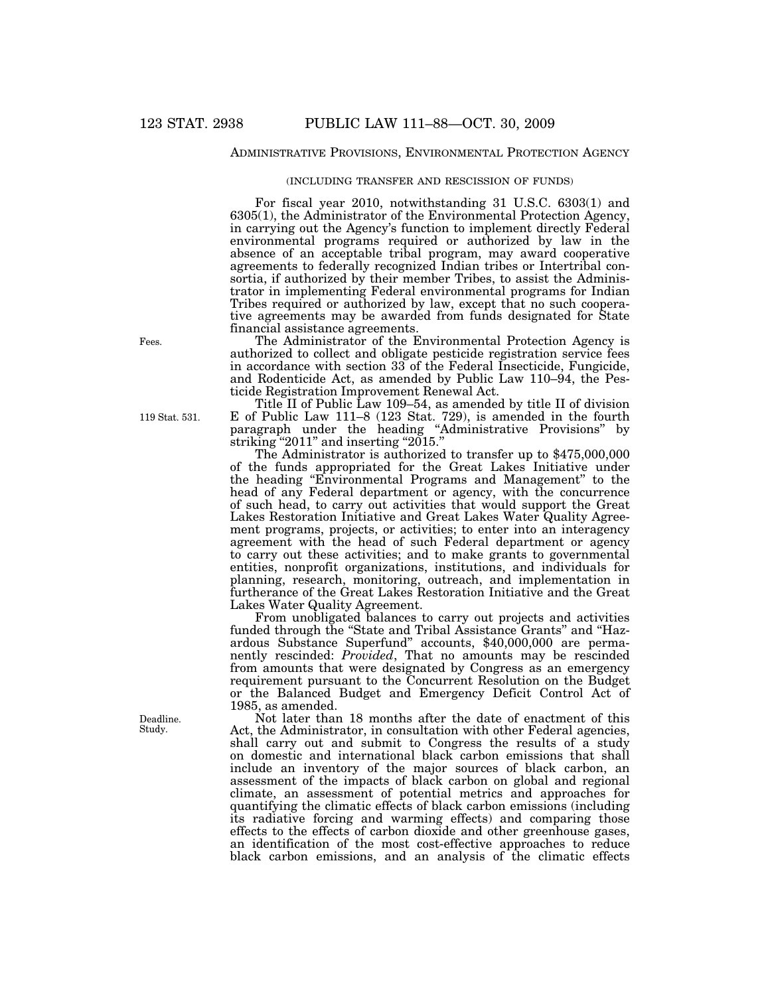# ADMINISTRATIVE PROVISIONS, ENVIRONMENTAL PROTECTION AGENCY

#### (INCLUDING TRANSFER AND RESCISSION OF FUNDS)

For fiscal year 2010, notwithstanding 31 U.S.C. 6303(1) and 6305(1), the Administrator of the Environmental Protection Agency, in carrying out the Agency's function to implement directly Federal environmental programs required or authorized by law in the absence of an acceptable tribal program, may award cooperative agreements to federally recognized Indian tribes or Intertribal consortia, if authorized by their member Tribes, to assist the Administrator in implementing Federal environmental programs for Indian Tribes required or authorized by law, except that no such cooperative agreements may be awarded from funds designated for State financial assistance agreements.

The Administrator of the Environmental Protection Agency is authorized to collect and obligate pesticide registration service fees in accordance with section 33 of the Federal Insecticide, Fungicide, and Rodenticide Act, as amended by Public Law 110–94, the Pesticide Registration Improvement Renewal Act.

Title II of Public Law 109–54, as amended by title II of division E of Public Law 111–8 (123 Stat. 729), is amended in the fourth paragraph under the heading ''Administrative Provisions'' by striking "2011" and inserting "2015."

The Administrator is authorized to transfer up to \$475,000,000 of the funds appropriated for the Great Lakes Initiative under the heading ''Environmental Programs and Management'' to the head of any Federal department or agency, with the concurrence of such head, to carry out activities that would support the Great Lakes Restoration Initiative and Great Lakes Water Quality Agreement programs, projects, or activities; to enter into an interagency agreement with the head of such Federal department or agency to carry out these activities; and to make grants to governmental entities, nonprofit organizations, institutions, and individuals for planning, research, monitoring, outreach, and implementation in furtherance of the Great Lakes Restoration Initiative and the Great Lakes Water Quality Agreement.

From unobligated balances to carry out projects and activities funded through the "State and Tribal Assistance Grants" and "Hazardous Substance Superfund'' accounts, \$40,000,000 are permanently rescinded: *Provided*, That no amounts may be rescinded from amounts that were designated by Congress as an emergency requirement pursuant to the Concurrent Resolution on the Budget or the Balanced Budget and Emergency Deficit Control Act of 1985, as amended.

Not later than 18 months after the date of enactment of this Act, the Administrator, in consultation with other Federal agencies, shall carry out and submit to Congress the results of a study on domestic and international black carbon emissions that shall include an inventory of the major sources of black carbon, an assessment of the impacts of black carbon on global and regional climate, an assessment of potential metrics and approaches for quantifying the climatic effects of black carbon emissions (including its radiative forcing and warming effects) and comparing those effects to the effects of carbon dioxide and other greenhouse gases, an identification of the most cost-effective approaches to reduce black carbon emissions, and an analysis of the climatic effects

Fees.

119 Stat. 531.

Deadline. Study.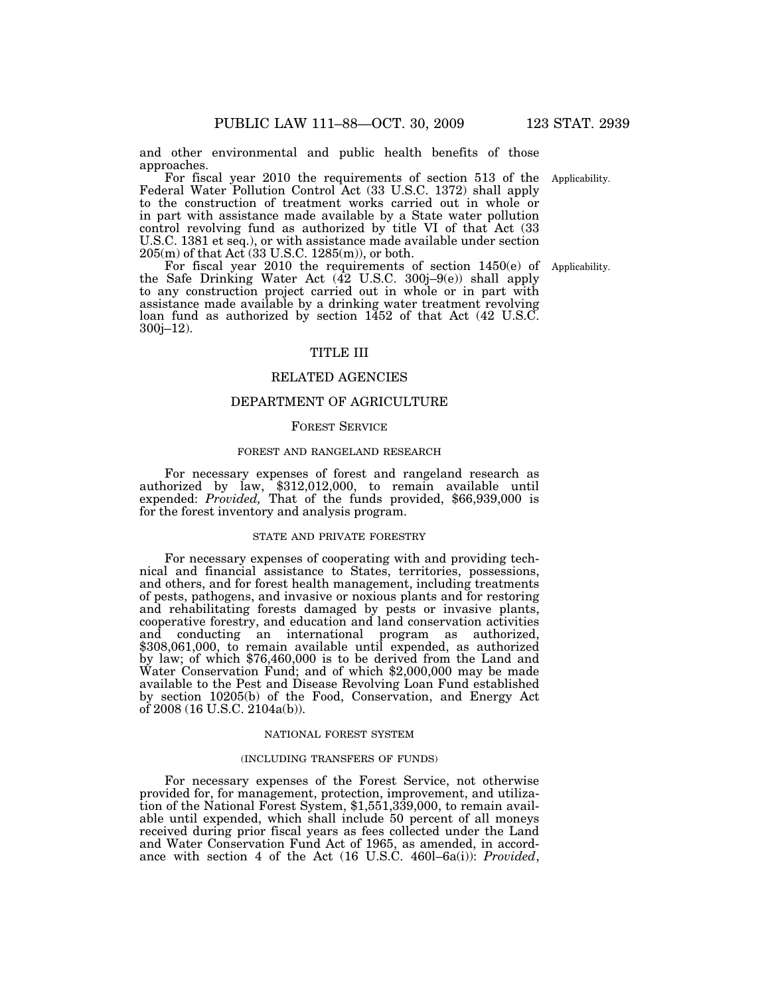and other environmental and public health benefits of those approaches.

For fiscal year 2010 the requirements of section 513 of the Applicability. Federal Water Pollution Control Act (33 U.S.C. 1372) shall apply to the construction of treatment works carried out in whole or in part with assistance made available by a State water pollution control revolving fund as authorized by title VI of that Act (33 U.S.C. 1381 et seq.), or with assistance made available under section 205(m) of that Act (33 U.S.C. 1285(m)), or both.

For fiscal year 2010 the requirements of section 1450(e) of the Safe Drinking Water Act (42 U.S.C. 300j–9(e)) shall apply to any construction project carried out in whole or in part with assistance made available by a drinking water treatment revolving loan fund as authorized by section 1452 of that Act (42 U.S.C. 300j–12).

## TITLE III

## RELATED AGENCIES

## DEPARTMENT OF AGRICULTURE

#### FOREST SERVICE

#### FOREST AND RANGELAND RESEARCH

For necessary expenses of forest and rangeland research as authorized by law, \$312,012,000, to remain available until expended: *Provided,* That of the funds provided, \$66,939,000 is for the forest inventory and analysis program.

#### STATE AND PRIVATE FORESTRY

For necessary expenses of cooperating with and providing technical and financial assistance to States, territories, possessions, and others, and for forest health management, including treatments of pests, pathogens, and invasive or noxious plants and for restoring and rehabilitating forests damaged by pests or invasive plants, cooperative forestry, and education and land conservation activities and conducting an international program as authorized, \$308,061,000, to remain available until expended, as authorized by law; of which \$76,460,000 is to be derived from the Land and Water Conservation Fund; and of which \$2,000,000 may be made available to the Pest and Disease Revolving Loan Fund established by section 10205(b) of the Food, Conservation, and Energy Act of 2008 (16 U.S.C. 2104a(b)).

## NATIONAL FOREST SYSTEM

#### (INCLUDING TRANSFERS OF FUNDS)

For necessary expenses of the Forest Service, not otherwise provided for, for management, protection, improvement, and utilization of the National Forest System, \$1,551,339,000, to remain available until expended, which shall include 50 percent of all moneys received during prior fiscal years as fees collected under the Land and Water Conservation Fund Act of 1965, as amended, in accordance with section 4 of the Act (16 U.S.C. 460l–6a(i)): *Provided*,

Applicability.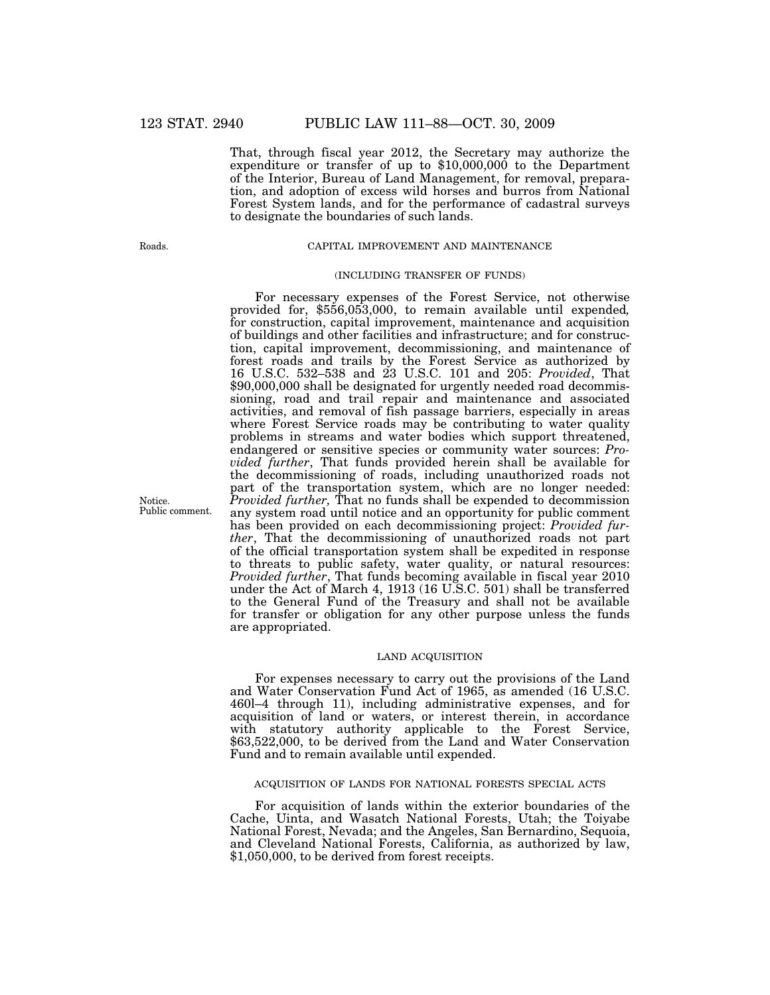That, through fiscal year 2012, the Secretary may authorize the expenditure or transfer of up to \$10,000,000 to the Department of the Interior, Bureau of Land Management, for removal, preparation, and adoption of excess wild horses and burros from National Forest System lands, and for the performance of cadastral surveys to designate the boundaries of such lands.

Roads.

#### CAPITAL IMPROVEMENT AND MAINTENANCE

## (INCLUDING TRANSFER OF FUNDS)

For necessary expenses of the Forest Service, not otherwise provided for, \$556,053,000, to remain available until expended*,*  for construction, capital improvement, maintenance and acquisition of buildings and other facilities and infrastructure; and for construction, capital improvement, decommissioning, and maintenance of forest roads and trails by the Forest Service as authorized by 16 U.S.C. 532–538 and 23 U.S.C. 101 and 205: *Provided*, That \$90,000,000 shall be designated for urgently needed road decommissioning, road and trail repair and maintenance and associated activities, and removal of fish passage barriers, especially in areas where Forest Service roads may be contributing to water quality problems in streams and water bodies which support threatened, endangered or sensitive species or community water sources: *Provided further*, That funds provided herein shall be available for the decommissioning of roads, including unauthorized roads not part of the transportation system, which are no longer needed: *Provided further,* That no funds shall be expended to decommission any system road until notice and an opportunity for public comment has been provided on each decommissioning project: *Provided further*, That the decommissioning of unauthorized roads not part of the official transportation system shall be expedited in response to threats to public safety, water quality, or natural resources: *Provided further*, That funds becoming available in fiscal year 2010 under the Act of March 4, 1913 (16 U.S.C. 501) shall be transferred to the General Fund of the Treasury and shall not be available for transfer or obligation for any other purpose unless the funds are appropriated.

## LAND ACQUISITION

For expenses necessary to carry out the provisions of the Land and Water Conservation Fund Act of 1965, as amended (16 U.S.C. 460l–4 through 11), including administrative expenses, and for acquisition of land or waters, or interest therein, in accordance with statutory authority applicable to the Forest Service, \$63,522,000, to be derived from the Land and Water Conservation Fund and to remain available until expended.

#### ACQUISITION OF LANDS FOR NATIONAL FORESTS SPECIAL ACTS

For acquisition of lands within the exterior boundaries of the Cache, Uinta, and Wasatch National Forests, Utah; the Toiyabe National Forest, Nevada; and the Angeles, San Bernardino, Sequoia, and Cleveland National Forests, California, as authorized by law, \$1,050,000, to be derived from forest receipts.

Notice. Public comment.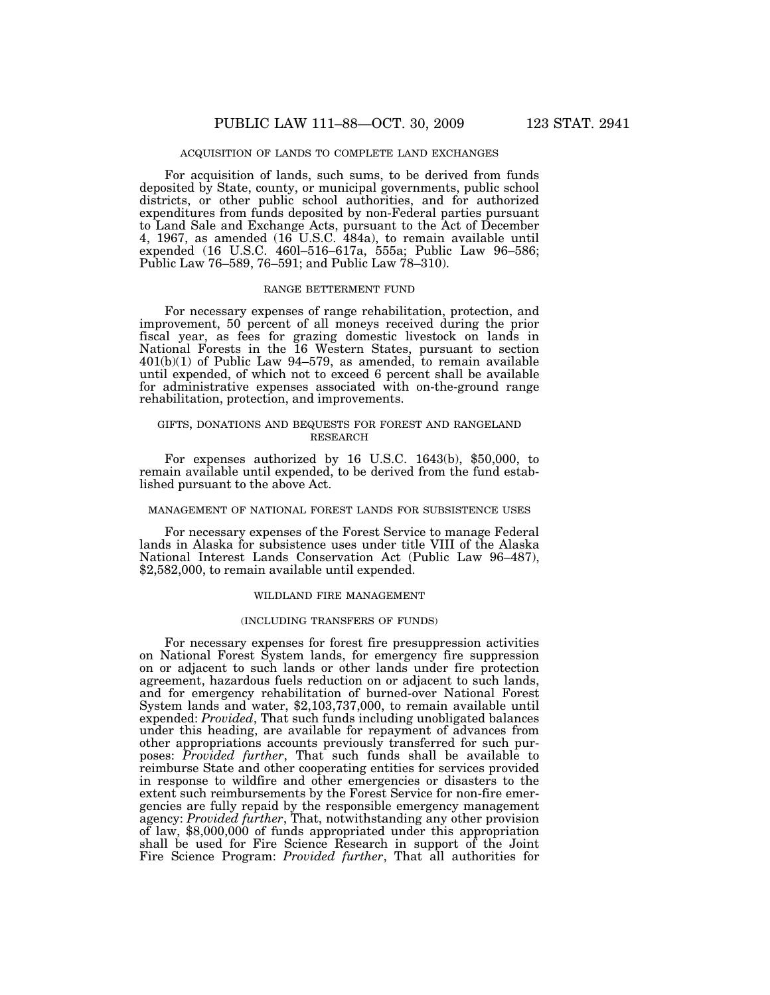## ACQUISITION OF LANDS TO COMPLETE LAND EXCHANGES

For acquisition of lands, such sums, to be derived from funds deposited by State, county, or municipal governments, public school districts, or other public school authorities, and for authorized expenditures from funds deposited by non-Federal parties pursuant to Land Sale and Exchange Acts, pursuant to the Act of December 4, 1967, as amended (16 U.S.C. 484a), to remain available until expended (16 U.S.C. 460l–516–617a, 555a; Public Law 96–586; Public Law 76–589, 76–591; and Public Law 78–310).

## RANGE BETTERMENT FUND

For necessary expenses of range rehabilitation, protection, and improvement, 50 percent of all moneys received during the prior fiscal year, as fees for grazing domestic livestock on lands in National Forests in the 16 Western States, pursuant to section  $401(b)(1)$  of Public Law 94–579, as amended, to remain available until expended, of which not to exceed 6 percent shall be available for administrative expenses associated with on-the-ground range rehabilitation, protection, and improvements.

## GIFTS, DONATIONS AND BEQUESTS FOR FOREST AND RANGELAND RESEARCH

For expenses authorized by 16 U.S.C. 1643(b), \$50,000, to remain available until expended, to be derived from the fund established pursuant to the above Act.

#### MANAGEMENT OF NATIONAL FOREST LANDS FOR SUBSISTENCE USES

For necessary expenses of the Forest Service to manage Federal lands in Alaska for subsistence uses under title VIII of the Alaska National Interest Lands Conservation Act (Public Law 96–487), \$2,582,000, to remain available until expended.

#### WILDLAND FIRE MANAGEMENT

#### (INCLUDING TRANSFERS OF FUNDS)

For necessary expenses for forest fire presuppression activities on National Forest System lands, for emergency fire suppression on or adjacent to such lands or other lands under fire protection agreement, hazardous fuels reduction on or adjacent to such lands, and for emergency rehabilitation of burned-over National Forest System lands and water, \$2,103,737,000, to remain available until expended: *Provided*, That such funds including unobligated balances under this heading, are available for repayment of advances from other appropriations accounts previously transferred for such purposes: *Provided further*, That such funds shall be available to reimburse State and other cooperating entities for services provided in response to wildfire and other emergencies or disasters to the extent such reimbursements by the Forest Service for non-fire emergencies are fully repaid by the responsible emergency management agency: *Provided further*, That, notwithstanding any other provision of law, \$8,000,000 of funds appropriated under this appropriation shall be used for Fire Science Research in support of the Joint Fire Science Program: *Provided further*, That all authorities for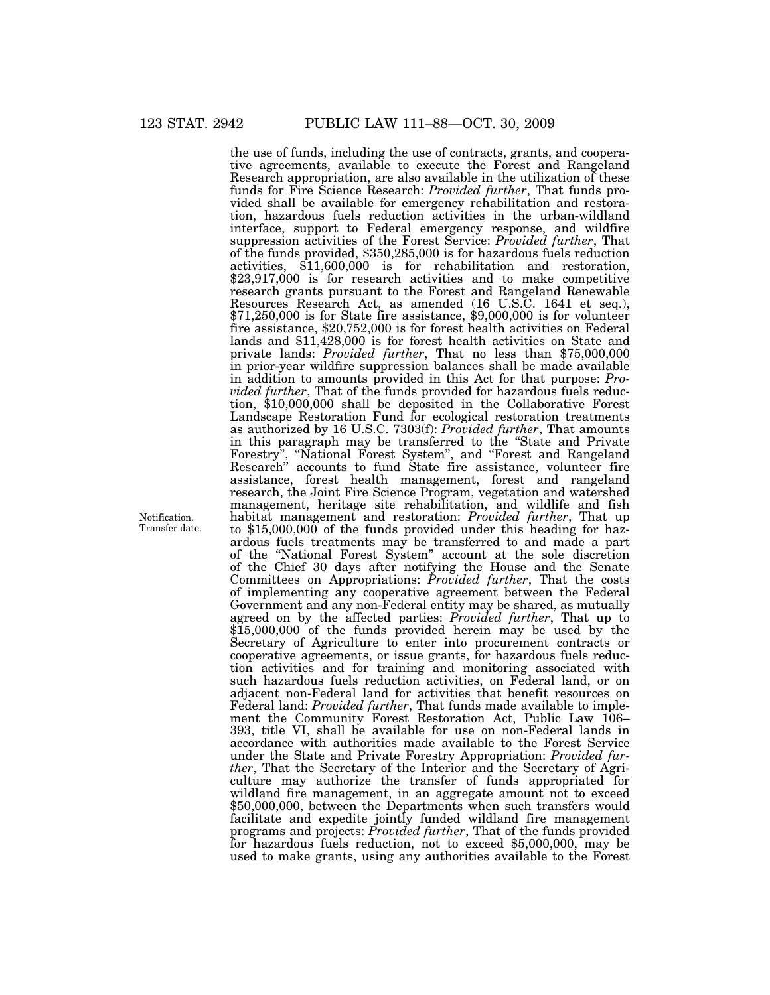the use of funds, including the use of contracts, grants, and cooperative agreements, available to execute the Forest and Rangeland Research appropriation, are also available in the utilization of these funds for Fire Science Research: *Provided further*, That funds provided shall be available for emergency rehabilitation and restoration, hazardous fuels reduction activities in the urban-wildland interface, support to Federal emergency response, and wildfire suppression activities of the Forest Service: *Provided further*, That of the funds provided, \$350,285,000 is for hazardous fuels reduction activities, \$11,600,000 is for rehabilitation and restoration, \$23,917,000 is for research activities and to make competitive research grants pursuant to the Forest and Rangeland Renewable Resources Research Act, as amended (16 U.S.C. 1641 et seq.), \$71,250,000 is for State fire assistance, \$9,000,000 is for volunteer fire assistance, \$20,752,000 is for forest health activities on Federal lands and \$11,428,000 is for forest health activities on State and private lands: *Provided further*, That no less than \$75,000,000 in prior-year wildfire suppression balances shall be made available in addition to amounts provided in this Act for that purpose: *Provided further*, That of the funds provided for hazardous fuels reduction, \$10,000,000 shall be deposited in the Collaborative Forest Landscape Restoration Fund for ecological restoration treatments as authorized by 16 U.S.C. 7303(f): *Provided further*, That amounts in this paragraph may be transferred to the ''State and Private Forestry'', ''National Forest System'', and ''Forest and Rangeland Research'' accounts to fund State fire assistance, volunteer fire assistance, forest health management, forest and rangeland research, the Joint Fire Science Program, vegetation and watershed management, heritage site rehabilitation, and wildlife and fish habitat management and restoration: *Provided further*, That up to \$15,000,000 of the funds provided under this heading for hazardous fuels treatments may be transferred to and made a part of the ''National Forest System'' account at the sole discretion of the Chief 30 days after notifying the House and the Senate Committees on Appropriations: *Provided further*, That the costs of implementing any cooperative agreement between the Federal Government and any non-Federal entity may be shared, as mutually agreed on by the affected parties: *Provided further*, That up to \$15,000,000 of the funds provided herein may be used by the Secretary of Agriculture to enter into procurement contracts or cooperative agreements, or issue grants, for hazardous fuels reduction activities and for training and monitoring associated with such hazardous fuels reduction activities, on Federal land, or on adjacent non-Federal land for activities that benefit resources on Federal land: *Provided further*, That funds made available to implement the Community Forest Restoration Act, Public Law 106– 393, title VI, shall be available for use on non-Federal lands in accordance with authorities made available to the Forest Service under the State and Private Forestry Appropriation: *Provided further*, That the Secretary of the Interior and the Secretary of Agriculture may authorize the transfer of funds appropriated for wildland fire management, in an aggregate amount not to exceed \$50,000,000, between the Departments when such transfers would facilitate and expedite jointly funded wildland fire management programs and projects: *Provided further*, That of the funds provided for hazardous fuels reduction, not to exceed \$5,000,000, may be used to make grants, using any authorities available to the Forest

Notification. Transfer date.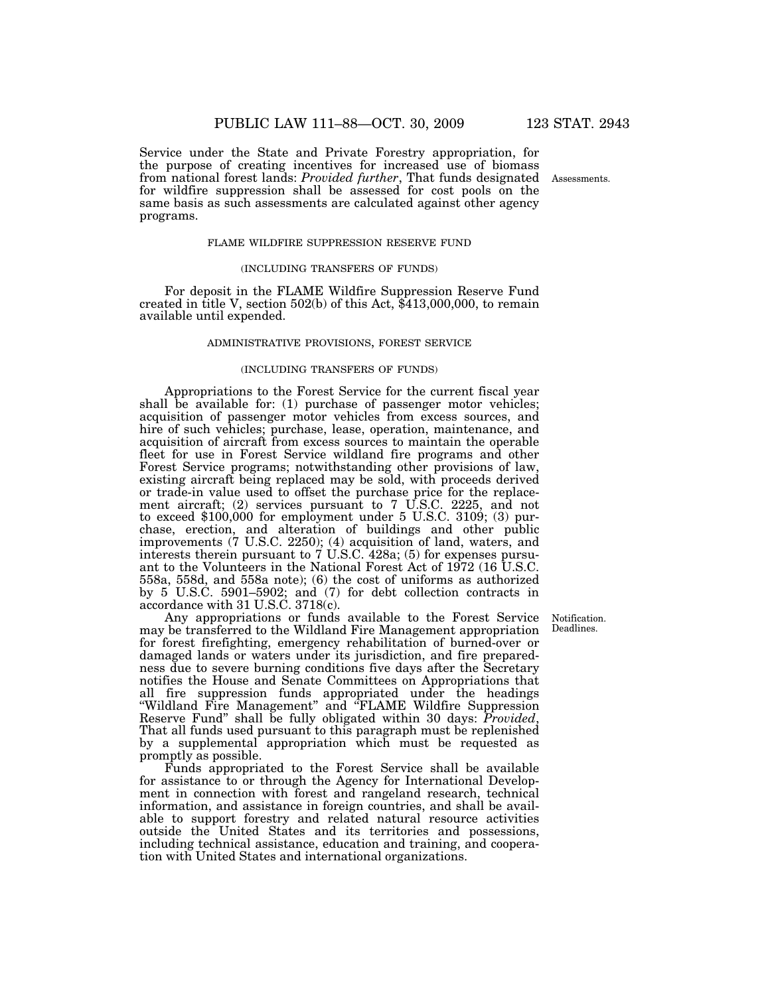Service under the State and Private Forestry appropriation, for the purpose of creating incentives for increased use of biomass from national forest lands: *Provided further*, That funds designated for wildfire suppression shall be assessed for cost pools on the same basis as such assessments are calculated against other agency programs.

## FLAME WILDFIRE SUPPRESSION RESERVE FUND

#### (INCLUDING TRANSFERS OF FUNDS)

For deposit in the FLAME Wildfire Suppression Reserve Fund created in title V, section 502(b) of this Act, \$413,000,000, to remain available until expended.

## ADMINISTRATIVE PROVISIONS, FOREST SERVICE

#### (INCLUDING TRANSFERS OF FUNDS)

Appropriations to the Forest Service for the current fiscal year shall be available for: (1) purchase of passenger motor vehicles; acquisition of passenger motor vehicles from excess sources, and hire of such vehicles; purchase, lease, operation, maintenance, and acquisition of aircraft from excess sources to maintain the operable fleet for use in Forest Service wildland fire programs and other Forest Service programs; notwithstanding other provisions of law, existing aircraft being replaced may be sold, with proceeds derived or trade-in value used to offset the purchase price for the replacement aircraft; (2) services pursuant to 7 U.S.C. 2225, and not to exceed \$100,000 for employment under 5 U.S.C. 3109; (3) purchase, erection, and alteration of buildings and other public improvements (7 U.S.C. 2250); (4) acquisition of land, waters, and interests therein pursuant to 7 U.S.C. 428a; (5) for expenses pursuant to the Volunteers in the National Forest Act of 1972 (16 U.S.C. 558a, 558d, and 558a note); (6) the cost of uniforms as authorized by 5 U.S.C. 5901–5902; and (7) for debt collection contracts in accordance with 31 U.S.C. 3718(c).

Any appropriations or funds available to the Forest Service may be transferred to the Wildland Fire Management appropriation for forest firefighting, emergency rehabilitation of burned-over or damaged lands or waters under its jurisdiction, and fire preparedness due to severe burning conditions five days after the Secretary notifies the House and Senate Committees on Appropriations that all fire suppression funds appropriated under the headings ''Wildland Fire Management'' and ''FLAME Wildfire Suppression Reserve Fund'' shall be fully obligated within 30 days: *Provided*, That all funds used pursuant to this paragraph must be replenished by a supplemental appropriation which must be requested as promptly as possible.

Funds appropriated to the Forest Service shall be available for assistance to or through the Agency for International Development in connection with forest and rangeland research, technical information, and assistance in foreign countries, and shall be available to support forestry and related natural resource activities outside the United States and its territories and possessions, including technical assistance, education and training, and cooperation with United States and international organizations.

Notification. Deadlines.

Assessments.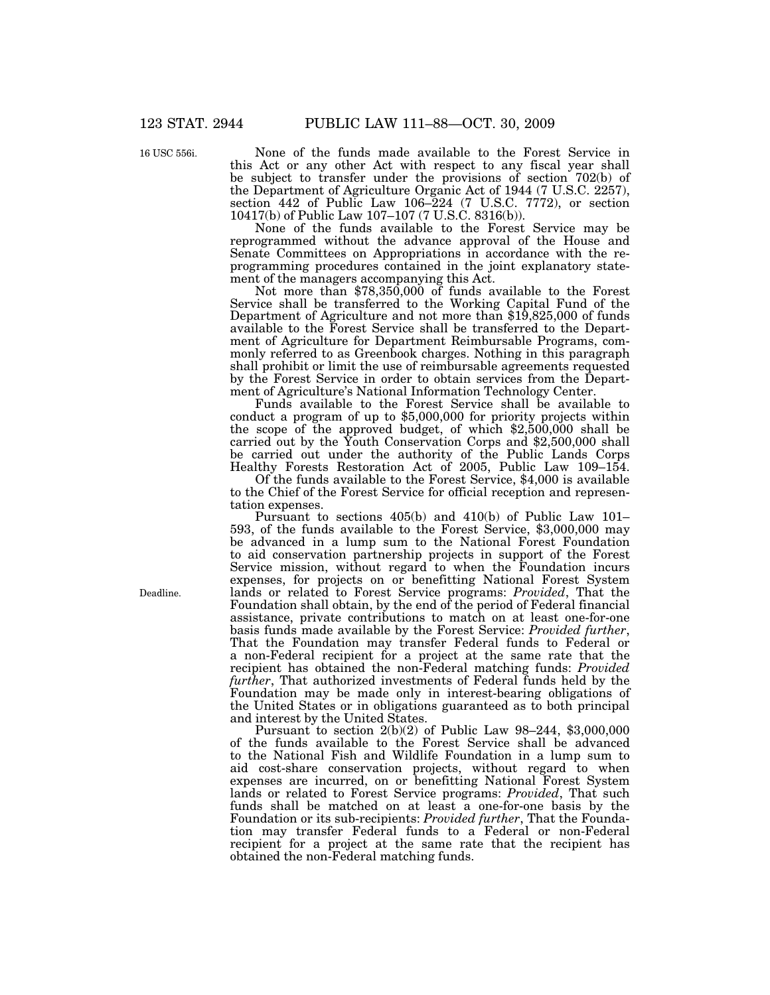16 USC 556i.

None of the funds made available to the Forest Service in this Act or any other Act with respect to any fiscal year shall be subject to transfer under the provisions of section 702(b) of the Department of Agriculture Organic Act of 1944 (7 U.S.C. 2257), section 442 of Public Law 106–224 (7 U.S.C. 7772), or section 10417(b) of Public Law 107–107 (7 U.S.C. 8316(b)).

None of the funds available to the Forest Service may be reprogrammed without the advance approval of the House and Senate Committees on Appropriations in accordance with the reprogramming procedures contained in the joint explanatory statement of the managers accompanying this Act.

Not more than \$78,350,000 of funds available to the Forest Service shall be transferred to the Working Capital Fund of the Department of Agriculture and not more than \$19,825,000 of funds available to the Forest Service shall be transferred to the Department of Agriculture for Department Reimbursable Programs, commonly referred to as Greenbook charges. Nothing in this paragraph shall prohibit or limit the use of reimbursable agreements requested by the Forest Service in order to obtain services from the Department of Agriculture's National Information Technology Center.

Funds available to the Forest Service shall be available to conduct a program of up to \$5,000,000 for priority projects within the scope of the approved budget, of which \$2,500,000 shall be carried out by the Youth Conservation Corps and \$2,500,000 shall be carried out under the authority of the Public Lands Corps Healthy Forests Restoration Act of 2005, Public Law 109–154.

Of the funds available to the Forest Service, \$4,000 is available to the Chief of the Forest Service for official reception and representation expenses.

Pursuant to sections 405(b) and 410(b) of Public Law 101– 593, of the funds available to the Forest Service, \$3,000,000 may be advanced in a lump sum to the National Forest Foundation to aid conservation partnership projects in support of the Forest Service mission, without regard to when the Foundation incurs expenses, for projects on or benefitting National Forest System lands or related to Forest Service programs: *Provided*, That the Foundation shall obtain, by the end of the period of Federal financial assistance, private contributions to match on at least one-for-one basis funds made available by the Forest Service: *Provided further*, That the Foundation may transfer Federal funds to Federal or a non-Federal recipient for a project at the same rate that the recipient has obtained the non-Federal matching funds: *Provided further*, That authorized investments of Federal funds held by the Foundation may be made only in interest-bearing obligations of the United States or in obligations guaranteed as to both principal and interest by the United States.

Pursuant to section 2(b)(2) of Public Law 98–244, \$3,000,000 of the funds available to the Forest Service shall be advanced to the National Fish and Wildlife Foundation in a lump sum to aid cost-share conservation projects, without regard to when expenses are incurred, on or benefitting National Forest System lands or related to Forest Service programs: *Provided*, That such funds shall be matched on at least a one-for-one basis by the Foundation or its sub-recipients: *Provided further*, That the Foundation may transfer Federal funds to a Federal or non-Federal recipient for a project at the same rate that the recipient has obtained the non-Federal matching funds.

Deadline.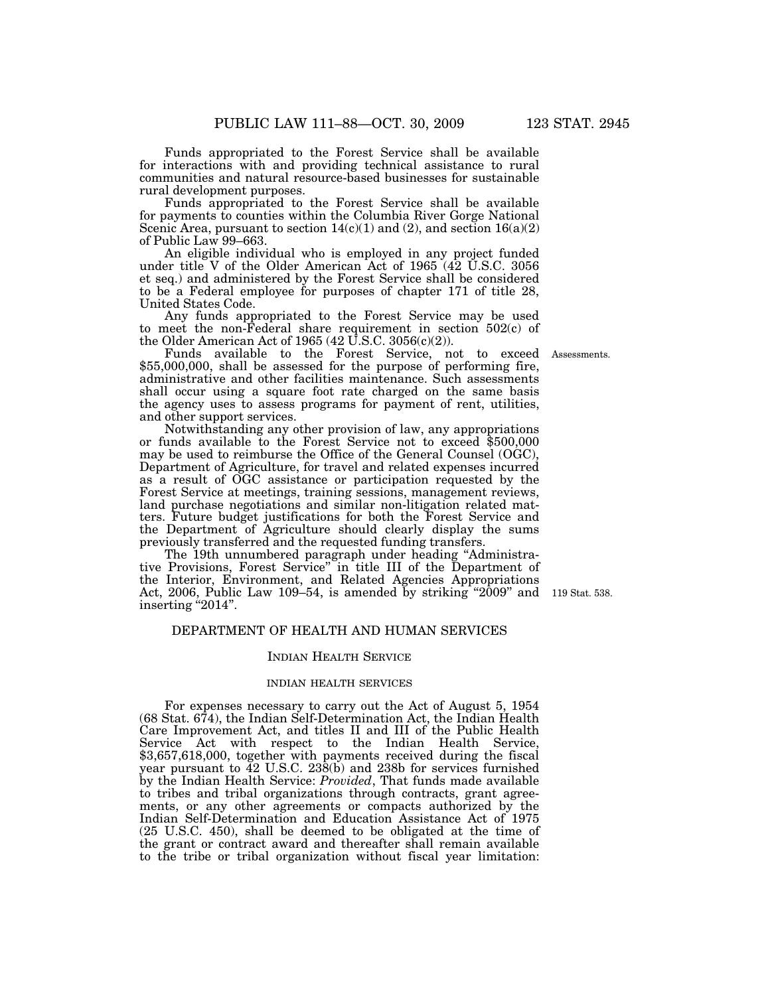Funds appropriated to the Forest Service shall be available for interactions with and providing technical assistance to rural communities and natural resource-based businesses for sustainable rural development purposes.

Funds appropriated to the Forest Service shall be available for payments to counties within the Columbia River Gorge National Scenic Area, pursuant to section  $14(c)(1)$  and  $(2)$ , and section  $16(a)(2)$ of Public Law 99–663.

An eligible individual who is employed in any project funded under title V of the Older American Act of 1965 (42 U.S.C. 3056 et seq.) and administered by the Forest Service shall be considered to be a Federal employee for purposes of chapter 171 of title 28, United States Code.

Any funds appropriated to the Forest Service may be used to meet the non-Federal share requirement in section 502(c) of the Older American Act of 1965 (42 U.S.C. 3056(c)(2)).

Assessments.

Funds available to the Forest Service, not to exceed \$55,000,000, shall be assessed for the purpose of performing fire, administrative and other facilities maintenance. Such assessments shall occur using a square foot rate charged on the same basis the agency uses to assess programs for payment of rent, utilities, and other support services.

Notwithstanding any other provision of law, any appropriations or funds available to the Forest Service not to exceed \$500,000 may be used to reimburse the Office of the General Counsel (OGC), Department of Agriculture, for travel and related expenses incurred as a result of OGC assistance or participation requested by the Forest Service at meetings, training sessions, management reviews, land purchase negotiations and similar non-litigation related matters. Future budget justifications for both the Forest Service and the Department of Agriculture should clearly display the sums previously transferred and the requested funding transfers.

The 19th unnumbered paragraph under heading "Administrative Provisions, Forest Service'' in title III of the Department of the Interior, Environment, and Related Agencies Appropriations Act, 2006, Public Law 109–54, is amended by striking "2009" and  $119$  Stat. 538. inserting "2014".

## DEPARTMENT OF HEALTH AND HUMAN SERVICES

#### INDIAN HEALTH SERVICE

## INDIAN HEALTH SERVICES

For expenses necessary to carry out the Act of August 5, 1954 (68 Stat. 674), the Indian Self-Determination Act, the Indian Health Care Improvement Act, and titles II and III of the Public Health Service Act with respect to the Indian Health Service, \$3,657,618,000, together with payments received during the fiscal year pursuant to 42 U.S.C. 238(b) and 238b for services furnished by the Indian Health Service: *Provided*, That funds made available to tribes and tribal organizations through contracts, grant agreements, or any other agreements or compacts authorized by the Indian Self-Determination and Education Assistance Act of 1975 (25 U.S.C. 450), shall be deemed to be obligated at the time of the grant or contract award and thereafter shall remain available to the tribe or tribal organization without fiscal year limitation: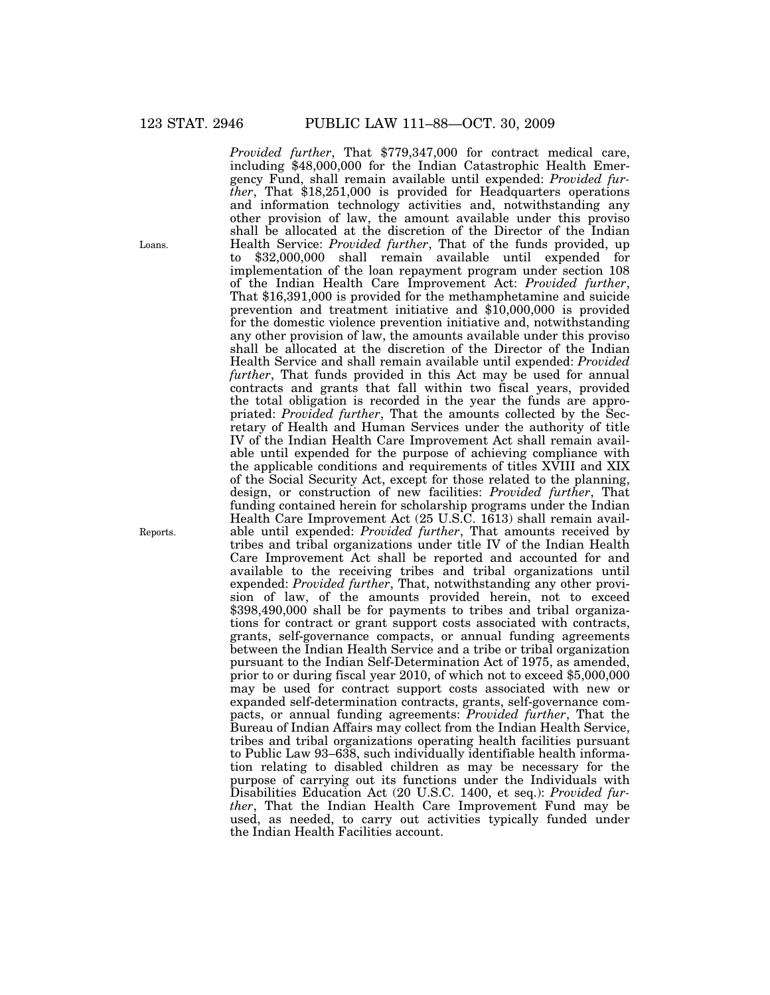*Provided further*, That \$779,347,000 for contract medical care, including \$48,000,000 for the Indian Catastrophic Health Emergency Fund, shall remain available until expended: *Provided further*, That \$18,251,000 is provided for Headquarters operations and information technology activities and, notwithstanding any other provision of law, the amount available under this proviso shall be allocated at the discretion of the Director of the Indian Health Service: *Provided further*, That of the funds provided, up to \$32,000,000 shall remain available until expended for implementation of the loan repayment program under section 108 of the Indian Health Care Improvement Act: *Provided further*, That \$16,391,000 is provided for the methamphetamine and suicide prevention and treatment initiative and \$10,000,000 is provided for the domestic violence prevention initiative and, notwithstanding any other provision of law, the amounts available under this proviso shall be allocated at the discretion of the Director of the Indian Health Service and shall remain available until expended: *Provided further*, That funds provided in this Act may be used for annual contracts and grants that fall within two fiscal years, provided the total obligation is recorded in the year the funds are appropriated: *Provided further*, That the amounts collected by the Secretary of Health and Human Services under the authority of title IV of the Indian Health Care Improvement Act shall remain available until expended for the purpose of achieving compliance with the applicable conditions and requirements of titles XVIII and XIX of the Social Security Act, except for those related to the planning, design, or construction of new facilities: *Provided further*, That funding contained herein for scholarship programs under the Indian Health Care Improvement Act (25 U.S.C. 1613) shall remain available until expended: *Provided further*, That amounts received by tribes and tribal organizations under title IV of the Indian Health Care Improvement Act shall be reported and accounted for and available to the receiving tribes and tribal organizations until expended: *Provided further*, That, notwithstanding any other provision of law, of the amounts provided herein, not to exceed \$398,490,000 shall be for payments to tribes and tribal organizations for contract or grant support costs associated with contracts, grants, self-governance compacts, or annual funding agreements between the Indian Health Service and a tribe or tribal organization pursuant to the Indian Self-Determination Act of 1975, as amended, prior to or during fiscal year 2010, of which not to exceed \$5,000,000 may be used for contract support costs associated with new or expanded self-determination contracts, grants, self-governance compacts, or annual funding agreements: *Provided further*, That the Bureau of Indian Affairs may collect from the Indian Health Service, tribes and tribal organizations operating health facilities pursuant to Public Law 93–638, such individually identifiable health information relating to disabled children as may be necessary for the purpose of carrying out its functions under the Individuals with Disabilities Education Act (20 U.S.C. 1400, et seq.): *Provided further*, That the Indian Health Care Improvement Fund may be used, as needed, to carry out activities typically funded under the Indian Health Facilities account.

Loans.

Reports.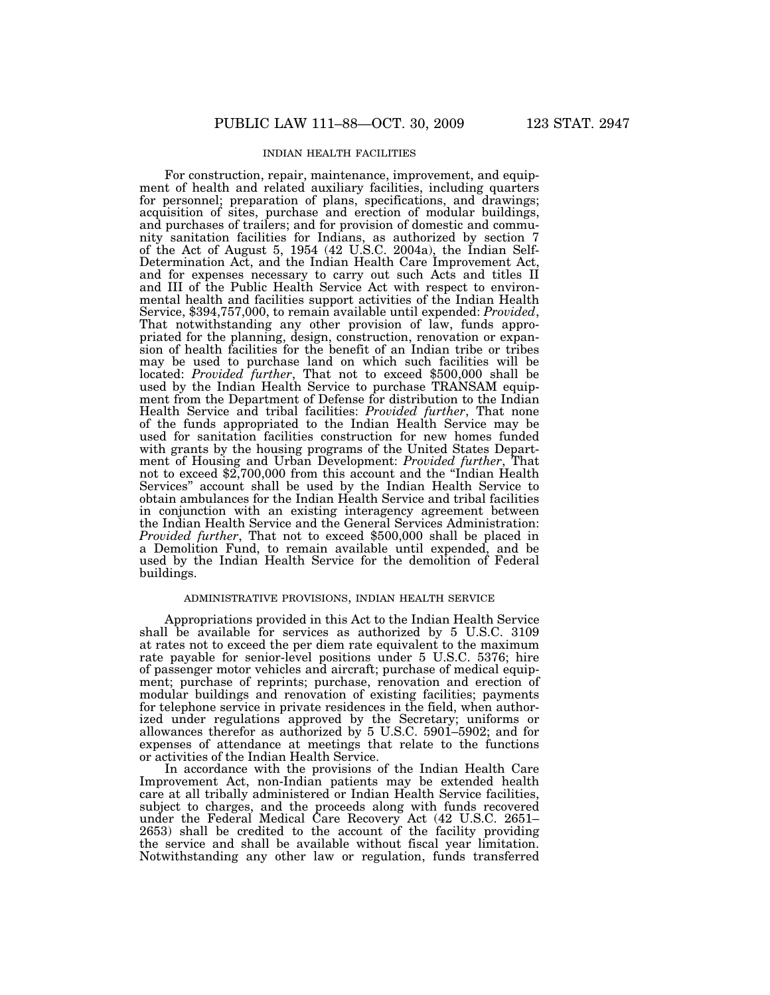## INDIAN HEALTH FACILITIES

For construction, repair, maintenance, improvement, and equipment of health and related auxiliary facilities, including quarters for personnel; preparation of plans, specifications, and drawings; acquisition of sites, purchase and erection of modular buildings, and purchases of trailers; and for provision of domestic and community sanitation facilities for Indians, as authorized by section 7 of the Act of August 5, 1954 (42 U.S.C. 2004a), the Indian Self-Determination Act, and the Indian Health Care Improvement Act, and for expenses necessary to carry out such Acts and titles II and III of the Public Health Service Act with respect to environmental health and facilities support activities of the Indian Health Service, \$394,757,000, to remain available until expended: *Provided*, That notwithstanding any other provision of law, funds appropriated for the planning, design, construction, renovation or expansion of health facilities for the benefit of an Indian tribe or tribes may be used to purchase land on which such facilities will be located: *Provided further*, That not to exceed \$500,000 shall be used by the Indian Health Service to purchase TRANSAM equipment from the Department of Defense for distribution to the Indian Health Service and tribal facilities: *Provided further*, That none of the funds appropriated to the Indian Health Service may be used for sanitation facilities construction for new homes funded with grants by the housing programs of the United States Department of Housing and Urban Development: *Provided further*, That not to exceed \$2,700,000 from this account and the ''Indian Health Services'' account shall be used by the Indian Health Service to obtain ambulances for the Indian Health Service and tribal facilities in conjunction with an existing interagency agreement between the Indian Health Service and the General Services Administration: *Provided further*, That not to exceed \$500,000 shall be placed in a Demolition Fund, to remain available until expended, and be used by the Indian Health Service for the demolition of Federal buildings.

## ADMINISTRATIVE PROVISIONS, INDIAN HEALTH SERVICE

Appropriations provided in this Act to the Indian Health Service shall be available for services as authorized by 5 U.S.C. 3109 at rates not to exceed the per diem rate equivalent to the maximum rate payable for senior-level positions under 5 U.S.C. 5376; hire of passenger motor vehicles and aircraft; purchase of medical equipment; purchase of reprints; purchase, renovation and erection of modular buildings and renovation of existing facilities; payments for telephone service in private residences in the field, when authorized under regulations approved by the Secretary; uniforms or allowances therefor as authorized by 5 U.S.C. 5901–5902; and for expenses of attendance at meetings that relate to the functions or activities of the Indian Health Service.

In accordance with the provisions of the Indian Health Care Improvement Act, non-Indian patients may be extended health care at all tribally administered or Indian Health Service facilities, subject to charges, and the proceeds along with funds recovered under the Federal Medical Care Recovery Act (42 U.S.C. 2651– 2653) shall be credited to the account of the facility providing the service and shall be available without fiscal year limitation. Notwithstanding any other law or regulation, funds transferred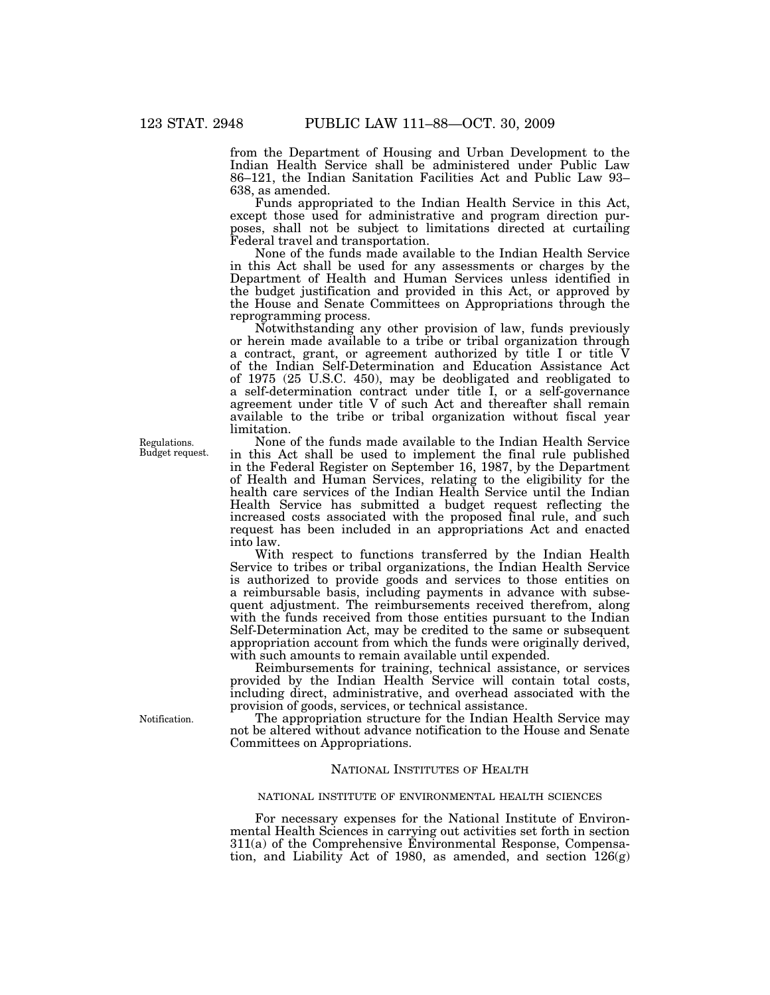from the Department of Housing and Urban Development to the Indian Health Service shall be administered under Public Law 86–121, the Indian Sanitation Facilities Act and Public Law 93– 638, as amended.

Funds appropriated to the Indian Health Service in this Act, except those used for administrative and program direction purposes, shall not be subject to limitations directed at curtailing Federal travel and transportation.

None of the funds made available to the Indian Health Service in this Act shall be used for any assessments or charges by the Department of Health and Human Services unless identified in the budget justification and provided in this Act, or approved by the House and Senate Committees on Appropriations through the reprogramming process.

Notwithstanding any other provision of law, funds previously or herein made available to a tribe or tribal organization through a contract, grant, or agreement authorized by title I or title V of the Indian Self-Determination and Education Assistance Act of 1975 (25 U.S.C. 450), may be deobligated and reobligated to a self-determination contract under title I, or a self-governance agreement under title V of such Act and thereafter shall remain available to the tribe or tribal organization without fiscal year limitation.

None of the funds made available to the Indian Health Service in this Act shall be used to implement the final rule published in the Federal Register on September 16, 1987, by the Department of Health and Human Services, relating to the eligibility for the health care services of the Indian Health Service until the Indian Health Service has submitted a budget request reflecting the increased costs associated with the proposed final rule, and such request has been included in an appropriations Act and enacted into law.

With respect to functions transferred by the Indian Health Service to tribes or tribal organizations, the Indian Health Service is authorized to provide goods and services to those entities on a reimbursable basis, including payments in advance with subsequent adjustment. The reimbursements received therefrom, along with the funds received from those entities pursuant to the Indian Self-Determination Act, may be credited to the same or subsequent appropriation account from which the funds were originally derived, with such amounts to remain available until expended.

Reimbursements for training, technical assistance, or services provided by the Indian Health Service will contain total costs, including direct, administrative, and overhead associated with the provision of goods, services, or technical assistance.

The appropriation structure for the Indian Health Service may not be altered without advance notification to the House and Senate Committees on Appropriations.

## NATIONAL INSTITUTES OF HEALTH

## NATIONAL INSTITUTE OF ENVIRONMENTAL HEALTH SCIENCES

For necessary expenses for the National Institute of Environmental Health Sciences in carrying out activities set forth in section 311(a) of the Comprehensive Environmental Response, Compensation, and Liability Act of 1980, as amended, and section  $126(g)$ 

Regulations. Budget request.

Notification.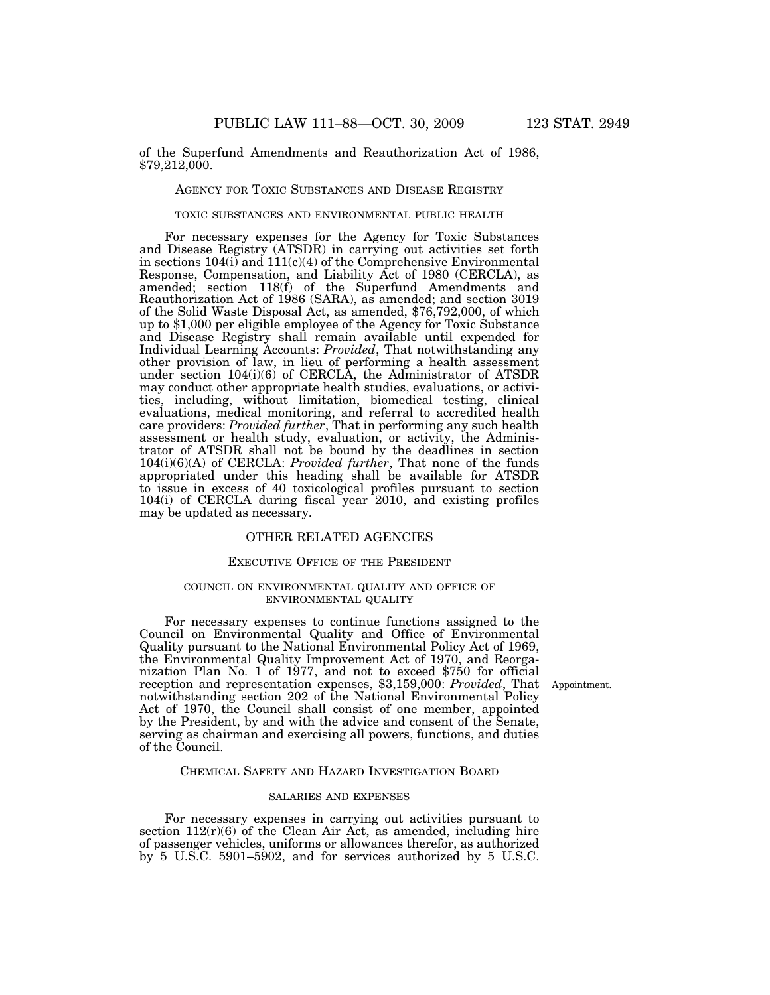of the Superfund Amendments and Reauthorization Act of 1986, \$79,212,000.

## AGENCY FOR TOXIC SUBSTANCES AND DISEASE REGISTRY

#### TOXIC SUBSTANCES AND ENVIRONMENTAL PUBLIC HEALTH

For necessary expenses for the Agency for Toxic Substances and Disease Registry (ATSDR) in carrying out activities set forth in sections  $104(i)$  and  $111(c)(4)$  of the Comprehensive Environmental Response, Compensation, and Liability Act of 1980 (CERCLA), as amended; section 118(f) of the Superfund Amendments and Reauthorization Act of 1986 (SARA), as amended; and section 3019 of the Solid Waste Disposal Act, as amended, \$76,792,000, of which up to \$1,000 per eligible employee of the Agency for Toxic Substance and Disease Registry shall remain available until expended for Individual Learning Accounts: *Provided*, That notwithstanding any other provision of law, in lieu of performing a health assessment under section 104(i)(6) of CERCLA, the Administrator of ATSDR may conduct other appropriate health studies, evaluations, or activities, including, without limitation, biomedical testing, clinical evaluations, medical monitoring, and referral to accredited health care providers: *Provided further*, That in performing any such health assessment or health study, evaluation, or activity, the Administrator of ATSDR shall not be bound by the deadlines in section 104(i)(6)(A) of CERCLA: *Provided further*, That none of the funds appropriated under this heading shall be available for ATSDR to issue in excess of 40 toxicological profiles pursuant to section 104(i) of CERCLA during fiscal year 2010, and existing profiles may be updated as necessary.

## OTHER RELATED AGENCIES

## EXECUTIVE OFFICE OF THE PRESIDENT

## COUNCIL ON ENVIRONMENTAL QUALITY AND OFFICE OF ENVIRONMENTAL QUALITY

For necessary expenses to continue functions assigned to the Council on Environmental Quality and Office of Environmental Quality pursuant to the National Environmental Policy Act of 1969, the Environmental Quality Improvement Act of 1970, and Reorganization Plan No. 1 of 1977, and not to exceed \$750 for official reception and representation expenses, \$3,159,000: *Provided*, That Appointment. notwithstanding section 202 of the National Environmental Policy Act of 1970, the Council shall consist of one member, appointed by the President, by and with the advice and consent of the Senate, serving as chairman and exercising all powers, functions, and duties of the Council.

#### CHEMICAL SAFETY AND HAZARD INVESTIGATION BOARD

## SALARIES AND EXPENSES

For necessary expenses in carrying out activities pursuant to section  $112(r)(6)$  of the Clean Air Act, as amended, including hire of passenger vehicles, uniforms or allowances therefor, as authorized by 5 U.S.C. 5901–5902, and for services authorized by 5 U.S.C.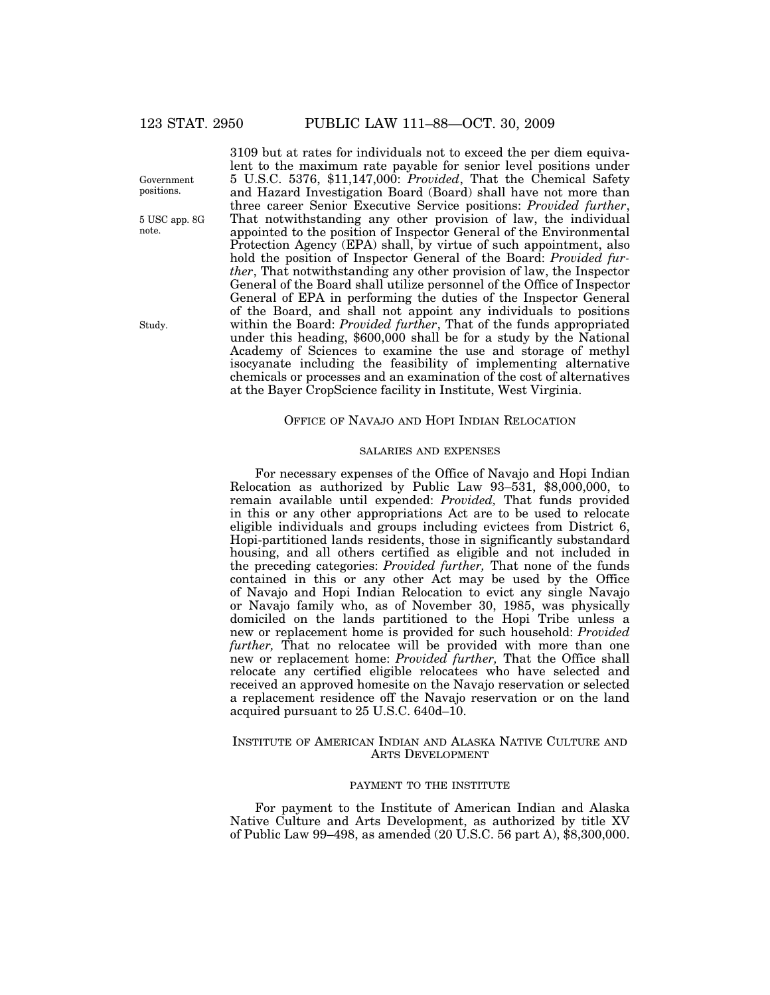Government positions.

5 USC app. 8G note.

Study.

3109 but at rates for individuals not to exceed the per diem equivalent to the maximum rate payable for senior level positions under 5 U.S.C. 5376, \$11,147,000: *Provided*, That the Chemical Safety and Hazard Investigation Board (Board) shall have not more than three career Senior Executive Service positions: *Provided further*, That notwithstanding any other provision of law, the individual appointed to the position of Inspector General of the Environmental Protection Agency (EPA) shall, by virtue of such appointment, also hold the position of Inspector General of the Board: *Provided further*, That notwithstanding any other provision of law, the Inspector General of the Board shall utilize personnel of the Office of Inspector General of EPA in performing the duties of the Inspector General of the Board, and shall not appoint any individuals to positions within the Board: *Provided further*, That of the funds appropriated under this heading, \$600,000 shall be for a study by the National Academy of Sciences to examine the use and storage of methyl isocyanate including the feasibility of implementing alternative chemicals or processes and an examination of the cost of alternatives at the Bayer CropScience facility in Institute, West Virginia.

## OFFICE OF NAVAJO AND HOPI INDIAN RELOCATION

## SALARIES AND EXPENSES

For necessary expenses of the Office of Navajo and Hopi Indian Relocation as authorized by Public Law 93–531, \$8,000,000, to remain available until expended: *Provided,* That funds provided in this or any other appropriations Act are to be used to relocate eligible individuals and groups including evictees from District 6, Hopi-partitioned lands residents, those in significantly substandard housing, and all others certified as eligible and not included in the preceding categories: *Provided further,* That none of the funds contained in this or any other Act may be used by the Office of Navajo and Hopi Indian Relocation to evict any single Navajo or Navajo family who, as of November 30, 1985, was physically domiciled on the lands partitioned to the Hopi Tribe unless a new or replacement home is provided for such household: *Provided further,* That no relocatee will be provided with more than one new or replacement home: *Provided further,* That the Office shall relocate any certified eligible relocatees who have selected and received an approved homesite on the Navajo reservation or selected a replacement residence off the Navajo reservation or on the land acquired pursuant to 25 U.S.C. 640d–10.

## INSTITUTE OF AMERICAN INDIAN AND ALASKA NATIVE CULTURE AND ARTS DEVELOPMENT

## PAYMENT TO THE INSTITUTE

For payment to the Institute of American Indian and Alaska Native Culture and Arts Development, as authorized by title XV of Public Law 99–498, as amended (20 U.S.C. 56 part A), \$8,300,000.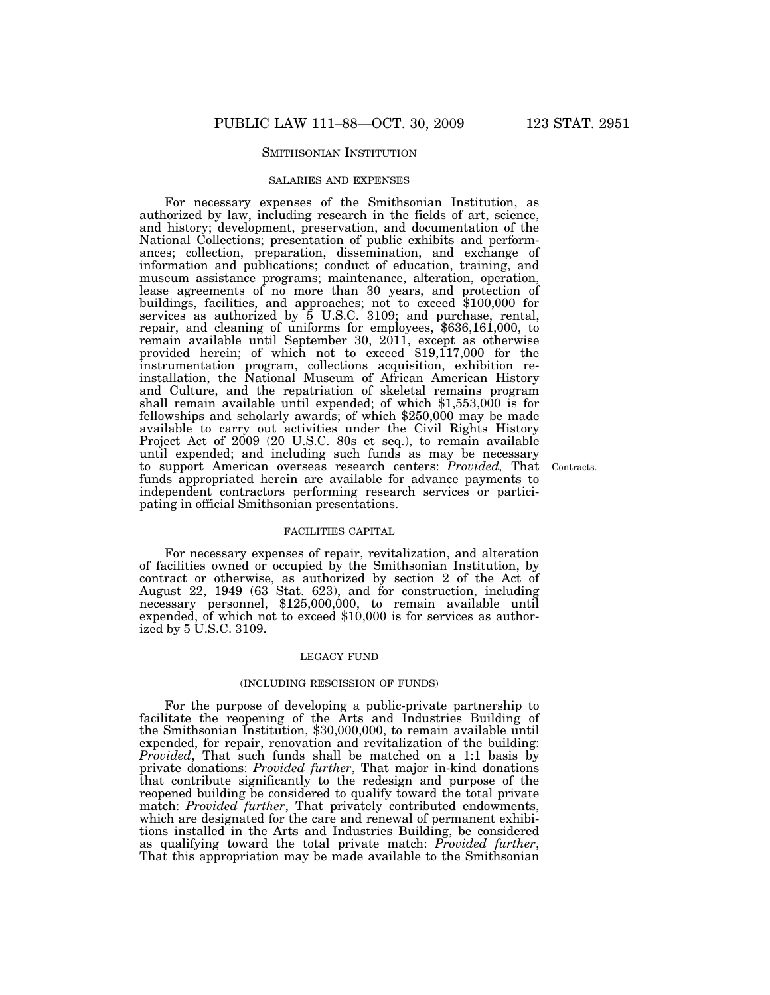## SMITHSONIAN INSTITUTION

## SALARIES AND EXPENSES

For necessary expenses of the Smithsonian Institution, as authorized by law, including research in the fields of art, science, and history; development, preservation, and documentation of the National Collections; presentation of public exhibits and performances; collection, preparation, dissemination, and exchange of information and publications; conduct of education, training, and museum assistance programs; maintenance, alteration, operation, lease agreements of no more than 30 years, and protection of buildings, facilities, and approaches; not to exceed \$100,000 for services as authorized by  $\bar{5}$  U.S.C. 3109; and purchase, rental, repair, and cleaning of uniforms for employees, \$636,161,000, to remain available until September 30, 2011, except as otherwise provided herein; of which not to exceed \$19,117,000 for the instrumentation program, collections acquisition, exhibition reinstallation, the National Museum of African American History and Culture, and the repatriation of skeletal remains program shall remain available until expended; of which \$1,553,000 is for fellowships and scholarly awards; of which \$250,000 may be made available to carry out activities under the Civil Rights History Project Act of 2009 (20 U.S.C. 80s et seq.), to remain available until expended; and including such funds as may be necessary to support American overseas research centers: *Provided,* That Contracts. funds appropriated herein are available for advance payments to independent contractors performing research services or participating in official Smithsonian presentations.

## FACILITIES CAPITAL

For necessary expenses of repair, revitalization, and alteration of facilities owned or occupied by the Smithsonian Institution, by contract or otherwise, as authorized by section 2 of the Act of August 22, 1949 (63 Stat. 623), and for construction, including necessary personnel, \$125,000,000, to remain available until expended, of which not to exceed \$10,000 is for services as authorized by 5 U.S.C. 3109.

#### LEGACY FUND

#### (INCLUDING RESCISSION OF FUNDS)

For the purpose of developing a public-private partnership to facilitate the reopening of the Arts and Industries Building of the Smithsonian Institution, \$30,000,000, to remain available until expended, for repair, renovation and revitalization of the building: *Provided*, That such funds shall be matched on a 1:1 basis by private donations: *Provided further*, That major in-kind donations that contribute significantly to the redesign and purpose of the reopened building be considered to qualify toward the total private match: *Provided further*, That privately contributed endowments, which are designated for the care and renewal of permanent exhibitions installed in the Arts and Industries Building, be considered as qualifying toward the total private match: *Provided further*, That this appropriation may be made available to the Smithsonian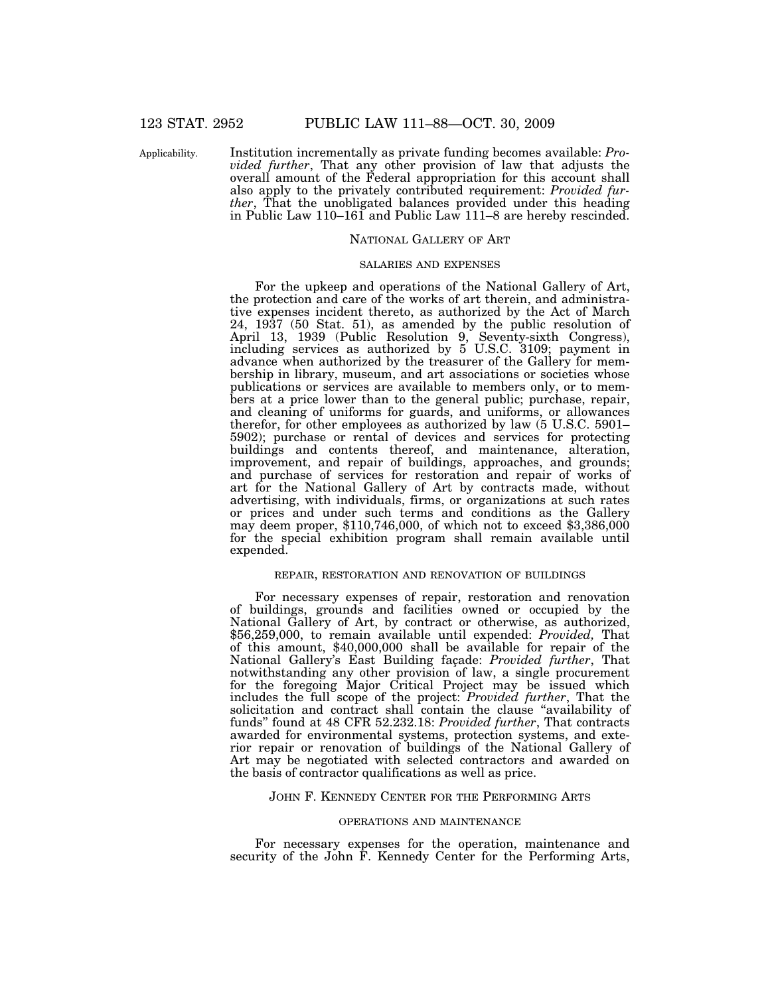Applicability.

Institution incrementally as private funding becomes available: *Provided further*, That any other provision of law that adjusts the overall amount of the Federal appropriation for this account shall also apply to the privately contributed requirement: *Provided further*, That the unobligated balances provided under this heading in Public Law 110–161 and Public Law 111–8 are hereby rescinded.

## NATIONAL GALLERY OF ART

#### SALARIES AND EXPENSES

For the upkeep and operations of the National Gallery of Art, the protection and care of the works of art therein, and administrative expenses incident thereto, as authorized by the Act of March 24, 1937 (50 Stat. 51), as amended by the public resolution of April 13, 1939 (Public Resolution 9, Seventy-sixth Congress), including services as authorized by 5 U.S.C. 3109; payment in advance when authorized by the treasurer of the Gallery for membership in library, museum, and art associations or societies whose publications or services are available to members only, or to members at a price lower than to the general public; purchase, repair, and cleaning of uniforms for guards, and uniforms, or allowances therefor, for other employees as authorized by law (5 U.S.C. 5901– 5902); purchase or rental of devices and services for protecting buildings and contents thereof, and maintenance, alteration, improvement, and repair of buildings, approaches, and grounds; and purchase of services for restoration and repair of works of art for the National Gallery of Art by contracts made, without advertising, with individuals, firms, or organizations at such rates or prices and under such terms and conditions as the Gallery may deem proper,  $$110,746,000$ , of which not to exceed  $$3,386,000$ for the special exhibition program shall remain available until expended.

## REPAIR, RESTORATION AND RENOVATION OF BUILDINGS

For necessary expenses of repair, restoration and renovation of buildings, grounds and facilities owned or occupied by the National Gallery of Art, by contract or otherwise, as authorized, \$56,259,000, to remain available until expended: *Provided,* That of this amount, \$40,000,000 shall be available for repair of the National Gallery's East Building façade: *Provided further*, That notwithstanding any other provision of law, a single procurement for the foregoing Major Critical Project may be issued which includes the full scope of the project: *Provided further*, That the solicitation and contract shall contain the clause ''availability of funds'' found at 48 CFR 52.232.18: *Provided further*, That contracts awarded for environmental systems, protection systems, and exterior repair or renovation of buildings of the National Gallery of Art may be negotiated with selected contractors and awarded on the basis of contractor qualifications as well as price.

## JOHN F. KENNEDY CENTER FOR THE PERFORMING ARTS

#### OPERATIONS AND MAINTENANCE

For necessary expenses for the operation, maintenance and security of the John F. Kennedy Center for the Performing Arts,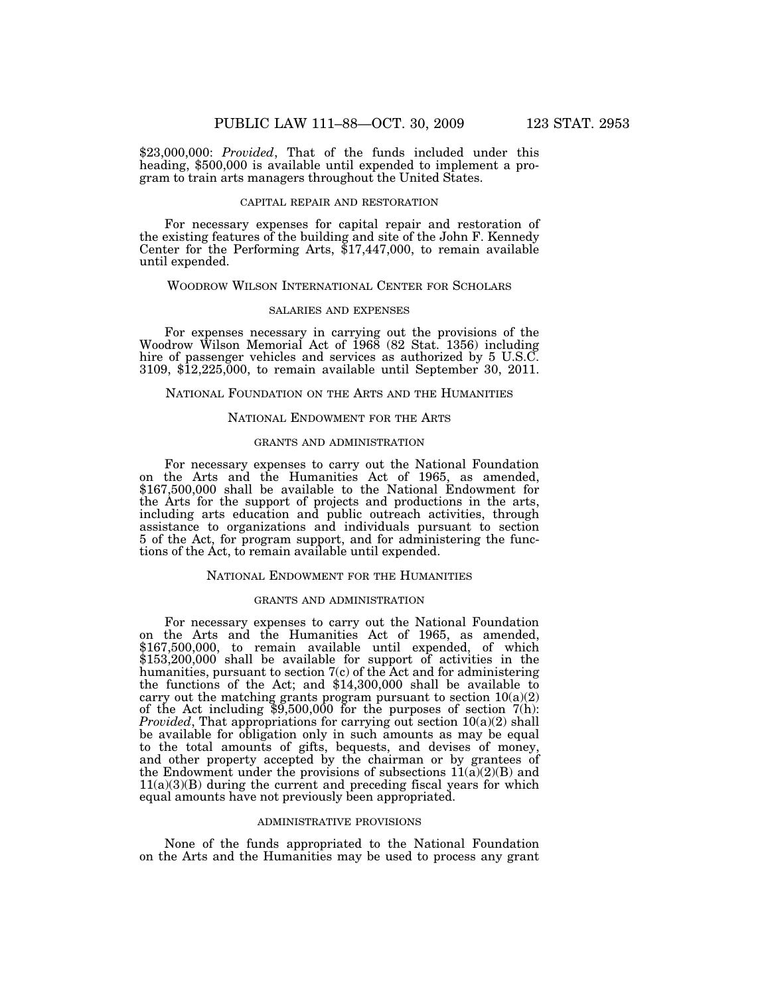\$23,000,000: *Provided*, That of the funds included under this heading, \$500,000 is available until expended to implement a program to train arts managers throughout the United States.

#### CAPITAL REPAIR AND RESTORATION

For necessary expenses for capital repair and restoration of the existing features of the building and site of the John F. Kennedy Center for the Performing Arts, \$17,447,000, to remain available until expended.

#### WOODROW WILSON INTERNATIONAL CENTER FOR SCHOLARS

## SALARIES AND EXPENSES

For expenses necessary in carrying out the provisions of the Woodrow Wilson Memorial Act of 1968 (82 Stat. 1356) including hire of passenger vehicles and services as authorized by 5 U.S.C. 3109, \$12,225,000, to remain available until September 30, 2011.

## NATIONAL FOUNDATION ON THE ARTS AND THE HUMANITIES

## NATIONAL ENDOWMENT FOR THE ARTS

#### GRANTS AND ADMINISTRATION

For necessary expenses to carry out the National Foundation on the Arts and the Humanities Act of 1965, as amended, \$167,500,000 shall be available to the National Endowment for the Arts for the support of projects and productions in the arts, including arts education and public outreach activities, through assistance to organizations and individuals pursuant to section 5 of the Act, for program support, and for administering the functions of the Act, to remain available until expended.

#### NATIONAL ENDOWMENT FOR THE HUMANITIES

## GRANTS AND ADMINISTRATION

For necessary expenses to carry out the National Foundation on the Arts and the Humanities Act of 1965, as amended, \$167,500,000, to remain available until expended, of which \$153,200,000 shall be available for support of activities in the humanities, pursuant to section 7(c) of the Act and for administering the functions of the Act; and \$14,300,000 shall be available to carry out the matching grants program pursuant to section  $10(a)(2)$ of the Act including  $$9,500,000$  for the purposes of section  $7(h)$ : *Provided*, That appropriations for carrying out section  $10(a)(2)$  shall be available for obligation only in such amounts as may be equal to the total amounts of gifts, bequests, and devises of money, and other property accepted by the chairman or by grantees of the Endowment under the provisions of subsections  $11(a)(2)(B)$  and  $11(a)(3)(B)$  during the current and preceding fiscal years for which equal amounts have not previously been appropriated.

#### ADMINISTRATIVE PROVISIONS

None of the funds appropriated to the National Foundation on the Arts and the Humanities may be used to process any grant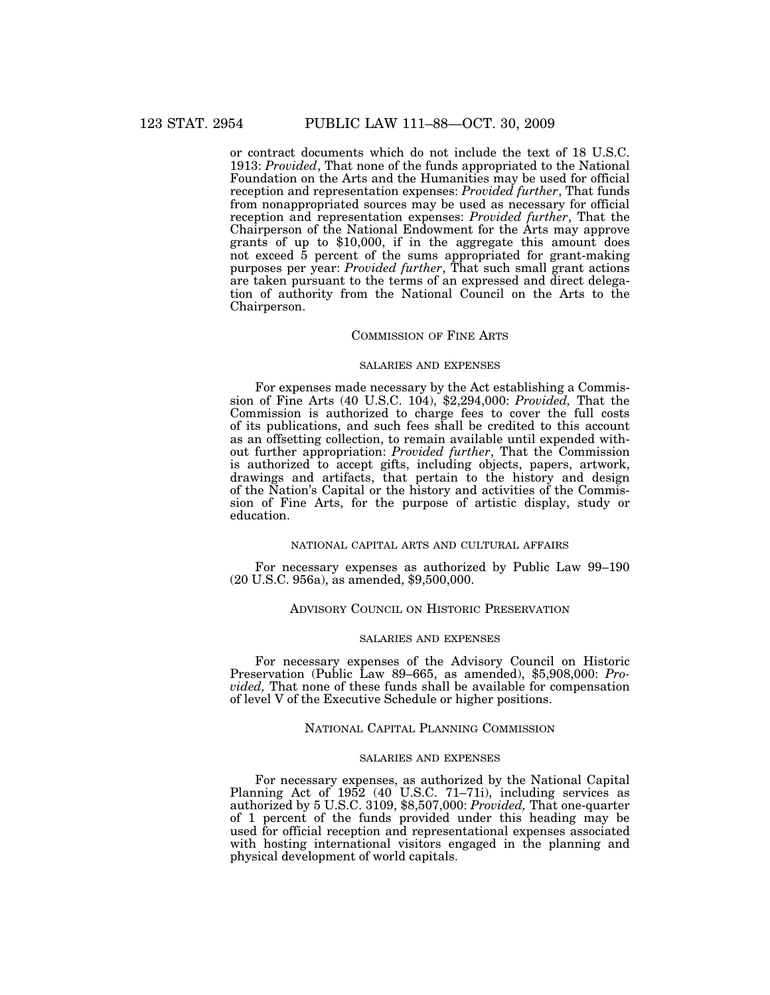or contract documents which do not include the text of 18 U.S.C. 1913: *Provided*, That none of the funds appropriated to the National Foundation on the Arts and the Humanities may be used for official reception and representation expenses: *Provided further*, That funds from nonappropriated sources may be used as necessary for official reception and representation expenses: *Provided further*, That the Chairperson of the National Endowment for the Arts may approve grants of up to \$10,000, if in the aggregate this amount does not exceed 5 percent of the sums appropriated for grant-making purposes per year: *Provided further*, That such small grant actions are taken pursuant to the terms of an expressed and direct delegation of authority from the National Council on the Arts to the Chairperson.

## COMMISSION OF FINE ARTS

## SALARIES AND EXPENSES

For expenses made necessary by the Act establishing a Commission of Fine Arts (40 U.S.C. 104), \$2,294,000: *Provided,* That the Commission is authorized to charge fees to cover the full costs of its publications, and such fees shall be credited to this account as an offsetting collection, to remain available until expended without further appropriation: *Provided further*, That the Commission is authorized to accept gifts, including objects, papers, artwork, drawings and artifacts, that pertain to the history and design of the Nation's Capital or the history and activities of the Commission of Fine Arts, for the purpose of artistic display, study or education.

## NATIONAL CAPITAL ARTS AND CULTURAL AFFAIRS

For necessary expenses as authorized by Public Law 99–190 (20 U.S.C. 956a), as amended, \$9,500,000.

## ADVISORY COUNCIL ON HISTORIC PRESERVATION

#### SALARIES AND EXPENSES

For necessary expenses of the Advisory Council on Historic Preservation (Public Law 89–665, as amended), \$5,908,000: *Provided,* That none of these funds shall be available for compensation of level V of the Executive Schedule or higher positions.

## NATIONAL CAPITAL PLANNING COMMISSION

#### SALARIES AND EXPENSES

For necessary expenses, as authorized by the National Capital Planning Act of 1952 (40 U.S.C. 71–71i), including services as authorized by 5 U.S.C. 3109, \$8,507,000: *Provided,* That one-quarter of 1 percent of the funds provided under this heading may be used for official reception and representational expenses associated with hosting international visitors engaged in the planning and physical development of world capitals.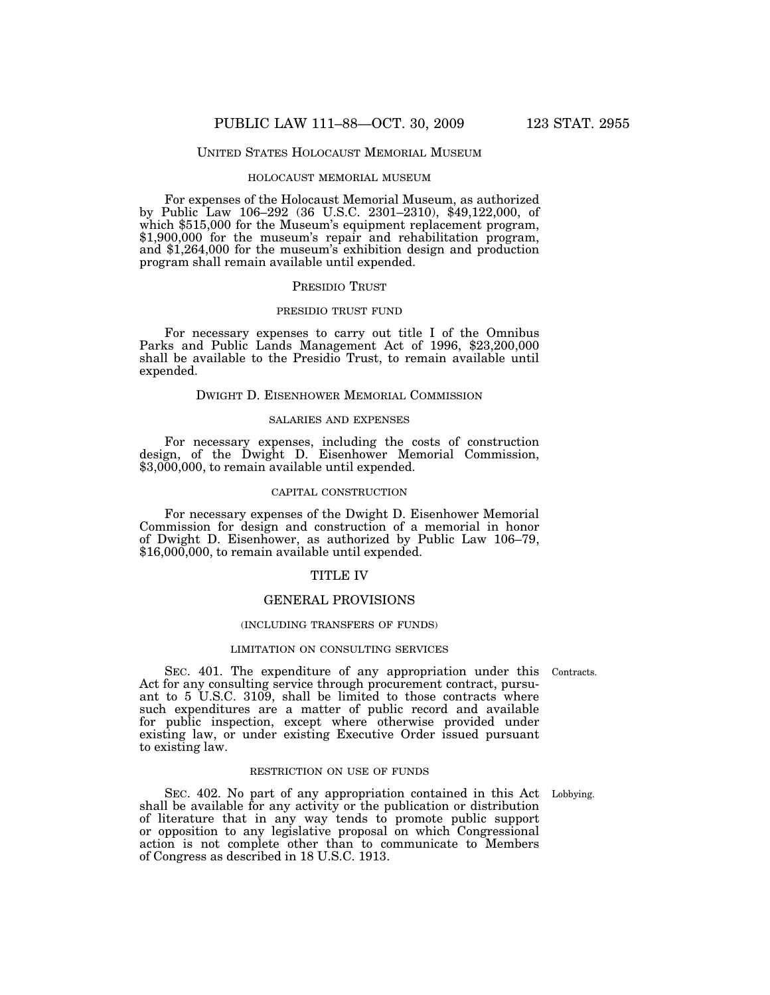## UNITED STATES HOLOCAUST MEMORIAL MUSEUM

## HOLOCAUST MEMORIAL MUSEUM

For expenses of the Holocaust Memorial Museum, as authorized by Public Law 106–292 (36 U.S.C. 2301–2310), \$49,122,000, of which \$515,000 for the Museum's equipment replacement program, \$1,900,000 for the museum's repair and rehabilitation program, and \$1,264,000 for the museum's exhibition design and production program shall remain available until expended.

#### PRESIDIO TRUST

## PRESIDIO TRUST FUND

For necessary expenses to carry out title I of the Omnibus Parks and Public Lands Management Act of 1996, \$23,200,000 shall be available to the Presidio Trust, to remain available until expended.

## DWIGHT D. EISENHOWER MEMORIAL COMMISSION

## SALARIES AND EXPENSES

For necessary expenses, including the costs of construction design, of the Dwight D. Eisenhower Memorial Commission, \$3,000,000, to remain available until expended.

## CAPITAL CONSTRUCTION

For necessary expenses of the Dwight D. Eisenhower Memorial Commission for design and construction of a memorial in honor of Dwight D. Eisenhower, as authorized by Public Law 106–79, \$16,000,000, to remain available until expended.

### TITLE IV

#### GENERAL PROVISIONS

## (INCLUDING TRANSFERS OF FUNDS)

#### LIMITATION ON CONSULTING SERVICES

SEC. 401. The expenditure of any appropriation under this Contracts. Act for any consulting service through procurement contract, pursuant to 5 U.S.C. 3109, shall be limited to those contracts where such expenditures are a matter of public record and available for public inspection, except where otherwise provided under existing law, or under existing Executive Order issued pursuant to existing law.

#### RESTRICTION ON USE OF FUNDS

SEC. 402. No part of any appropriation contained in this Act Lobbying. shall be available for any activity or the publication or distribution of literature that in any way tends to promote public support or opposition to any legislative proposal on which Congressional action is not complete other than to communicate to Members of Congress as described in 18 U.S.C. 1913.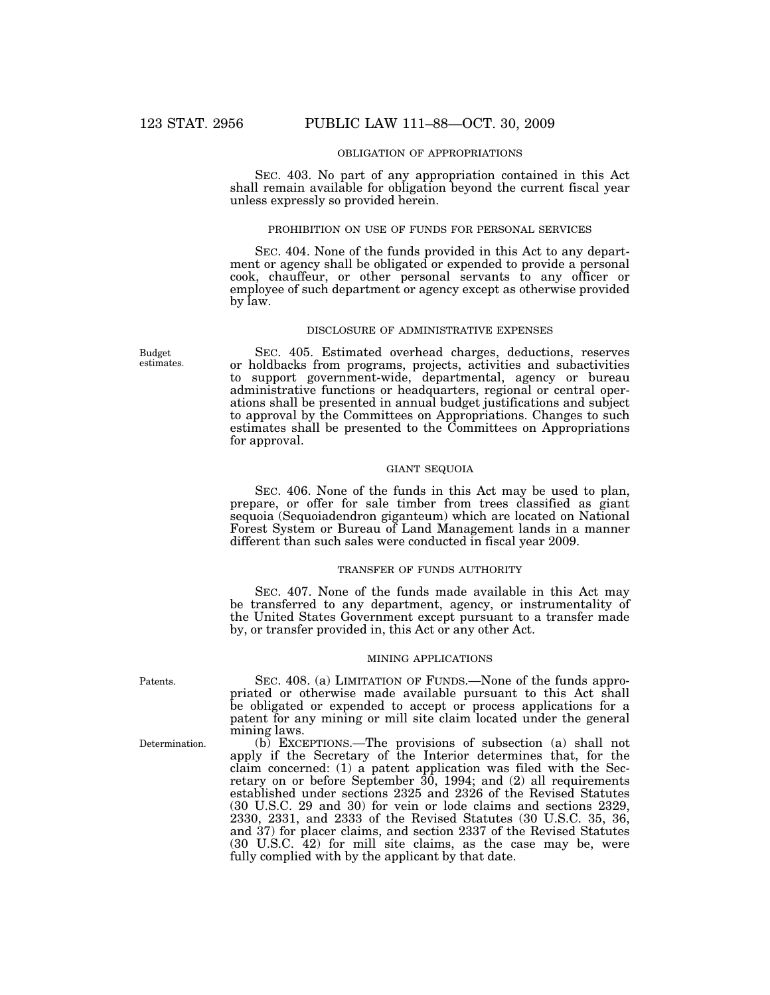## OBLIGATION OF APPROPRIATIONS

SEC. 403. No part of any appropriation contained in this Act shall remain available for obligation beyond the current fiscal year unless expressly so provided herein.

## PROHIBITION ON USE OF FUNDS FOR PERSONAL SERVICES

SEC. 404. None of the funds provided in this Act to any department or agency shall be obligated or expended to provide a personal cook, chauffeur, or other personal servants to any officer or employee of such department or agency except as otherwise provided by law.

## DISCLOSURE OF ADMINISTRATIVE EXPENSES

SEC. 405. Estimated overhead charges, deductions, reserves or holdbacks from programs, projects, activities and subactivities to support government-wide, departmental, agency or bureau administrative functions or headquarters, regional or central operations shall be presented in annual budget justifications and subject to approval by the Committees on Appropriations. Changes to such estimates shall be presented to the Committees on Appropriations for approval.

## GIANT SEQUOIA

SEC. 406. None of the funds in this Act may be used to plan, prepare, or offer for sale timber from trees classified as giant sequoia (Sequoiadendron giganteum) which are located on National Forest System or Bureau of Land Management lands in a manner different than such sales were conducted in fiscal year 2009.

#### TRANSFER OF FUNDS AUTHORITY

SEC. 407. None of the funds made available in this Act may be transferred to any department, agency, or instrumentality of the United States Government except pursuant to a transfer made by, or transfer provided in, this Act or any other Act.

#### MINING APPLICATIONS

SEC. 408. (a) LIMITATION OF FUNDS.—None of the funds appropriated or otherwise made available pursuant to this Act shall be obligated or expended to accept or process applications for a patent for any mining or mill site claim located under the general mining laws.

(b) EXCEPTIONS.—The provisions of subsection (a) shall not apply if the Secretary of the Interior determines that, for the claim concerned: (1) a patent application was filed with the Secretary on or before September 30, 1994; and (2) all requirements established under sections 2325 and 2326 of the Revised Statutes (30 U.S.C. 29 and 30) for vein or lode claims and sections 2329, 2330, 2331, and 2333 of the Revised Statutes (30 U.S.C. 35, 36, and 37) for placer claims, and section 2337 of the Revised Statutes (30 U.S.C. 42) for mill site claims, as the case may be, were fully complied with by the applicant by that date.

Patents.

Determination.

Budget estimates.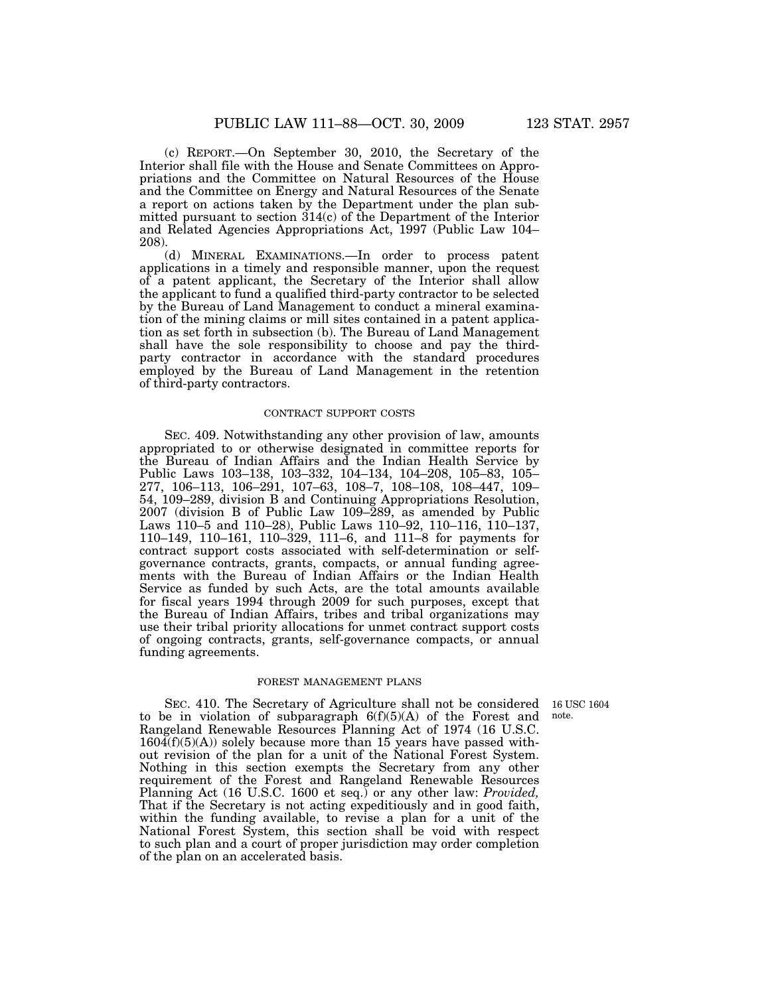(c) REPORT.—On September 30, 2010, the Secretary of the Interior shall file with the House and Senate Committees on Appropriations and the Committee on Natural Resources of the House and the Committee on Energy and Natural Resources of the Senate

a report on actions taken by the Department under the plan submitted pursuant to section 314(c) of the Department of the Interior and Related Agencies Appropriations Act, 1997 (Public Law 104– 208).

(d) MINERAL EXAMINATIONS.—In order to process patent applications in a timely and responsible manner, upon the request of a patent applicant, the Secretary of the Interior shall allow the applicant to fund a qualified third-party contractor to be selected by the Bureau of Land Management to conduct a mineral examination of the mining claims or mill sites contained in a patent application as set forth in subsection (b). The Bureau of Land Management shall have the sole responsibility to choose and pay the thirdparty contractor in accordance with the standard procedures employed by the Bureau of Land Management in the retention of third-party contractors.

## CONTRACT SUPPORT COSTS

SEC. 409. Notwithstanding any other provision of law, amounts appropriated to or otherwise designated in committee reports for the Bureau of Indian Affairs and the Indian Health Service by Public Laws 103–138, 103–332, 104–134, 104–208, 105–83, 105– 277, 106–113, 106–291, 107–63, 108–7, 108–108, 108–447, 109– 54, 109–289, division B and Continuing Appropriations Resolution, 2007 (division B of Public Law 109–289, as amended by Public Laws 110–5 and 110–28), Public Laws 110–92, 110–116, 110–137, 110–149, 110–161, 110–329, 111–6, and 111–8 for payments for contract support costs associated with self-determination or selfgovernance contracts, grants, compacts, or annual funding agreements with the Bureau of Indian Affairs or the Indian Health Service as funded by such Acts, are the total amounts available for fiscal years 1994 through 2009 for such purposes, except that the Bureau of Indian Affairs, tribes and tribal organizations may use their tribal priority allocations for unmet contract support costs of ongoing contracts, grants, self-governance compacts, or annual funding agreements.

## FOREST MANAGEMENT PLANS

note.

SEC. 410. The Secretary of Agriculture shall not be considered 16 USC 1604 to be in violation of subparagraph  $6(f)(5)(A)$  of the Forest and Rangeland Renewable Resources Planning Act of 1974 (16 U.S.C.  $1604(f)(5)(A)$  solely because more than 15 years have passed without revision of the plan for a unit of the National Forest System. Nothing in this section exempts the Secretary from any other requirement of the Forest and Rangeland Renewable Resources Planning Act (16 U.S.C. 1600 et seq.) or any other law: *Provided,*  That if the Secretary is not acting expeditiously and in good faith, within the funding available, to revise a plan for a unit of the National Forest System, this section shall be void with respect to such plan and a court of proper jurisdiction may order completion of the plan on an accelerated basis.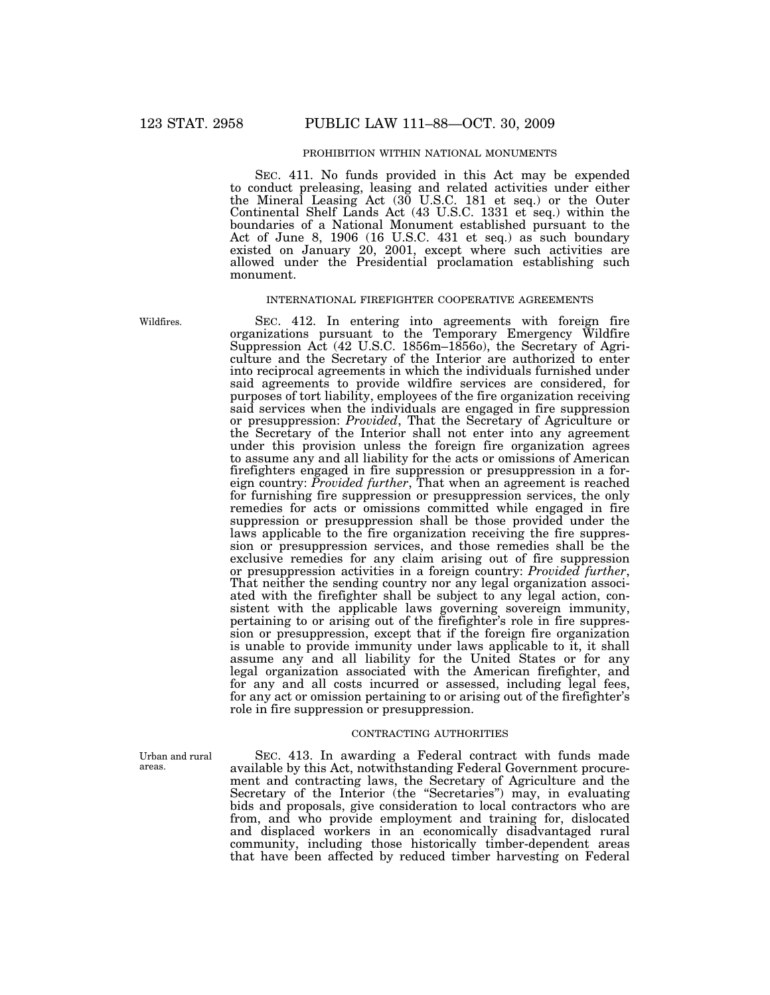## PROHIBITION WITHIN NATIONAL MONUMENTS

SEC. 411. No funds provided in this Act may be expended to conduct preleasing, leasing and related activities under either the Mineral Leasing Act (30 U.S.C. 181 et seq.) or the Outer Continental Shelf Lands Act (43 U.S.C. 1331 et seq.) within the boundaries of a National Monument established pursuant to the Act of June 8, 1906 (16 U.S.C. 431 et seq.) as such boundary existed on January 20, 2001, except where such activities are allowed under the Presidential proclamation establishing such monument.

#### INTERNATIONAL FIREFIGHTER COOPERATIVE AGREEMENTS

SEC. 412. In entering into agreements with foreign fire organizations pursuant to the Temporary Emergency Wildfire Suppression Act (42 U.S.C. 1856m–1856o), the Secretary of Agriculture and the Secretary of the Interior are authorized to enter into reciprocal agreements in which the individuals furnished under said agreements to provide wildfire services are considered, for purposes of tort liability, employees of the fire organization receiving said services when the individuals are engaged in fire suppression or presuppression: *Provided*, That the Secretary of Agriculture or the Secretary of the Interior shall not enter into any agreement under this provision unless the foreign fire organization agrees to assume any and all liability for the acts or omissions of American firefighters engaged in fire suppression or presuppression in a foreign country: *Provided further*, That when an agreement is reached for furnishing fire suppression or presuppression services, the only remedies for acts or omissions committed while engaged in fire suppression or presuppression shall be those provided under the laws applicable to the fire organization receiving the fire suppression or presuppression services, and those remedies shall be the exclusive remedies for any claim arising out of fire suppression or presuppression activities in a foreign country: *Provided further*, That neither the sending country nor any legal organization associated with the firefighter shall be subject to any legal action, consistent with the applicable laws governing sovereign immunity, pertaining to or arising out of the firefighter's role in fire suppression or presuppression, except that if the foreign fire organization is unable to provide immunity under laws applicable to it, it shall assume any and all liability for the United States or for any legal organization associated with the American firefighter, and for any and all costs incurred or assessed, including legal fees, for any act or omission pertaining to or arising out of the firefighter's role in fire suppression or presuppression.

## CONTRACTING AUTHORITIES

Urban and rural areas.

SEC. 413. In awarding a Federal contract with funds made available by this Act, notwithstanding Federal Government procurement and contracting laws, the Secretary of Agriculture and the Secretary of the Interior (the "Secretaries") may, in evaluating bids and proposals, give consideration to local contractors who are from, and who provide employment and training for, dislocated and displaced workers in an economically disadvantaged rural community, including those historically timber-dependent areas that have been affected by reduced timber harvesting on Federal

Wildfires.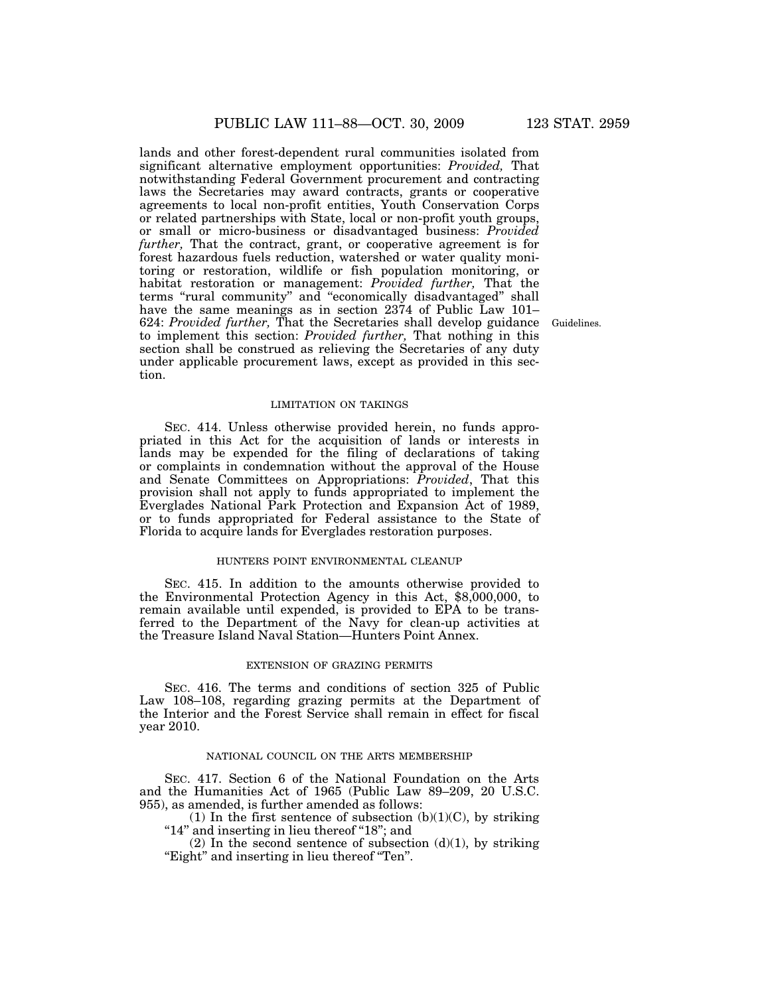lands and other forest-dependent rural communities isolated from significant alternative employment opportunities: *Provided,* That notwithstanding Federal Government procurement and contracting laws the Secretaries may award contracts, grants or cooperative agreements to local non-profit entities, Youth Conservation Corps or related partnerships with State, local or non-profit youth groups, or small or micro-business or disadvantaged business: *Provided further,* That the contract, grant, or cooperative agreement is for forest hazardous fuels reduction, watershed or water quality monitoring or restoration, wildlife or fish population monitoring, or habitat restoration or management: *Provided further,* That the terms "rural community" and "economically disadvantaged" shall have the same meanings as in section 2374 of Public Law 101– 624: *Provided further,* That the Secretaries shall develop guidance to implement this section: *Provided further,* That nothing in this section shall be construed as relieving the Secretaries of any duty under applicable procurement laws, except as provided in this section.

#### LIMITATION ON TAKINGS

SEC. 414. Unless otherwise provided herein, no funds appropriated in this Act for the acquisition of lands or interests in lands may be expended for the filing of declarations of taking or complaints in condemnation without the approval of the House and Senate Committees on Appropriations: *Provided*, That this provision shall not apply to funds appropriated to implement the Everglades National Park Protection and Expansion Act of 1989, or to funds appropriated for Federal assistance to the State of Florida to acquire lands for Everglades restoration purposes.

## HUNTERS POINT ENVIRONMENTAL CLEANUP

SEC. 415. In addition to the amounts otherwise provided to the Environmental Protection Agency in this Act, \$8,000,000, to remain available until expended, is provided to EPA to be transferred to the Department of the Navy for clean-up activities at the Treasure Island Naval Station—Hunters Point Annex.

#### EXTENSION OF GRAZING PERMITS

SEC. 416. The terms and conditions of section 325 of Public Law 108–108, regarding grazing permits at the Department of the Interior and the Forest Service shall remain in effect for fiscal year 2010.

#### NATIONAL COUNCIL ON THE ARTS MEMBERSHIP

SEC. 417. Section 6 of the National Foundation on the Arts and the Humanities Act of 1965 (Public Law 89–209, 20 U.S.C. 955), as amended, is further amended as follows:

(1) In the first sentence of subsection  $(b)(1)(C)$ , by striking "14" and inserting in lieu thereof "18"; and

(2) In the second sentence of subsection  $(d)(1)$ , by striking ''Eight'' and inserting in lieu thereof ''Ten''.

Guidelines.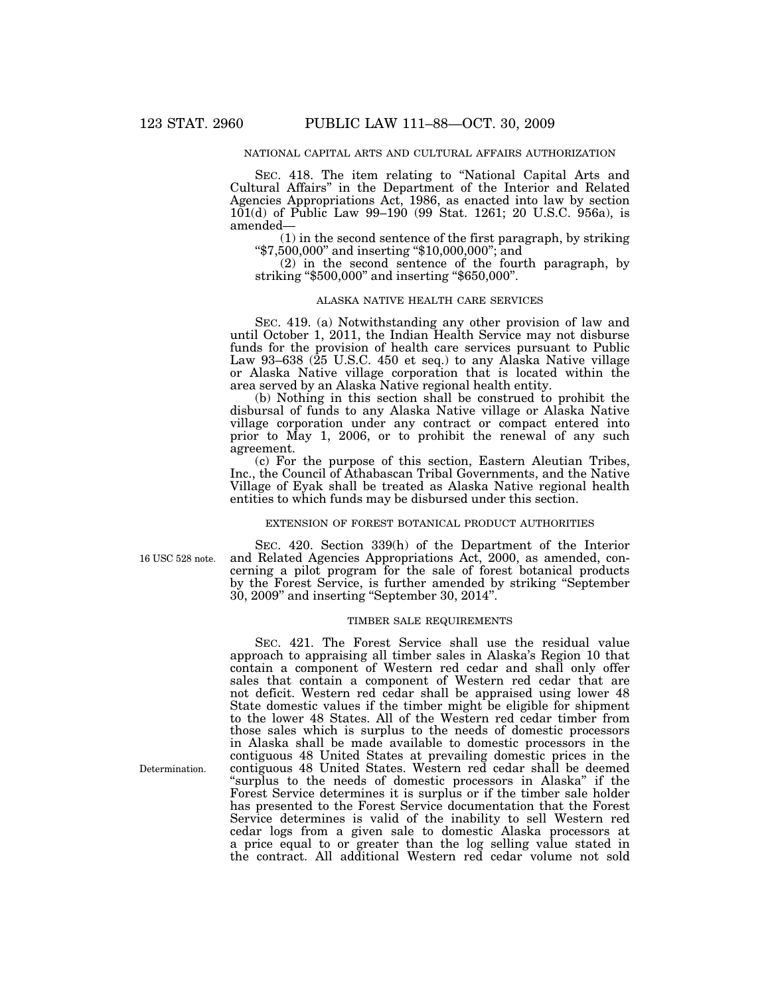## NATIONAL CAPITAL ARTS AND CULTURAL AFFAIRS AUTHORIZATION

SEC. 418. The item relating to "National Capital Arts and Cultural Affairs'' in the Department of the Interior and Related Agencies Appropriations Act, 1986, as enacted into law by section 101(d) of Public Law 99–190 (99 Stat. 1261; 20 U.S.C. 956a), is amended—<br>(1) in the second sentence of the first paragraph, by striking

(1) in the second sentence of the first paragraph, by striking " $*7,500,000$ " and inserting " $*10,000,000$ "; and

(2) in the second sentence of the fourth paragraph, by striking ''\$500,000'' and inserting ''\$650,000''.

#### ALASKA NATIVE HEALTH CARE SERVICES

SEC. 419. (a) Notwithstanding any other provision of law and until October 1, 2011, the Indian Health Service may not disburse funds for the provision of health care services pursuant to Public Law 93–638 (25 U.S.C. 450 et seq.) to any Alaska Native village or Alaska Native village corporation that is located within the area served by an Alaska Native regional health entity.

(b) Nothing in this section shall be construed to prohibit the disbursal of funds to any Alaska Native village or Alaska Native village corporation under any contract or compact entered into prior to May 1, 2006, or to prohibit the renewal of any such agreement.

(c) For the purpose of this section, Eastern Aleutian Tribes, Inc., the Council of Athabascan Tribal Governments, and the Native Village of Eyak shall be treated as Alaska Native regional health entities to which funds may be disbursed under this section.

## EXTENSION OF FOREST BOTANICAL PRODUCT AUTHORITIES

16 USC 528 note.

SEC. 420. Section 339(h) of the Department of the Interior and Related Agencies Appropriations Act, 2000, as amended, concerning a pilot program for the sale of forest botanical products by the Forest Service, is further amended by striking ''September 30, 2009'' and inserting ''September 30, 2014''.

#### TIMBER SALE REQUIREMENTS

SEC. 421. The Forest Service shall use the residual value approach to appraising all timber sales in Alaska's Region 10 that contain a component of Western red cedar and shall only offer sales that contain a component of Western red cedar that are not deficit. Western red cedar shall be appraised using lower 48 State domestic values if the timber might be eligible for shipment to the lower 48 States. All of the Western red cedar timber from those sales which is surplus to the needs of domestic processors in Alaska shall be made available to domestic processors in the contiguous 48 United States at prevailing domestic prices in the contiguous 48 United States. Western red cedar shall be deemed "surplus to the needs of domestic processors in Alaska" if the Forest Service determines it is surplus or if the timber sale holder has presented to the Forest Service documentation that the Forest Service determines is valid of the inability to sell Western red cedar logs from a given sale to domestic Alaska processors at a price equal to or greater than the log selling value stated in the contract. All additional Western red cedar volume not sold

Determination.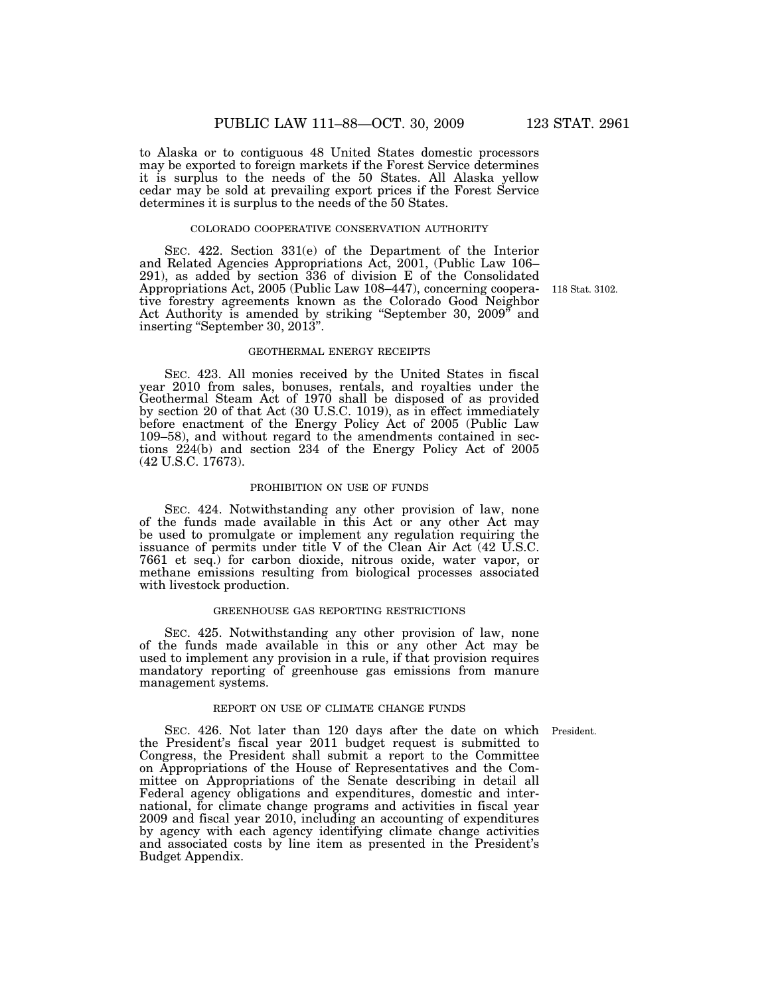to Alaska or to contiguous 48 United States domestic processors may be exported to foreign markets if the Forest Service determines it is surplus to the needs of the 50 States. All Alaska yellow cedar may be sold at prevailing export prices if the Forest Service determines it is surplus to the needs of the 50 States.

## COLORADO COOPERATIVE CONSERVATION AUTHORITY

SEC. 422. Section 331(e) of the Department of the Interior and Related Agencies Appropriations Act, 2001, (Public Law 106– 291), as added by section 336 of division E of the Consolidated Appropriations Act, 2005 (Public Law 108–447), concerning cooperative forestry agreements known as the Colorado Good Neighbor Act Authority is amended by striking ''September 30, 2009'' and inserting "September 30, 2013".

#### GEOTHERMAL ENERGY RECEIPTS

SEC. 423. All monies received by the United States in fiscal year 2010 from sales, bonuses, rentals, and royalties under the Geothermal Steam Act of 1970 shall be disposed of as provided by section 20 of that Act (30 U.S.C. 1019), as in effect immediately before enactment of the Energy Policy Act of 2005 (Public Law 109–58), and without regard to the amendments contained in sections 224(b) and section 234 of the Energy Policy Act of 2005 (42 U.S.C. 17673).

#### PROHIBITION ON USE OF FUNDS

SEC. 424. Notwithstanding any other provision of law, none of the funds made available in this Act or any other Act may be used to promulgate or implement any regulation requiring the issuance of permits under title V of the Clean Air Act (42 U.S.C. 7661 et seq.) for carbon dioxide, nitrous oxide, water vapor, or methane emissions resulting from biological processes associated with livestock production.

## GREENHOUSE GAS REPORTING RESTRICTIONS

SEC. 425. Notwithstanding any other provision of law, none of the funds made available in this or any other Act may be used to implement any provision in a rule, if that provision requires mandatory reporting of greenhouse gas emissions from manure management systems.

#### REPORT ON USE OF CLIMATE CHANGE FUNDS

SEC. 426. Not later than 120 days after the date on which President. the President's fiscal year 2011 budget request is submitted to Congress, the President shall submit a report to the Committee on Appropriations of the House of Representatives and the Committee on Appropriations of the Senate describing in detail all Federal agency obligations and expenditures, domestic and international, for climate change programs and activities in fiscal year 2009 and fiscal year 2010, including an accounting of expenditures by agency with each agency identifying climate change activities and associated costs by line item as presented in the President's Budget Appendix.

118 Stat. 3102.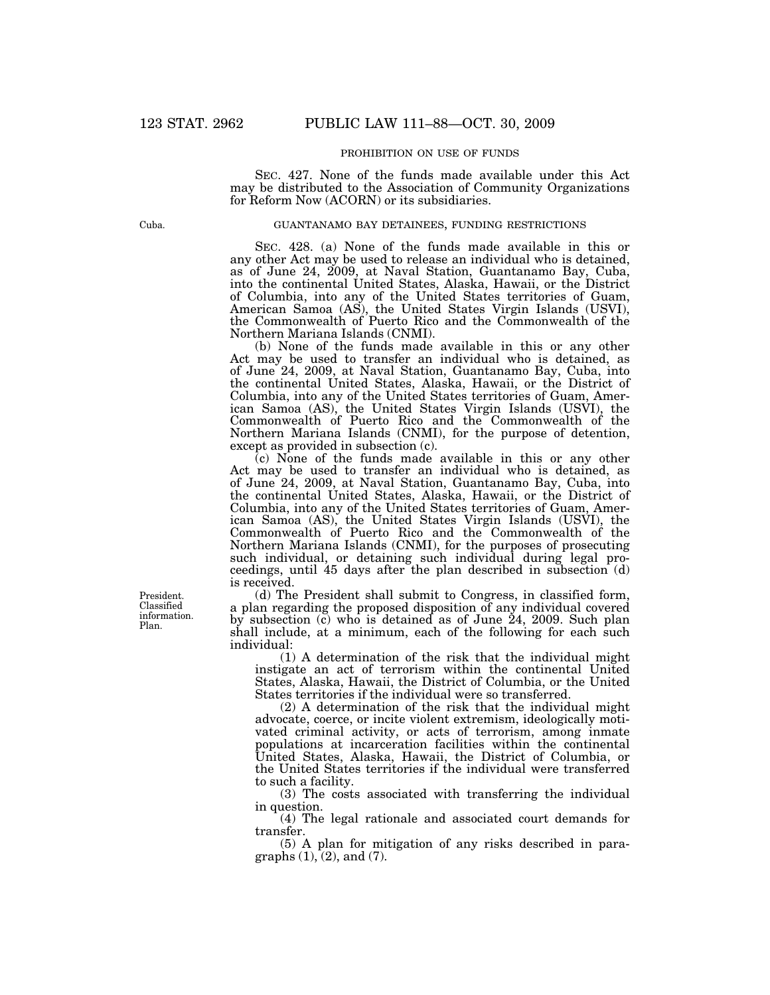## PROHIBITION ON USE OF FUNDS

SEC. 427. None of the funds made available under this Act may be distributed to the Association of Community Organizations for Reform Now (ACORN) or its subsidiaries.

#### GUANTANAMO BAY DETAINEES, FUNDING RESTRICTIONS

SEC. 428. (a) None of the funds made available in this or any other Act may be used to release an individual who is detained, as of June 24, 2009, at Naval Station, Guantanamo Bay, Cuba, into the continental United States, Alaska, Hawaii, or the District of Columbia, into any of the United States territories of Guam, American Samoa (AS), the United States Virgin Islands (USVI), the Commonwealth of Puerto Rico and the Commonwealth of the Northern Mariana Islands (CNMI).

(b) None of the funds made available in this or any other Act may be used to transfer an individual who is detained, as of June 24, 2009, at Naval Station, Guantanamo Bay, Cuba, into the continental United States, Alaska, Hawaii, or the District of Columbia, into any of the United States territories of Guam, American Samoa (AS), the United States Virgin Islands (USVI), the Commonwealth of Puerto Rico and the Commonwealth of the Northern Mariana Islands (CNMI), for the purpose of detention, except as provided in subsection (c).

(c) None of the funds made available in this or any other Act may be used to transfer an individual who is detained, as of June 24, 2009, at Naval Station, Guantanamo Bay, Cuba, into the continental United States, Alaska, Hawaii, or the District of Columbia, into any of the United States territories of Guam, American Samoa (AS), the United States Virgin Islands (USVI), the Commonwealth of Puerto Rico and the Commonwealth of the Northern Mariana Islands (CNMI), for the purposes of prosecuting such individual, or detaining such individual during legal proceedings, until 45 days after the plan described in subsection (d) is received.

(d) The President shall submit to Congress, in classified form, a plan regarding the proposed disposition of any individual covered by subsection (c) who is detained as of June 24, 2009. Such plan shall include, at a minimum, each of the following for each such individual:

(1) A determination of the risk that the individual might instigate an act of terrorism within the continental United States, Alaska, Hawaii, the District of Columbia, or the United States territories if the individual were so transferred.

(2) A determination of the risk that the individual might advocate, coerce, or incite violent extremism, ideologically motivated criminal activity, or acts of terrorism, among inmate populations at incarceration facilities within the continental United States, Alaska, Hawaii, the District of Columbia, or the United States territories if the individual were transferred to such a facility.

(3) The costs associated with transferring the individual in question.

(4) The legal rationale and associated court demands for transfer.

(5) A plan for mitigation of any risks described in paragraphs  $(1)$ ,  $(2)$ , and  $(7)$ .

President. Classified information. Plan.

Cuba.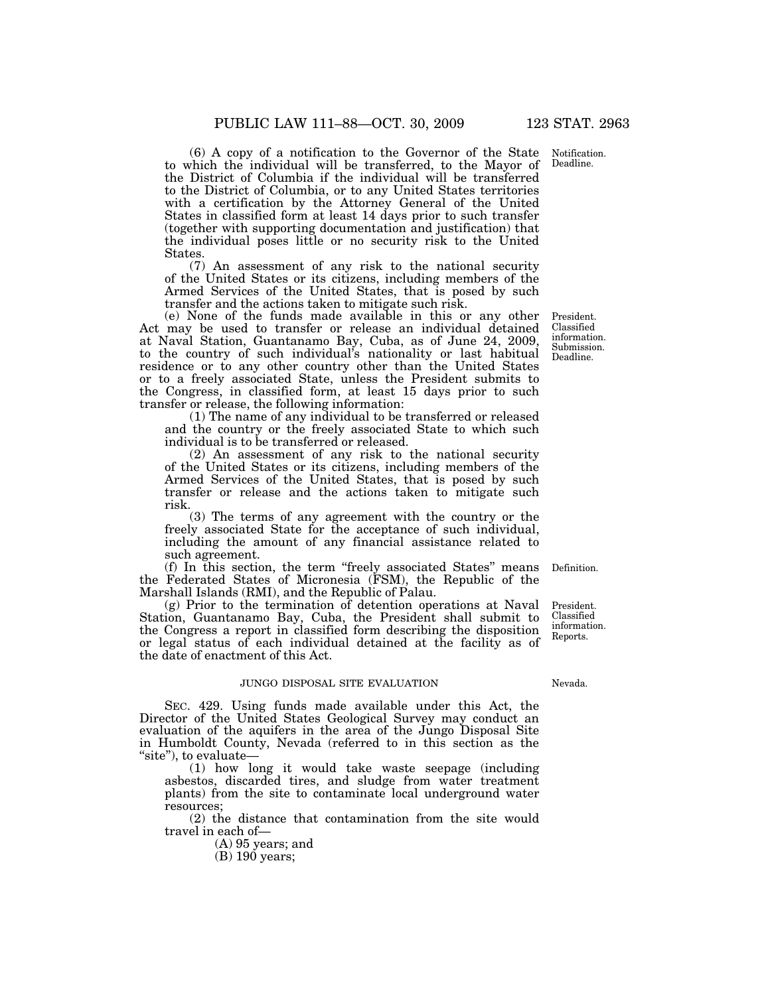Notification. Deadline.

(6) A copy of a notification to the Governor of the State to which the individual will be transferred, to the Mayor of the District of Columbia if the individual will be transferred to the District of Columbia, or to any United States territories with a certification by the Attorney General of the United States in classified form at least 14 days prior to such transfer (together with supporting documentation and justification) that the individual poses little or no security risk to the United States.

(7) An assessment of any risk to the national security of the United States or its citizens, including members of the Armed Services of the United States, that is posed by such transfer and the actions taken to mitigate such risk.

(e) None of the funds made available in this or any other Act may be used to transfer or release an individual detained at Naval Station, Guantanamo Bay, Cuba, as of June 24, 2009, to the country of such individual's nationality or last habitual residence or to any other country other than the United States or to a freely associated State, unless the President submits to the Congress, in classified form, at least 15 days prior to such transfer or release, the following information:

(1) The name of any individual to be transferred or released and the country or the freely associated State to which such individual is to be transferred or released.

(2) An assessment of any risk to the national security of the United States or its citizens, including members of the Armed Services of the United States, that is posed by such transfer or release and the actions taken to mitigate such risk.

(3) The terms of any agreement with the country or the freely associated State for the acceptance of such individual, including the amount of any financial assistance related to such agreement.

(f) In this section, the term ''freely associated States'' means the Federated States of Micronesia (FSM), the Republic of the Marshall Islands (RMI), and the Republic of Palau.

(g) Prior to the termination of detention operations at Naval Station, Guantanamo Bay, Cuba, the President shall submit to the Congress a report in classified form describing the disposition or legal status of each individual detained at the facility as of the date of enactment of this Act.

## JUNGO DISPOSAL SITE EVALUATION

SEC. 429. Using funds made available under this Act, the Director of the United States Geological Survey may conduct an evaluation of the aquifers in the area of the Jungo Disposal Site in Humboldt County, Nevada (referred to in this section as the "site"), to evaluate-

(1) how long it would take waste seepage (including asbestos, discarded tires, and sludge from water treatment plants) from the site to contaminate local underground water resources;

(2) the distance that contamination from the site would travel in each of—

(A) 95 years; and

 $(B)$  190 years;

President. Classified information. Submission.

Deadline.

Definition.

President. Classified information. Reports.

#### Nevada.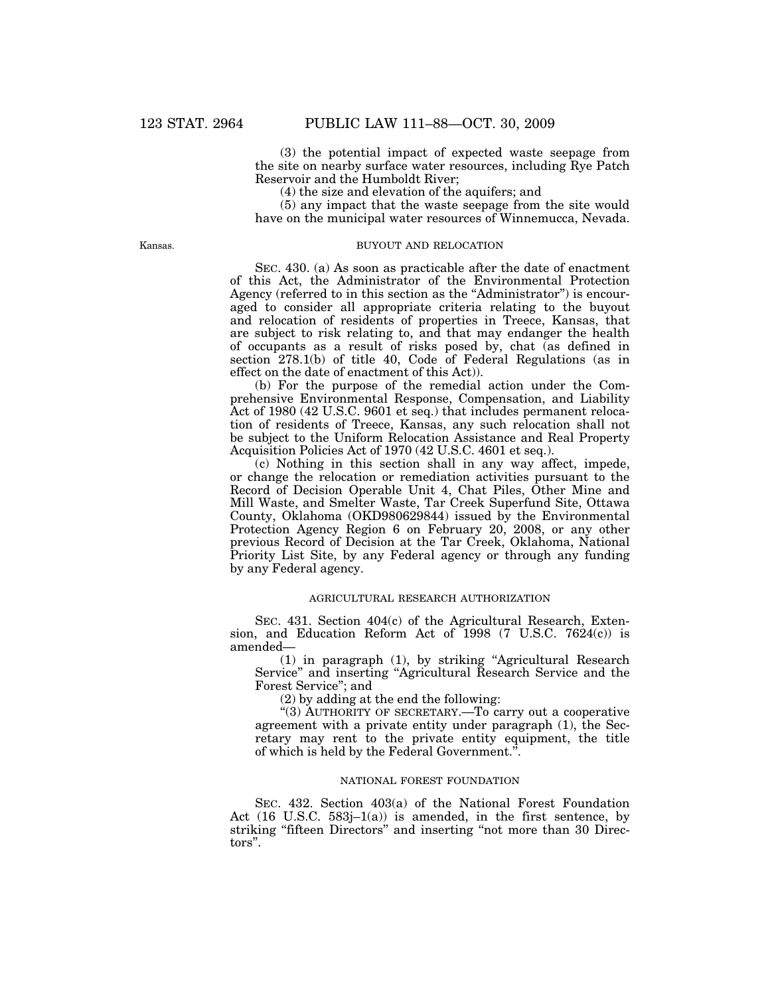(3) the potential impact of expected waste seepage from the site on nearby surface water resources, including Rye Patch Reservoir and the Humboldt River;

(4) the size and elevation of the aquifers; and

(5) any impact that the waste seepage from the site would have on the municipal water resources of Winnemucca, Nevada.

Kansas.

#### BUYOUT AND RELOCATION

SEC. 430. (a) As soon as practicable after the date of enactment of this Act, the Administrator of the Environmental Protection Agency (referred to in this section as the ''Administrator'') is encouraged to consider all appropriate criteria relating to the buyout and relocation of residents of properties in Treece, Kansas, that are subject to risk relating to, and that may endanger the health of occupants as a result of risks posed by, chat (as defined in section 278.1(b) of title 40, Code of Federal Regulations (as in effect on the date of enactment of this Act)).

(b) For the purpose of the remedial action under the Comprehensive Environmental Response, Compensation, and Liability Act of 1980 (42 U.S.C. 9601 et seq.) that includes permanent relocation of residents of Treece, Kansas, any such relocation shall not be subject to the Uniform Relocation Assistance and Real Property Acquisition Policies Act of 1970 (42 U.S.C. 4601 et seq.).

(c) Nothing in this section shall in any way affect, impede, or change the relocation or remediation activities pursuant to the Record of Decision Operable Unit 4, Chat Piles, Other Mine and Mill Waste, and Smelter Waste, Tar Creek Superfund Site, Ottawa County, Oklahoma (OKD980629844) issued by the Environmental Protection Agency Region 6 on February 20, 2008, or any other previous Record of Decision at the Tar Creek, Oklahoma, National Priority List Site, by any Federal agency or through any funding by any Federal agency.

## AGRICULTURAL RESEARCH AUTHORIZATION

SEC. 431. Section 404(c) of the Agricultural Research, Extension, and Education Reform Act of 1998 (7 U.S.C. 7624(c)) is amended—

(1) in paragraph (1), by striking ''Agricultural Research Service'' and inserting ''Agricultural Research Service and the Forest Service''; and

(2) by adding at the end the following:

"(3) AUTHORITY OF SECRETARY.—To carry out a cooperative agreement with a private entity under paragraph (1), the Secretary may rent to the private entity equipment, the title of which is held by the Federal Government.''.

## NATIONAL FOREST FOUNDATION

SEC. 432. Section 403(a) of the National Forest Foundation Act (16 U.S.C. 583j–1(a)) is amended, in the first sentence, by striking "fifteen Directors" and inserting "not more than 30 Directors''.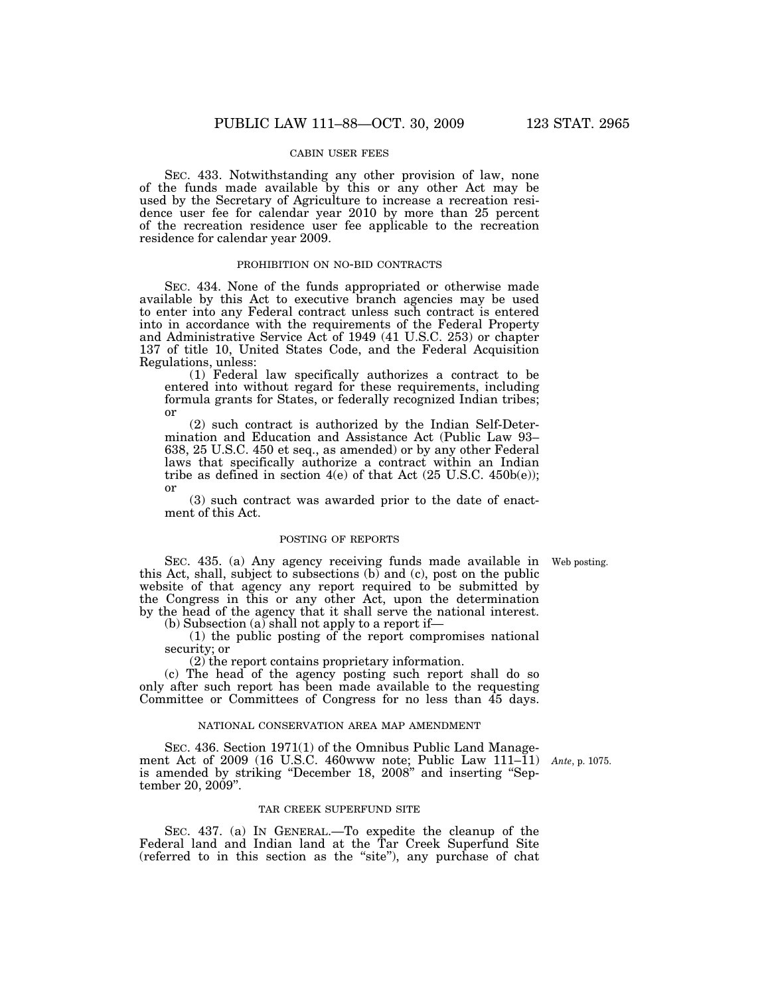## CABIN USER FEES

SEC. 433. Notwithstanding any other provision of law, none of the funds made available by this or any other Act may be used by the Secretary of Agriculture to increase a recreation residence user fee for calendar year 2010 by more than 25 percent of the recreation residence user fee applicable to the recreation residence for calendar year 2009.

#### PROHIBITION ON NO-BID CONTRACTS

SEC. 434. None of the funds appropriated or otherwise made available by this Act to executive branch agencies may be used to enter into any Federal contract unless such contract is entered into in accordance with the requirements of the Federal Property and Administrative Service Act of 1949 (41 U.S.C. 253) or chapter 137 of title 10, United States Code, and the Federal Acquisition Regulations, unless:

(1) Federal law specifically authorizes a contract to be entered into without regard for these requirements, including formula grants for States, or federally recognized Indian tribes; or

(2) such contract is authorized by the Indian Self-Determination and Education and Assistance Act (Public Law 93– 638, 25 U.S.C. 450 et seq., as amended) or by any other Federal laws that specifically authorize a contract within an Indian tribe as defined in section  $4(e)$  of that Act  $(25 \text{ U.S.C. } 450b(e));$ or

(3) such contract was awarded prior to the date of enactment of this Act.

#### POSTING OF REPORTS

Web posting.

SEC. 435. (a) Any agency receiving funds made available in this Act, shall, subject to subsections  $(b)$  and  $(c)$ , post on the public website of that agency any report required to be submitted by the Congress in this or any other Act, upon the determination by the head of the agency that it shall serve the national interest. (b) Subsection (a) shall not apply to a report if—

(1) the public posting of the report compromises national security; or

(2) the report contains proprietary information.

(c) The head of the agency posting such report shall do so only after such report has been made available to the requesting Committee or Committees of Congress for no less than 45 days.

#### NATIONAL CONSERVATION AREA MAP AMENDMENT

SEC. 436. Section 1971(1) of the Omnibus Public Land Management Act of 2009 (16 U.S.C. 460www note; Public Law 111–11) *Ante*, p. 1075. is amended by striking "December 18, 2008" and inserting "September 20, 2009''.

## TAR CREEK SUPERFUND SITE

SEC. 437. (a) IN GENERAL.—To expedite the cleanup of the Federal land and Indian land at the Tar Creek Superfund Site (referred to in this section as the ''site''), any purchase of chat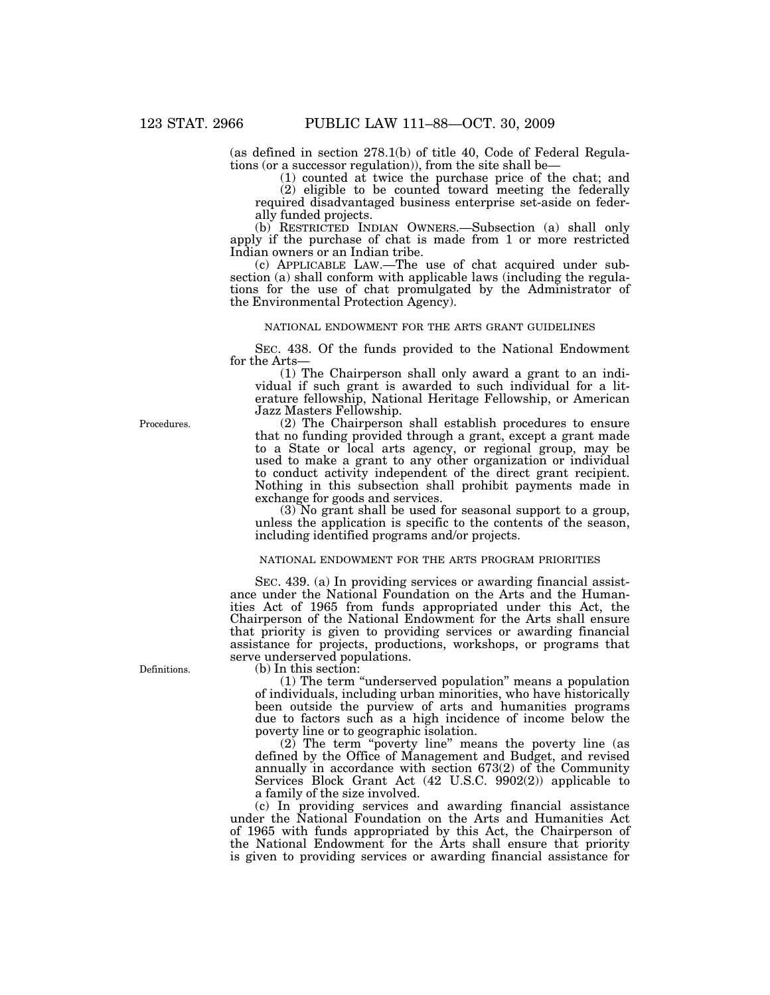(as defined in section 278.1(b) of title 40, Code of Federal Regulations (or a successor regulation)), from the site shall be—

(1) counted at twice the purchase price of the chat; and

(2) eligible to be counted toward meeting the federally required disadvantaged business enterprise set-aside on federally funded projects.

(b) RESTRICTED INDIAN OWNERS.—Subsection (a) shall only apply if the purchase of chat is made from 1 or more restricted Indian owners or an Indian tribe.

(c) APPLICABLE LAW.—The use of chat acquired under subsection (a) shall conform with applicable laws (including the regulations for the use of chat promulgated by the Administrator of the Environmental Protection Agency).

## NATIONAL ENDOWMENT FOR THE ARTS GRANT GUIDELINES

SEC. 438. Of the funds provided to the National Endowment for the Arts—

(1) The Chairperson shall only award a grant to an individual if such grant is awarded to such individual for a literature fellowship, National Heritage Fellowship, or American Jazz Masters Fellowship.

(2) The Chairperson shall establish procedures to ensure that no funding provided through a grant, except a grant made to a State or local arts agency, or regional group, may be used to make a grant to any other organization or individual to conduct activity independent of the direct grant recipient. Nothing in this subsection shall prohibit payments made in exchange for goods and services.

(3) No grant shall be used for seasonal support to a group, unless the application is specific to the contents of the season, including identified programs and/or projects.

## NATIONAL ENDOWMENT FOR THE ARTS PROGRAM PRIORITIES

SEC. 439. (a) In providing services or awarding financial assistance under the National Foundation on the Arts and the Humanities Act of 1965 from funds appropriated under this Act, the Chairperson of the National Endowment for the Arts shall ensure that priority is given to providing services or awarding financial assistance for projects, productions, workshops, or programs that serve underserved populations.

(b) In this section:

(1) The term ''underserved population'' means a population of individuals, including urban minorities, who have historically been outside the purview of arts and humanities programs due to factors such as a high incidence of income below the poverty line or to geographic isolation.

(2) The term ''poverty line'' means the poverty line (as defined by the Office of Management and Budget, and revised annually in accordance with section 673(2) of the Community Services Block Grant Act (42 U.S.C. 9902(2)) applicable to a family of the size involved.

(c) In providing services and awarding financial assistance under the National Foundation on the Arts and Humanities Act of 1965 with funds appropriated by this Act, the Chairperson of the National Endowment for the Arts shall ensure that priority is given to providing services or awarding financial assistance for

Procedures.

Definitions.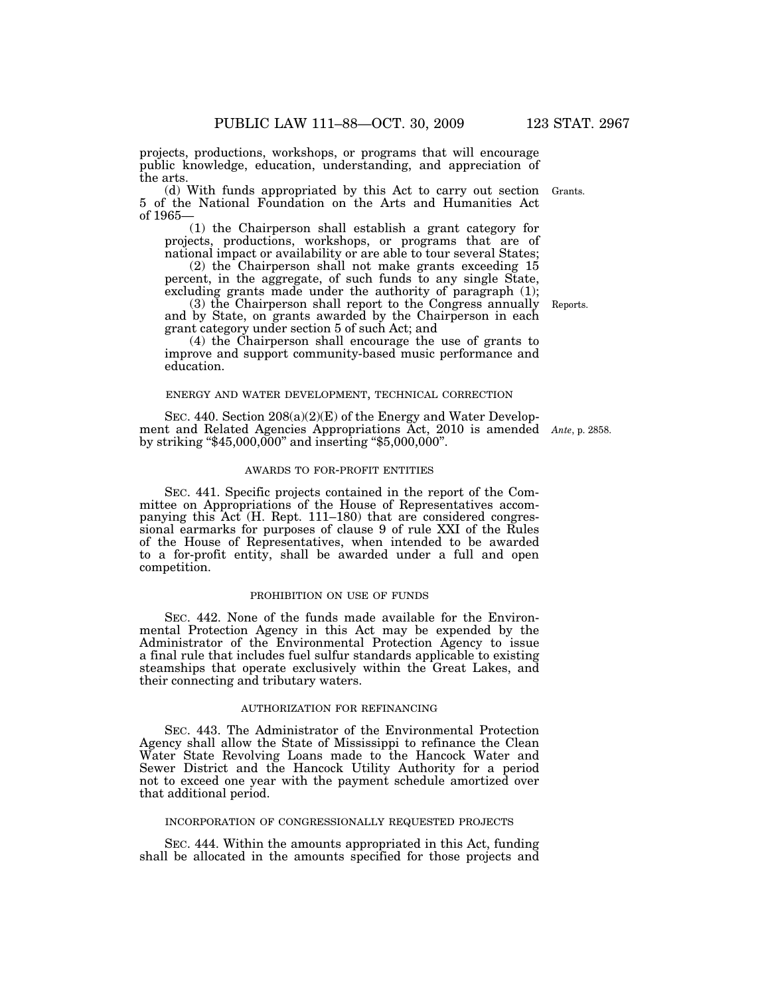projects, productions, workshops, or programs that will encourage public knowledge, education, understanding, and appreciation of the arts.

(d) With funds appropriated by this Act to carry out section Grants. 5 of the National Foundation on the Arts and Humanities Act of 1965—

(1) the Chairperson shall establish a grant category for projects, productions, workshops, or programs that are of national impact or availability or are able to tour several States;

(2) the Chairperson shall not make grants exceeding 15 percent, in the aggregate, of such funds to any single State, excluding grants made under the authority of paragraph (1);

(3) the Chairperson shall report to the Congress annually and by State, on grants awarded by the Chairperson in each grant category under section 5 of such Act; and

(4) the Chairperson shall encourage the use of grants to improve and support community-based music performance and education.

## ENERGY AND WATER DEVELOPMENT, TECHNICAL CORRECTION

SEC. 440. Section 208(a)(2)(E) of the Energy and Water Development and Related Agencies Appropriations Act, 2010 is amended *Ante*, p. 2858. by striking " $$45,000,000$ " and inserting " $$5,000,000$ ".

#### AWARDS TO FOR-PROFIT ENTITIES

SEC. 441. Specific projects contained in the report of the Committee on Appropriations of the House of Representatives accompanying this Act (H. Rept. 111–180) that are considered congressional earmarks for purposes of clause 9 of rule XXI of the Rules of the House of Representatives, when intended to be awarded to a for-profit entity, shall be awarded under a full and open competition.

## PROHIBITION ON USE OF FUNDS

SEC. 442. None of the funds made available for the Environmental Protection Agency in this Act may be expended by the Administrator of the Environmental Protection Agency to issue a final rule that includes fuel sulfur standards applicable to existing steamships that operate exclusively within the Great Lakes, and their connecting and tributary waters.

#### AUTHORIZATION FOR REFINANCING

SEC. 443. The Administrator of the Environmental Protection Agency shall allow the State of Mississippi to refinance the Clean Water State Revolving Loans made to the Hancock Water and Sewer District and the Hancock Utility Authority for a period not to exceed one year with the payment schedule amortized over that additional period.

## INCORPORATION OF CONGRESSIONALLY REQUESTED PROJECTS

SEC. 444. Within the amounts appropriated in this Act, funding shall be allocated in the amounts specified for those projects and

Reports.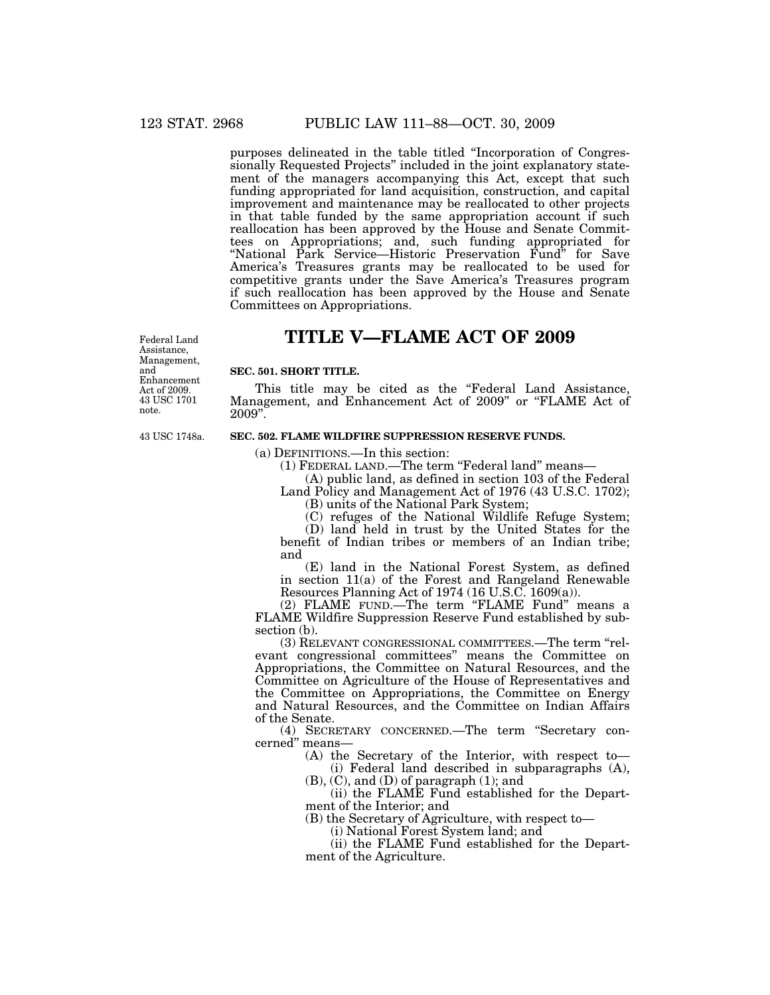purposes delineated in the table titled ''Incorporation of Congressionally Requested Projects'' included in the joint explanatory statement of the managers accompanying this Act, except that such funding appropriated for land acquisition, construction, and capital improvement and maintenance may be reallocated to other projects in that table funded by the same appropriation account if such reallocation has been approved by the House and Senate Committees on Appropriations; and, such funding appropriated for ''National Park Service—Historic Preservation Fund'' for Save America's Treasures grants may be reallocated to be used for competitive grants under the Save America's Treasures program if such reallocation has been approved by the House and Senate Committees on Appropriations.

# **TITLE V—FLAME ACT OF 2009**

43 USC 1701 note. Federal Land Assistance, Management, and Enhancement Act of 2009.

43 USC 1748a.

## **SEC. 501. SHORT TITLE.**

This title may be cited as the "Federal Land Assistance, Management, and Enhancement Act of 2009'' or ''FLAME Act of 2009''.

## **SEC. 502. FLAME WILDFIRE SUPPRESSION RESERVE FUNDS.**

(a) DEFINITIONS.—In this section:

(1) FEDERAL LAND.—The term "Federal land" means—

(A) public land, as defined in section 103 of the Federal Land Policy and Management Act of 1976 (43 U.S.C. 1702); (B) units of the National Park System;

(C) refuges of the National Wildlife Refuge System;

(D) land held in trust by the United States for the benefit of Indian tribes or members of an Indian tribe; and

(E) land in the National Forest System, as defined in section 11(a) of the Forest and Rangeland Renewable Resources Planning Act of 1974 (16 U.S.C. 1609(a)).

(2) FLAME FUND.—The term ''FLAME Fund'' means a FLAME Wildfire Suppression Reserve Fund established by subsection (b).

(3) RELEVANT CONGRESSIONAL COMMITTEES.—The term ''relevant congressional committees'' means the Committee on Appropriations, the Committee on Natural Resources, and the Committee on Agriculture of the House of Representatives and the Committee on Appropriations, the Committee on Energy and Natural Resources, and the Committee on Indian Affairs of the Senate.

(4) SECRETARY CONCERNED.—The term ''Secretary concerned'' means—

> (A) the Secretary of the Interior, with respect to— (i) Federal land described in subparagraphs (A),

 $(B)$ ,  $(C)$ , and  $(D)$  of paragraph  $(1)$ ; and

(ii) the FLAME Fund established for the Department of the Interior; and

(B) the Secretary of Agriculture, with respect to—

(i) National Forest System land; and

(ii) the FLAME Fund established for the Department of the Agriculture.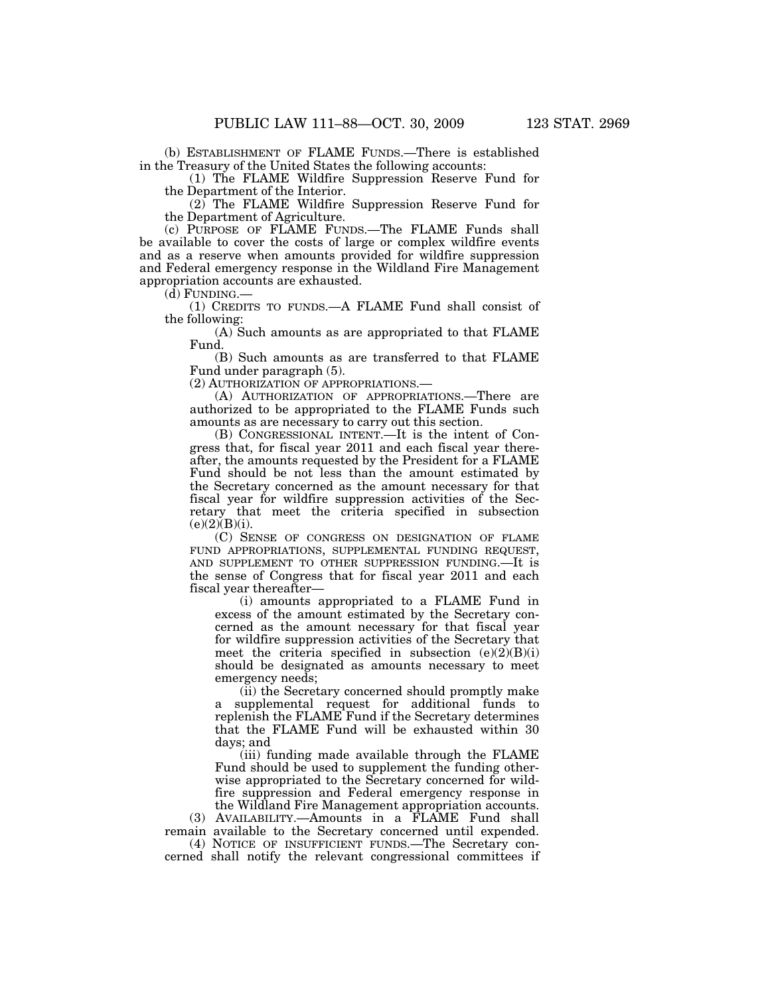(b) ESTABLISHMENT OF FLAME FUNDS.—There is established in the Treasury of the United States the following accounts:

(1) The FLAME Wildfire Suppression Reserve Fund for the Department of the Interior.

(2) The FLAME Wildfire Suppression Reserve Fund for the Department of Agriculture.

(c) PURPOSE OF FLAME FUNDS.—The FLAME Funds shall be available to cover the costs of large or complex wildfire events and as a reserve when amounts provided for wildfire suppression and Federal emergency response in the Wildland Fire Management appropriation accounts are exhausted.

(d) FUNDING.—

(1) CREDITS TO FUNDS.—A FLAME Fund shall consist of the following:

(A) Such amounts as are appropriated to that FLAME Fund.

(B) Such amounts as are transferred to that FLAME Fund under paragraph (5).

(2) AUTHORIZATION OF APPROPRIATIONS.—

(A) AUTHORIZATION OF APPROPRIATIONS.—There are authorized to be appropriated to the FLAME Funds such amounts as are necessary to carry out this section.

(B) CONGRESSIONAL INTENT.—It is the intent of Congress that, for fiscal year 2011 and each fiscal year thereafter, the amounts requested by the President for a FLAME Fund should be not less than the amount estimated by the Secretary concerned as the amount necessary for that fiscal year for wildfire suppression activities of the Secretary that meet the criteria specified in subsection  $(e)(2)(B)(i)$ .

(C) SENSE OF CONGRESS ON DESIGNATION OF FLAME FUND APPROPRIATIONS, SUPPLEMENTAL FUNDING REQUEST, AND SUPPLEMENT TO OTHER SUPPRESSION FUNDING.—It is the sense of Congress that for fiscal year 2011 and each fiscal year thereafter—

(i) amounts appropriated to a FLAME Fund in excess of the amount estimated by the Secretary concerned as the amount necessary for that fiscal year for wildfire suppression activities of the Secretary that meet the criteria specified in subsection  $(e)(2)(B)(i)$ should be designated as amounts necessary to meet emergency needs;

(ii) the Secretary concerned should promptly make a supplemental request for additional funds to replenish the FLAME Fund if the Secretary determines that the FLAME Fund will be exhausted within 30 days; and

(iii) funding made available through the FLAME Fund should be used to supplement the funding otherwise appropriated to the Secretary concerned for wildfire suppression and Federal emergency response in the Wildland Fire Management appropriation accounts.

(3) AVAILABILITY.—Amounts in a FLAME Fund shall remain available to the Secretary concerned until expended.

(4) NOTICE OF INSUFFICIENT FUNDS.—The Secretary concerned shall notify the relevant congressional committees if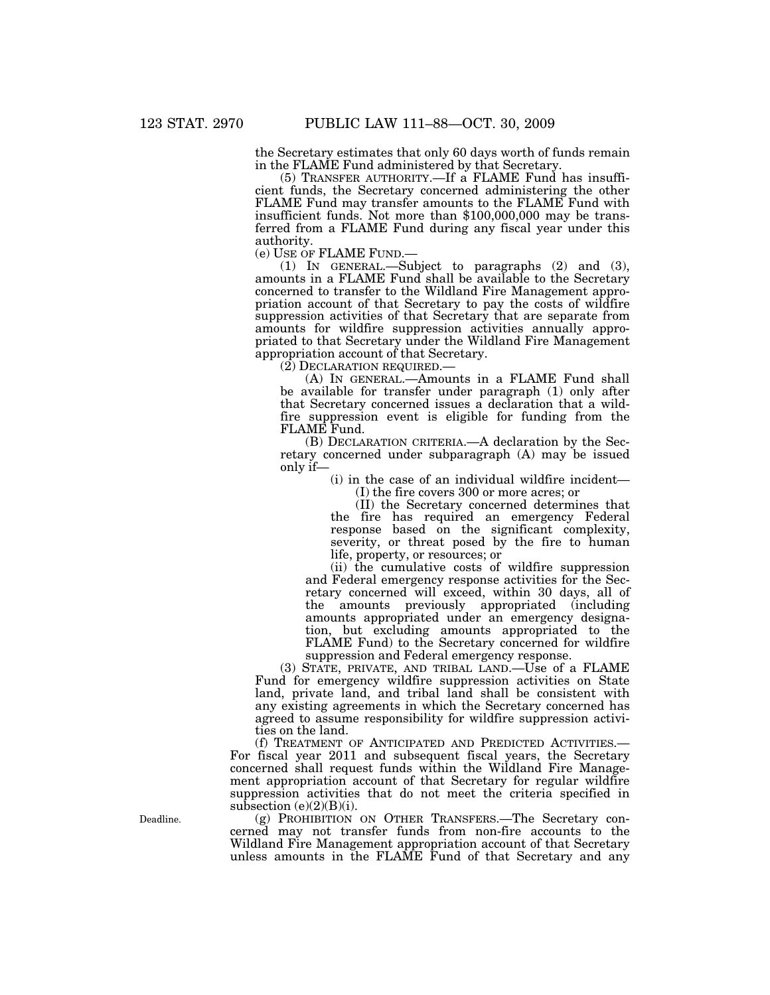the Secretary estimates that only 60 days worth of funds remain in the FLAME Fund administered by that Secretary.

(5) TRANSFER AUTHORITY.—If a FLAME Fund has insufficient funds, the Secretary concerned administering the other FLAME Fund may transfer amounts to the FLAME Fund with insufficient funds. Not more than \$100,000,000 may be transferred from a FLAME Fund during any fiscal year under this authority.<br>(e) USE OF FLAME FUND.—

(e) USE OF FLAME FUND.— (1) IN GENERAL.—Subject to paragraphs (2) and (3), amounts in a FLAME Fund shall be available to the Secretary concerned to transfer to the Wildland Fire Management appropriation account of that Secretary to pay the costs of wildfire suppression activities of that Secretary that are separate from amounts for wildfire suppression activities annually appropriated to that Secretary under the Wildland Fire Management appropriation account of that Secretary.

(2) DECLARATION REQUIRED.—

(A) IN GENERAL.—Amounts in a FLAME Fund shall be available for transfer under paragraph (1) only after that Secretary concerned issues a declaration that a wildfire suppression event is eligible for funding from the FLAME Fund.

(B) DECLARATION CRITERIA.—A declaration by the Secretary concerned under subparagraph (A) may be issued only if—

> (i) in the case of an individual wildfire incident— (I) the fire covers 300 or more acres; or

> (II) the Secretary concerned determines that the fire has required an emergency Federal response based on the significant complexity, severity, or threat posed by the fire to human life, property, or resources; or

(ii) the cumulative costs of wildfire suppression and Federal emergency response activities for the Secretary concerned will exceed, within 30 days, all of the amounts previously appropriated (including amounts appropriated under an emergency designation, but excluding amounts appropriated to the FLAME Fund) to the Secretary concerned for wildfire suppression and Federal emergency response.

(3) STATE, PRIVATE, AND TRIBAL LAND.—Use of a FLAME Fund for emergency wildfire suppression activities on State land, private land, and tribal land shall be consistent with any existing agreements in which the Secretary concerned has agreed to assume responsibility for wildfire suppression activities on the land.

(f) TREATMENT OF ANTICIPATED AND PREDICTED ACTIVITIES.— For fiscal year 2011 and subsequent fiscal years, the Secretary concerned shall request funds within the Wildland Fire Management appropriation account of that Secretary for regular wildfire suppression activities that do not meet the criteria specified in subsection  $(e)(2)(B)(i)$ .

(g) PROHIBITION ON OTHER TRANSFERS.—The Secretary concerned may not transfer funds from non-fire accounts to the Wildland Fire Management appropriation account of that Secretary unless amounts in the FLAME Fund of that Secretary and any

Deadline.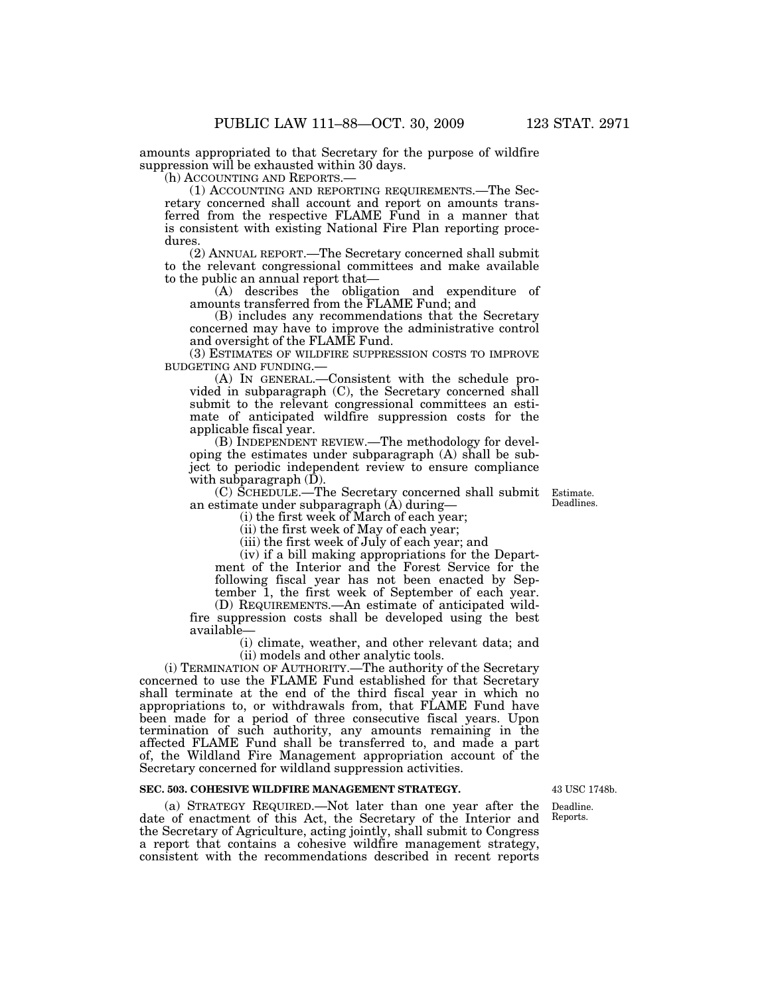amounts appropriated to that Secretary for the purpose of wildfire suppression will be exhausted within 30 days.

(h) ACCOUNTING AND REPORTS.—

(1) ACCOUNTING AND REPORTING REQUIREMENTS.—The Secretary concerned shall account and report on amounts transferred from the respective FLAME Fund in a manner that is consistent with existing National Fire Plan reporting procedures.

(2) ANNUAL REPORT.—The Secretary concerned shall submit to the relevant congressional committees and make available to the public an annual report that—

(A) describes the obligation and expenditure of amounts transferred from the FLAME Fund; and

(B) includes any recommendations that the Secretary concerned may have to improve the administrative control and oversight of the FLAME Fund.

(3) ESTIMATES OF WILDFIRE SUPPRESSION COSTS TO IMPROVE BUDGETING AND FUNDING.—

(A) IN GENERAL.—Consistent with the schedule provided in subparagraph (C), the Secretary concerned shall submit to the relevant congressional committees an estimate of anticipated wildfire suppression costs for the applicable fiscal year.

(B) INDEPENDENT REVIEW.—The methodology for developing the estimates under subparagraph (A) shall be subject to periodic independent review to ensure compliance with subparagraph (D).

(C) SCHEDULE.—The Secretary concerned shall submit an estimate under subparagraph (A) during—

(i) the first week of March of each year;

(ii) the first week of May of each year;

(iii) the first week of July of each year; and

(iv) if a bill making appropriations for the Department of the Interior and the Forest Service for the following fiscal year has not been enacted by September 1, the first week of September of each year.

(D) REQUIREMENTS.—An estimate of anticipated wildfire suppression costs shall be developed using the best available—

(i) climate, weather, and other relevant data; and (ii) models and other analytic tools.

(i) TERMINATION OF AUTHORITY.—The authority of the Secretary concerned to use the FLAME Fund established for that Secretary shall terminate at the end of the third fiscal year in which no appropriations to, or withdrawals from, that FLAME Fund have been made for a period of three consecutive fiscal years. Upon termination of such authority, any amounts remaining in the affected FLAME Fund shall be transferred to, and made a part of, the Wildland Fire Management appropriation account of the Secretary concerned for wildland suppression activities.

## **SEC. 503. COHESIVE WILDFIRE MANAGEMENT STRATEGY.**

(a) STRATEGY REQUIRED.—Not later than one year after the date of enactment of this Act, the Secretary of the Interior and the Secretary of Agriculture, acting jointly, shall submit to Congress a report that contains a cohesive wildfire management strategy, consistent with the recommendations described in recent reports

43 USC 1748b.

Deadline. Reports.

Estimate. Deadlines.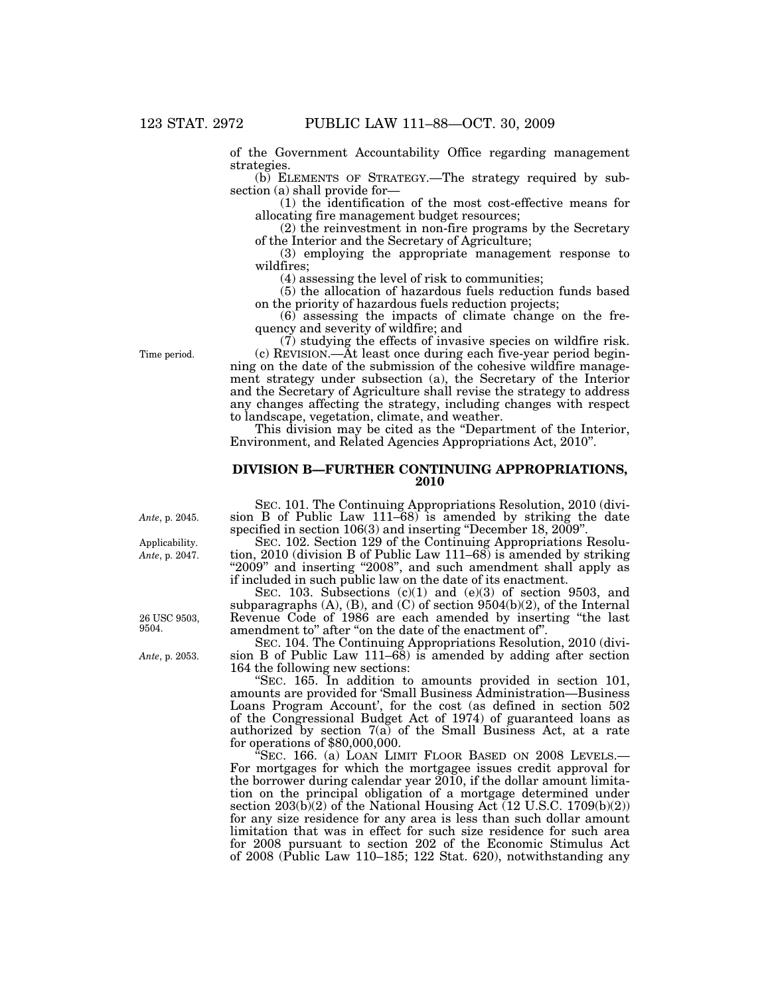of the Government Accountability Office regarding management strategies.

(b) ELEMENTS OF STRATEGY.—The strategy required by subsection (a) shall provide for—

(1) the identification of the most cost-effective means for allocating fire management budget resources;

(2) the reinvestment in non-fire programs by the Secretary of the Interior and the Secretary of Agriculture;

(3) employing the appropriate management response to wildfires;

(4) assessing the level of risk to communities;

(5) the allocation of hazardous fuels reduction funds based on the priority of hazardous fuels reduction projects;

 $(6)$  assessing the impacts of climate change on the frequency and severity of wildfire; and

(7) studying the effects of invasive species on wildfire risk.

(c) REVISION.—At least once during each five-year period beginning on the date of the submission of the cohesive wildfire management strategy under subsection (a), the Secretary of the Interior and the Secretary of Agriculture shall revise the strategy to address any changes affecting the strategy, including changes with respect to landscape, vegetation, climate, and weather.

This division may be cited as the "Department of the Interior, Environment, and Related Agencies Appropriations Act, 2010''.

## **DIVISION B—FURTHER CONTINUING APPROPRIATIONS, 2010**

SEC. 101. The Continuing Appropriations Resolution, 2010 (division B of Public Law 111–68) is amended by striking the date specified in section 106(3) and inserting "December 18, 2009".

SEC. 102. Section 129 of the Continuing Appropriations Resolution, 2010 (division B of Public Law 111–68) is amended by striking "2009" and inserting "2008", and such amendment shall apply as if included in such public law on the date of its enactment.

SEC. 103. Subsections  $(c)(1)$  and  $(e)(3)$  of section 9503, and subparagraphs (A), (B), and (C) of section 9504(b)(2), of the Internal Revenue Code of 1986 are each amended by inserting ''the last amendment to'' after ''on the date of the enactment of''.

SEC. 104. The Continuing Appropriations Resolution, 2010 (division B of Public Law 111–68) is amended by adding after section 164 the following new sections:

''SEC. 165. In addition to amounts provided in section 101, amounts are provided for 'Small Business Administration—Business Loans Program Account', for the cost (as defined in section 502 of the Congressional Budget Act of 1974) of guaranteed loans as authorized by section 7(a) of the Small Business Act, at a rate for operations of \$80,000,000.

"Sec. 166. (a) LOAN LIMIT FLOOR BASED ON 2008 LEVELS.— For mortgages for which the mortgagee issues credit approval for the borrower during calendar year 2010, if the dollar amount limitation on the principal obligation of a mortgage determined under section  $203(b)(2)$  of the National Housing Act (12 U.S.C. 1709(b)(2)) for any size residence for any area is less than such dollar amount limitation that was in effect for such size residence for such area for 2008 pursuant to section 202 of the Economic Stimulus Act of 2008 (Public Law 110–185; 122 Stat. 620), notwithstanding any

Time period.

*Ante*, p. 2045.

*Ante*, p. 2047. Applicability.

26 USC 9503, 9504.

*Ante*, p. 2053.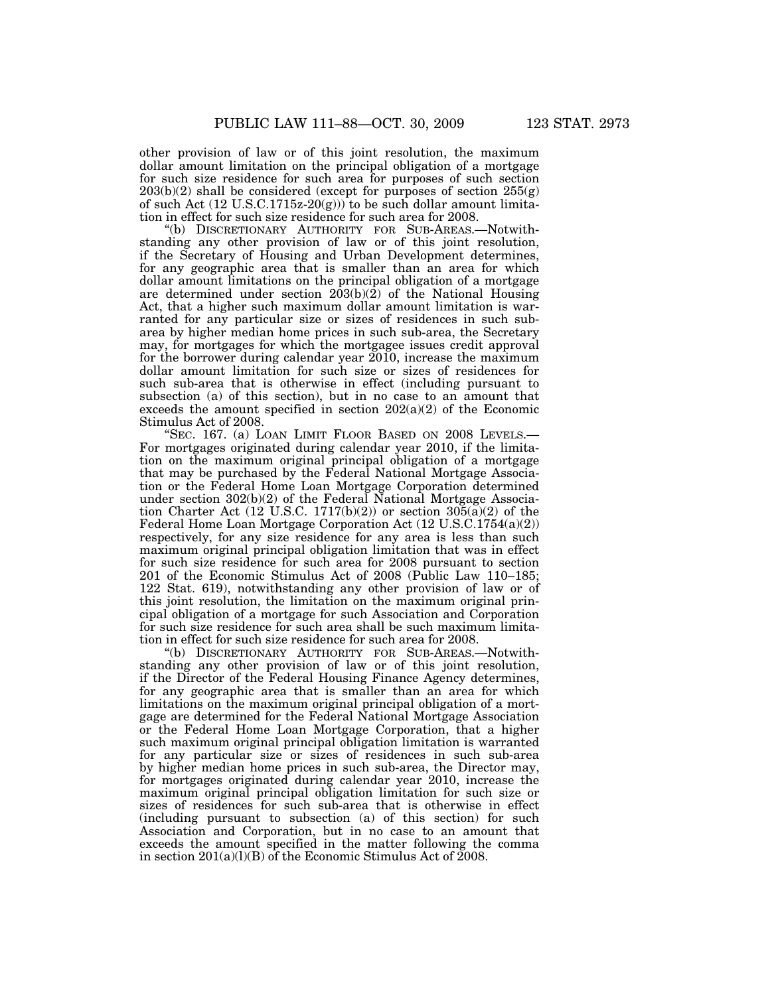other provision of law or of this joint resolution, the maximum dollar amount limitation on the principal obligation of a mortgage for such size residence for such area for purposes of such section  $203(b)(2)$  shall be considered (except for purposes of section  $255(g)$ ) of such Act  $(12 \text{ U.S.C.1715z-20(g)))}$  to be such dollar amount limitation in effect for such size residence for such area for 2008.

''(b) DISCRETIONARY AUTHORITY FOR SUB-AREAS.—Notwithstanding any other provision of law or of this joint resolution, if the Secretary of Housing and Urban Development determines, for any geographic area that is smaller than an area for which dollar amount limitations on the principal obligation of a mortgage are determined under section  $2\overline{0}3(b)(\overline{2})$  of the National Housing Act, that a higher such maximum dollar amount limitation is warranted for any particular size or sizes of residences in such subarea by higher median home prices in such sub-area, the Secretary may, for mortgages for which the mortgagee issues credit approval for the borrower during calendar year 2010, increase the maximum dollar amount limitation for such size or sizes of residences for such sub-area that is otherwise in effect (including pursuant to subsection (a) of this section), but in no case to an amount that exceeds the amount specified in section  $202(a)(2)$  of the Economic Stimulus Act of 2008.

"SEC. 167. (a) LOAN LIMIT FLOOR BASED ON 2008 LEVELS.— For mortgages originated during calendar year 2010, if the limitation on the maximum original principal obligation of a mortgage that may be purchased by the Federal National Mortgage Association or the Federal Home Loan Mortgage Corporation determined under section 302(b)(2) of the Federal National Mortgage Association Charter Act (12 U.S.C. 1717(b)(2)) or section  $30\overline{5}(a)(2)$  of the Federal Home Loan Mortgage Corporation Act (12 U.S.C.1754(a)(2)) respectively, for any size residence for any area is less than such maximum original principal obligation limitation that was in effect for such size residence for such area for 2008 pursuant to section 201 of the Economic Stimulus Act of 2008 (Public Law 110–185; 122 Stat. 619), notwithstanding any other provision of law or of this joint resolution, the limitation on the maximum original principal obligation of a mortgage for such Association and Corporation for such size residence for such area shall be such maximum limitation in effect for such size residence for such area for 2008.

''(b) DISCRETIONARY AUTHORITY FOR SUB-AREAS.—Notwithstanding any other provision of law or of this joint resolution, if the Director of the Federal Housing Finance Agency determines, for any geographic area that is smaller than an area for which limitations on the maximum original principal obligation of a mortgage are determined for the Federal National Mortgage Association or the Federal Home Loan Mortgage Corporation, that a higher such maximum original principal obligation limitation is warranted for any particular size or sizes of residences in such sub-area by higher median home prices in such sub-area, the Director may, for mortgages originated during calendar year 2010, increase the maximum original principal obligation limitation for such size or sizes of residences for such sub-area that is otherwise in effect (including pursuant to subsection (a) of this section) for such Association and Corporation, but in no case to an amount that exceeds the amount specified in the matter following the comma in section  $201(a)(l)(B)$  of the Economic Stimulus Act of  $2008$ .